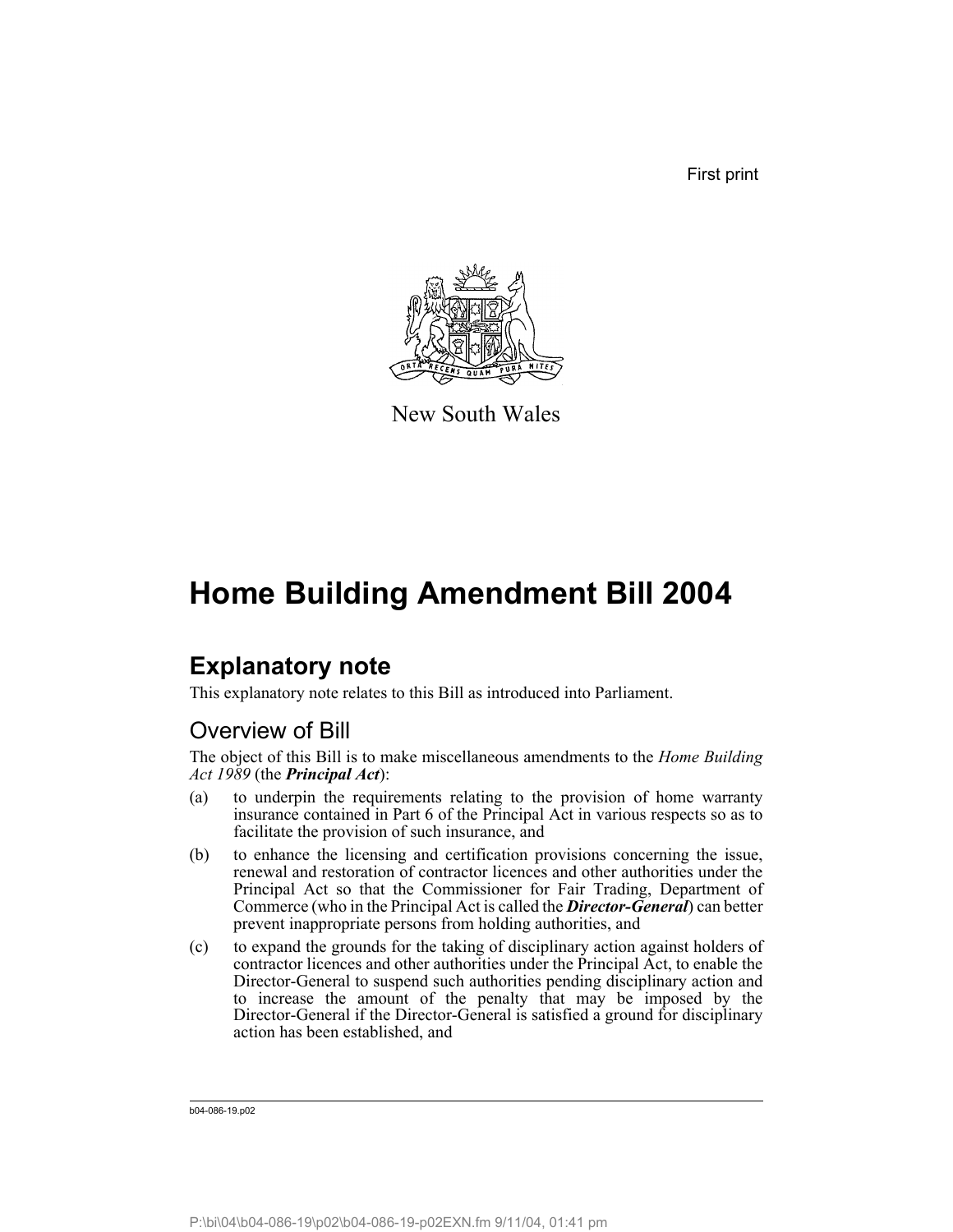First print



New South Wales

# **Home Building Amendment Bill 2004**

# **Explanatory note**

This explanatory note relates to this Bill as introduced into Parliament.

# Overview of Bill

The object of this Bill is to make miscellaneous amendments to the *Home Building Act 1989* (the *Principal Act*):

- (a) to underpin the requirements relating to the provision of home warranty insurance contained in Part 6 of the Principal Act in various respects so as to facilitate the provision of such insurance, and
- (b) to enhance the licensing and certification provisions concerning the issue, renewal and restoration of contractor licences and other authorities under the Principal Act so that the Commissioner for Fair Trading, Department of Commerce (who in the Principal Act is called the *Director-General*) can better prevent inappropriate persons from holding authorities, and
- (c) to expand the grounds for the taking of disciplinary action against holders of contractor licences and other authorities under the Principal Act, to enable the Director-General to suspend such authorities pending disciplinary action and to increase the amount of the penalty that may be imposed by the Director-General if the Director-General is satisfied a ground for disciplinary action has been established, and

b04-086-19.p02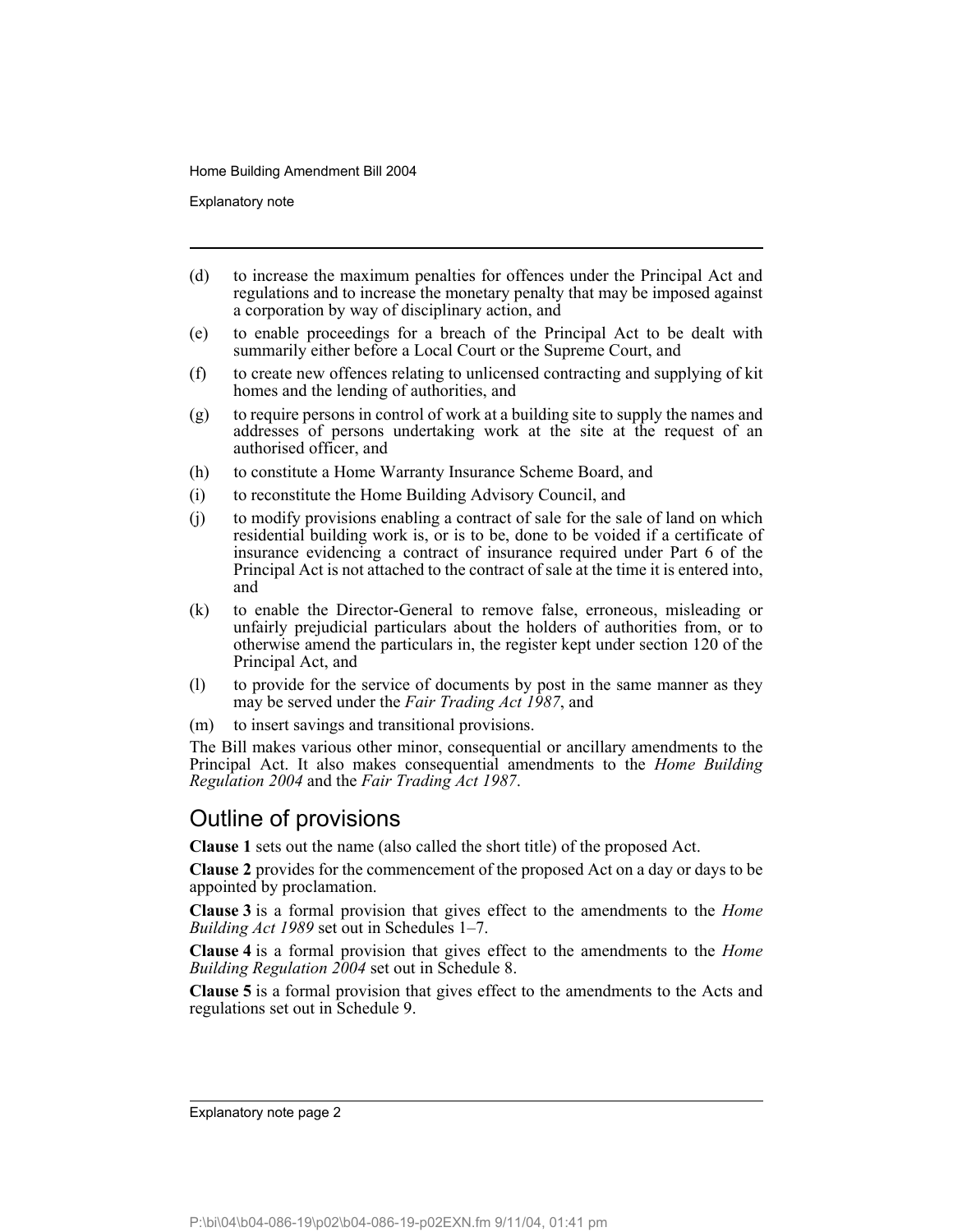Explanatory note

- (d) to increase the maximum penalties for offences under the Principal Act and regulations and to increase the monetary penalty that may be imposed against a corporation by way of disciplinary action, and
- (e) to enable proceedings for a breach of the Principal Act to be dealt with summarily either before a Local Court or the Supreme Court, and
- (f) to create new offences relating to unlicensed contracting and supplying of kit homes and the lending of authorities, and
- (g) to require persons in control of work at a building site to supply the names and addresses of persons undertaking work at the site at the request of an authorised officer, and
- (h) to constitute a Home Warranty Insurance Scheme Board, and
- (i) to reconstitute the Home Building Advisory Council, and
- (j) to modify provisions enabling a contract of sale for the sale of land on which residential building work is, or is to be, done to be voided if a certificate of insurance evidencing a contract of insurance required under Part 6 of the Principal Act is not attached to the contract of sale at the time it is entered into, and
- (k) to enable the Director-General to remove false, erroneous, misleading or unfairly prejudicial particulars about the holders of authorities from, or to otherwise amend the particulars in, the register kept under section 120 of the Principal Act, and
- (l) to provide for the service of documents by post in the same manner as they may be served under the *Fair Trading Act 1987*, and
- (m) to insert savings and transitional provisions.

The Bill makes various other minor, consequential or ancillary amendments to the Principal Act. It also makes consequential amendments to the *Home Building Regulation 2004* and the *Fair Trading Act 1987*.

# Outline of provisions

**Clause 1** sets out the name (also called the short title) of the proposed Act.

**Clause 2** provides for the commencement of the proposed Act on a day or days to be appointed by proclamation.

**Clause 3** is a formal provision that gives effect to the amendments to the *Home Building Act 1989* set out in Schedules 1–7.

**Clause 4** is a formal provision that gives effect to the amendments to the *Home Building Regulation 2004* set out in Schedule 8.

**Clause 5** is a formal provision that gives effect to the amendments to the Acts and regulations set out in Schedule 9.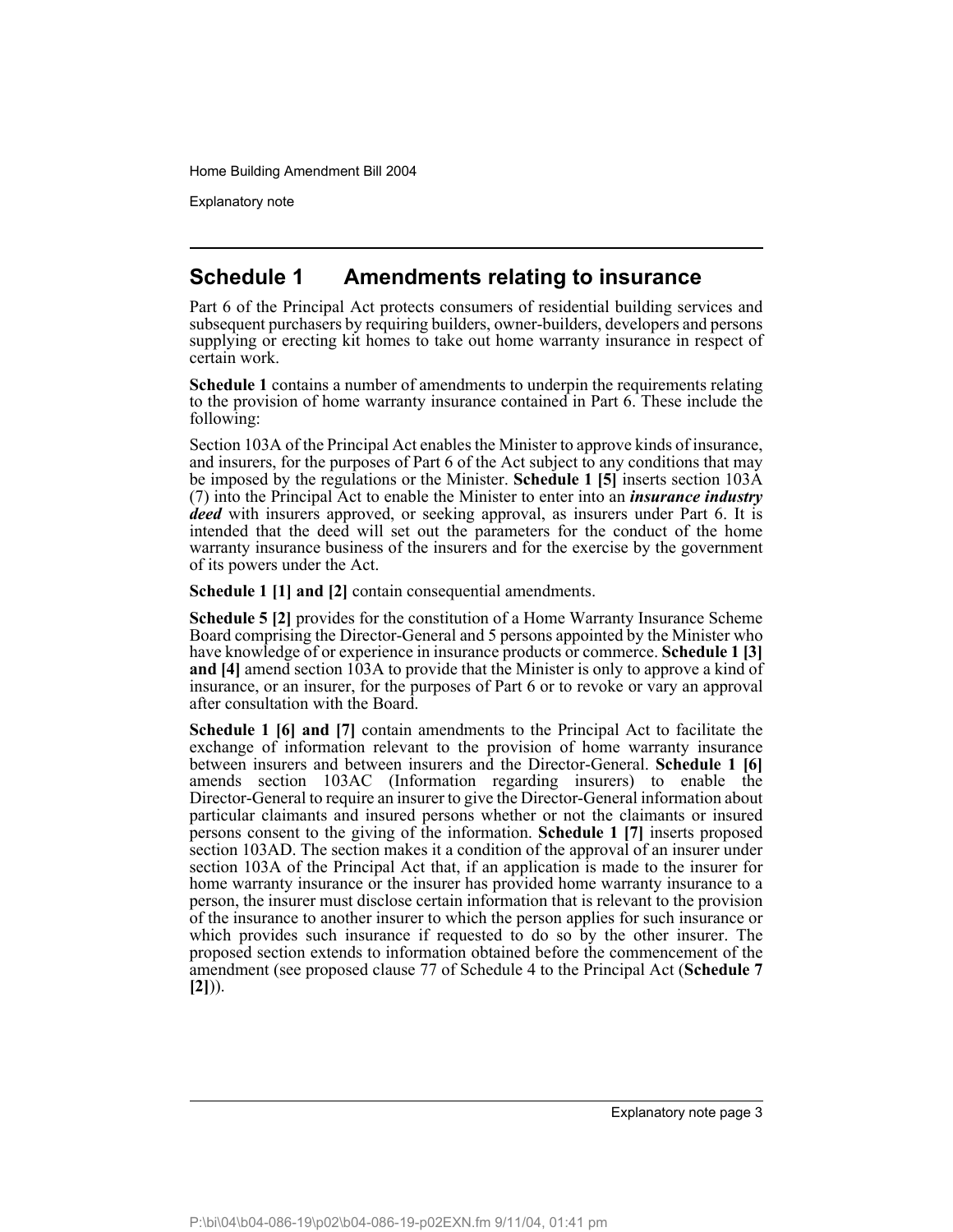Explanatory note

# **Schedule 1 Amendments relating to insurance**

Part 6 of the Principal Act protects consumers of residential building services and subsequent purchasers by requiring builders, owner-builders, developers and persons supplying or erecting kit homes to take out home warranty insurance in respect of certain work.

**Schedule 1** contains a number of amendments to underpin the requirements relating to the provision of home warranty insurance contained in Part 6. These include the following:

Section 103A of the Principal Act enables the Minister to approve kinds of insurance, and insurers, for the purposes of Part 6 of the Act subject to any conditions that may be imposed by the regulations or the Minister. **Schedule 1 [5]** inserts section 103A (7) into the Principal Act to enable the Minister to enter into an *insurance industry deed* with insurers approved, or seeking approval, as insurers under Part 6. It is intended that the deed will set out the parameters for the conduct of the home warranty insurance business of the insurers and for the exercise by the government of its powers under the Act.

**Schedule 1 [1] and [2]** contain consequential amendments.

**Schedule 5 [2]** provides for the constitution of a Home Warranty Insurance Scheme Board comprising the Director-General and 5 persons appointed by the Minister who have knowledge of or experience in insurance products or commerce. **Schedule 1 [3] and [4]** amend section 103A to provide that the Minister is only to approve a kind of insurance, or an insurer, for the purposes of Part 6 or to revoke or vary an approval after consultation with the Board.

**Schedule 1 [6] and [7]** contain amendments to the Principal Act to facilitate the exchange of information relevant to the provision of home warranty insurance between insurers and between insurers and the Director-General. **Schedule 1 [6]** amends section 103AC (Information regarding insurers) to enable the Director-General to require an insurer to give the Director-General information about particular claimants and insured persons whether or not the claimants or insured persons consent to the giving of the information. **Schedule 1 [7]** inserts proposed section 103AD. The section makes it a condition of the approval of an insurer under section 103A of the Principal Act that, if an application is made to the insurer for home warranty insurance or the insurer has provided home warranty insurance to a person, the insurer must disclose certain information that is relevant to the provision of the insurance to another insurer to which the person applies for such insurance or which provides such insurance if requested to do so by the other insurer. The proposed section extends to information obtained before the commencement of the amendment (see proposed clause 77 of Schedule 4 to the Principal Act (**Schedule 7 [2]**)).

Explanatory note page 3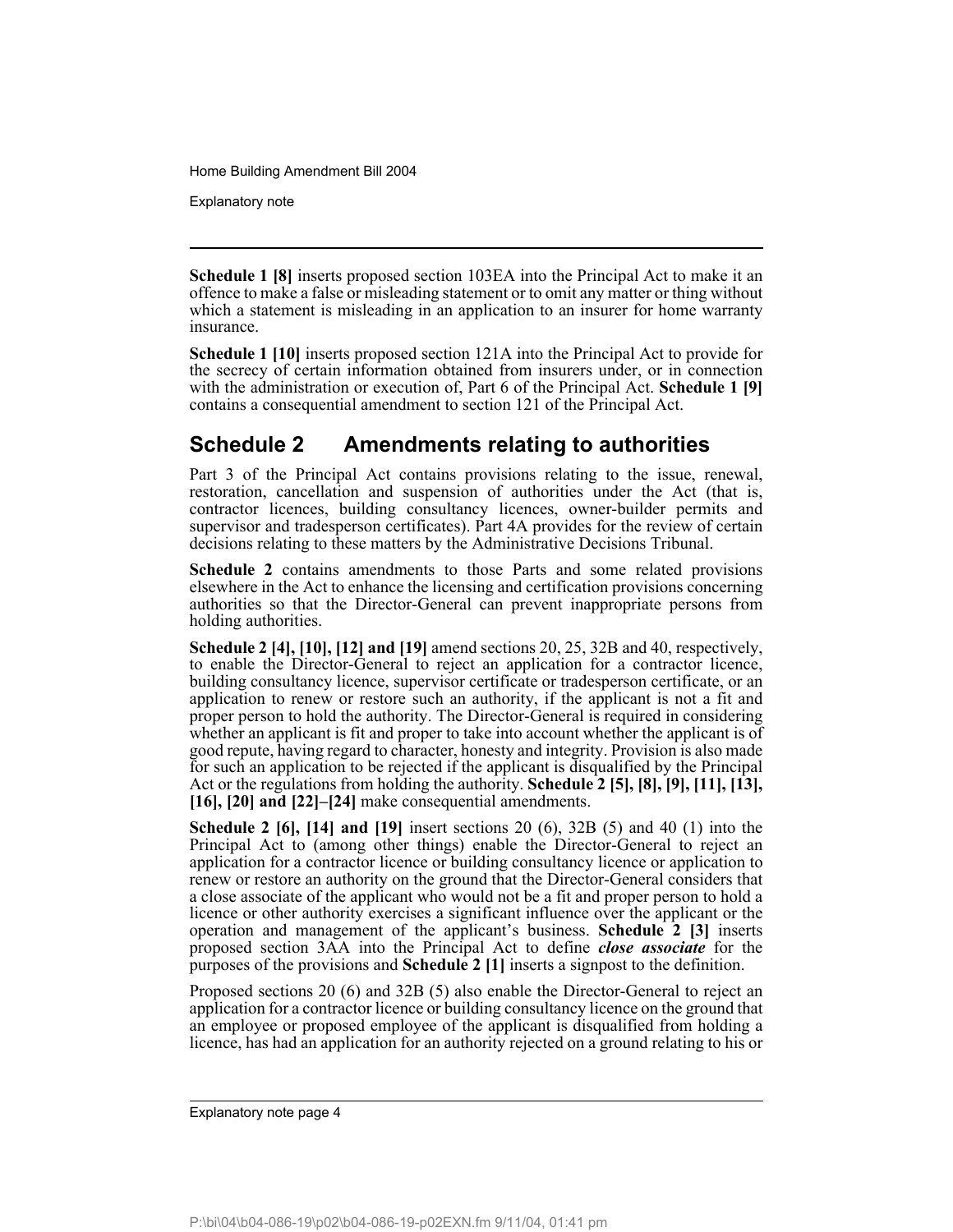Explanatory note

**Schedule 1 [8]** inserts proposed section 103EA into the Principal Act to make it an offence to make a false or misleading statement or to omit any matter or thing without which a statement is misleading in an application to an insurer for home warranty insurance.

**Schedule 1 [10]** inserts proposed section 121A into the Principal Act to provide for the secrecy of certain information obtained from insurers under, or in connection with the administration or execution of, Part 6 of the Principal Act. **Schedule 1 [9]** contains a consequential amendment to section 121 of the Principal Act.

# **Schedule 2 Amendments relating to authorities**

Part 3 of the Principal Act contains provisions relating to the issue, renewal, restoration, cancellation and suspension of authorities under the Act (that is, contractor licences, building consultancy licences, owner-builder permits and supervisor and tradesperson certificates). Part 4A provides for the review of certain decisions relating to these matters by the Administrative Decisions Tribunal.

**Schedule 2** contains amendments to those Parts and some related provisions elsewhere in the Act to enhance the licensing and certification provisions concerning authorities so that the Director-General can prevent inappropriate persons from holding authorities.

**Schedule 2 [4], [10], [12] and [19]** amend sections 20, 25, 32B and 40, respectively, to enable the Director-General to reject an application for a contractor licence, building consultancy licence, supervisor certificate or tradesperson certificate, or an application to renew or restore such an authority, if the applicant is not a fit and proper person to hold the authority. The Director-General is required in considering whether an applicant is fit and proper to take into account whether the applicant is of good repute, having regard to character, honesty and integrity. Provision is also made for such an application to be rejected if the applicant is disqualified by the Principal Act or the regulations from holding the authority. **Schedule 2 [5], [8], [9], [11], [13], [16], [20] and [22]–[24]** make consequential amendments.

**Schedule 2 [6], [14] and [19]** insert sections 20 (6), 32B (5) and 40 (1) into the Principal Act to (among other things) enable the Director-General to reject an application for a contractor licence or building consultancy licence or application to renew or restore an authority on the ground that the Director-General considers that a close associate of the applicant who would not be a fit and proper person to hold a licence or other authority exercises a significant influence over the applicant or the operation and management of the applicant's business. **Schedule 2 [3]** inserts proposed section 3AA into the Principal Act to define *close associate* for the purposes of the provisions and **Schedule 2 [1]** inserts a signpost to the definition.

Proposed sections 20 (6) and 32B (5) also enable the Director-General to reject an application for a contractor licence or building consultancy licence on the ground that an employee or proposed employee of the applicant is disqualified from holding a licence, has had an application for an authority rejected on a ground relating to his or

Explanatory note page 4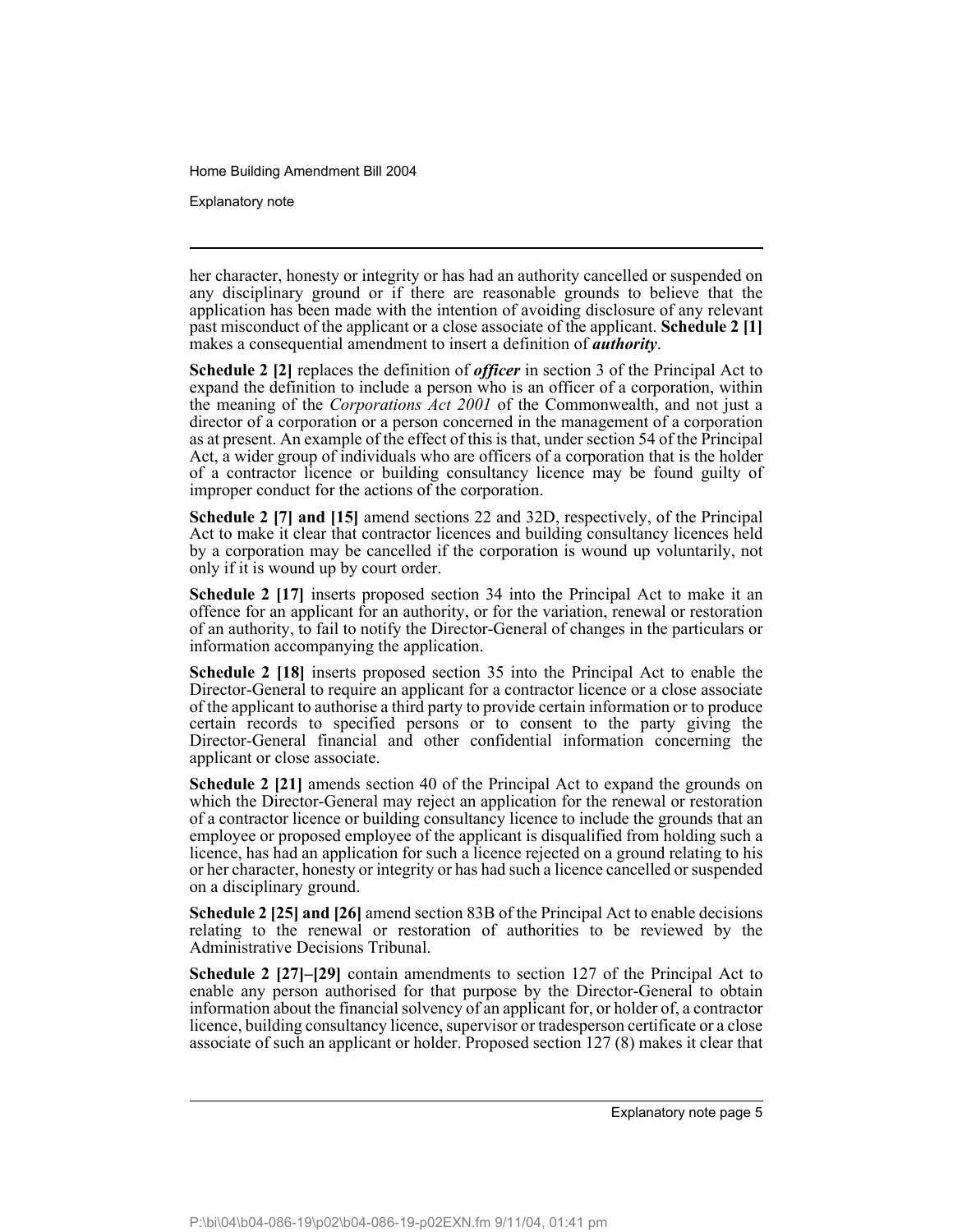Explanatory note

her character, honesty or integrity or has had an authority cancelled or suspended on any disciplinary ground or if there are reasonable grounds to believe that the application has been made with the intention of avoiding disclosure of any relevant past misconduct of the applicant or a close associate of the applicant. **Schedule 2 [1]** makes a consequential amendment to insert a definition of *authority*.

**Schedule 2 [2]** replaces the definition of *officer* in section 3 of the Principal Act to expand the definition to include a person who is an officer of a corporation, within the meaning of the *Corporations Act 2001* of the Commonwealth, and not just a director of a corporation or a person concerned in the management of a corporation as at present. An example of the effect of this is that, under section 54 of the Principal Act, a wider group of individuals who are officers of a corporation that is the holder of a contractor licence or building consultancy licence may be found guilty of improper conduct for the actions of the corporation.

**Schedule 2 [7] and [15]** amend sections 22 and 32D, respectively, of the Principal Act to make it clear that contractor licences and building consultancy licences held by a corporation may be cancelled if the corporation is wound up voluntarily, not only if it is wound up by court order.

**Schedule 2 [17]** inserts proposed section 34 into the Principal Act to make it an offence for an applicant for an authority, or for the variation, renewal or restoration of an authority, to fail to notify the Director-General of changes in the particulars or information accompanying the application.

**Schedule 2 [18]** inserts proposed section 35 into the Principal Act to enable the Director-General to require an applicant for a contractor licence or a close associate of the applicant to authorise a third party to provide certain information or to produce certain records to specified persons or to consent to the party giving the Director-General financial and other confidential information concerning the applicant or close associate.

**Schedule 2 [21]** amends section 40 of the Principal Act to expand the grounds on which the Director-General may reject an application for the renewal or restoration of a contractor licence or building consultancy licence to include the grounds that an employee or proposed employee of the applicant is disqualified from holding such a licence, has had an application for such a licence rejected on a ground relating to his or her character, honesty or integrity or has had such a licence cancelled or suspended on a disciplinary ground.

**Schedule 2 [25] and [26]** amend section 83B of the Principal Act to enable decisions relating to the renewal or restoration of authorities to be reviewed by the Administrative Decisions Tribunal.

**Schedule 2 [27]–[29]** contain amendments to section 127 of the Principal Act to enable any person authorised for that purpose by the Director-General to obtain information about the financial solvency of an applicant for, or holder of, a contractor licence, building consultancy licence, supervisor or tradesperson certificate or a close associate of such an applicant or holder. Proposed section 127 (8) makes it clear that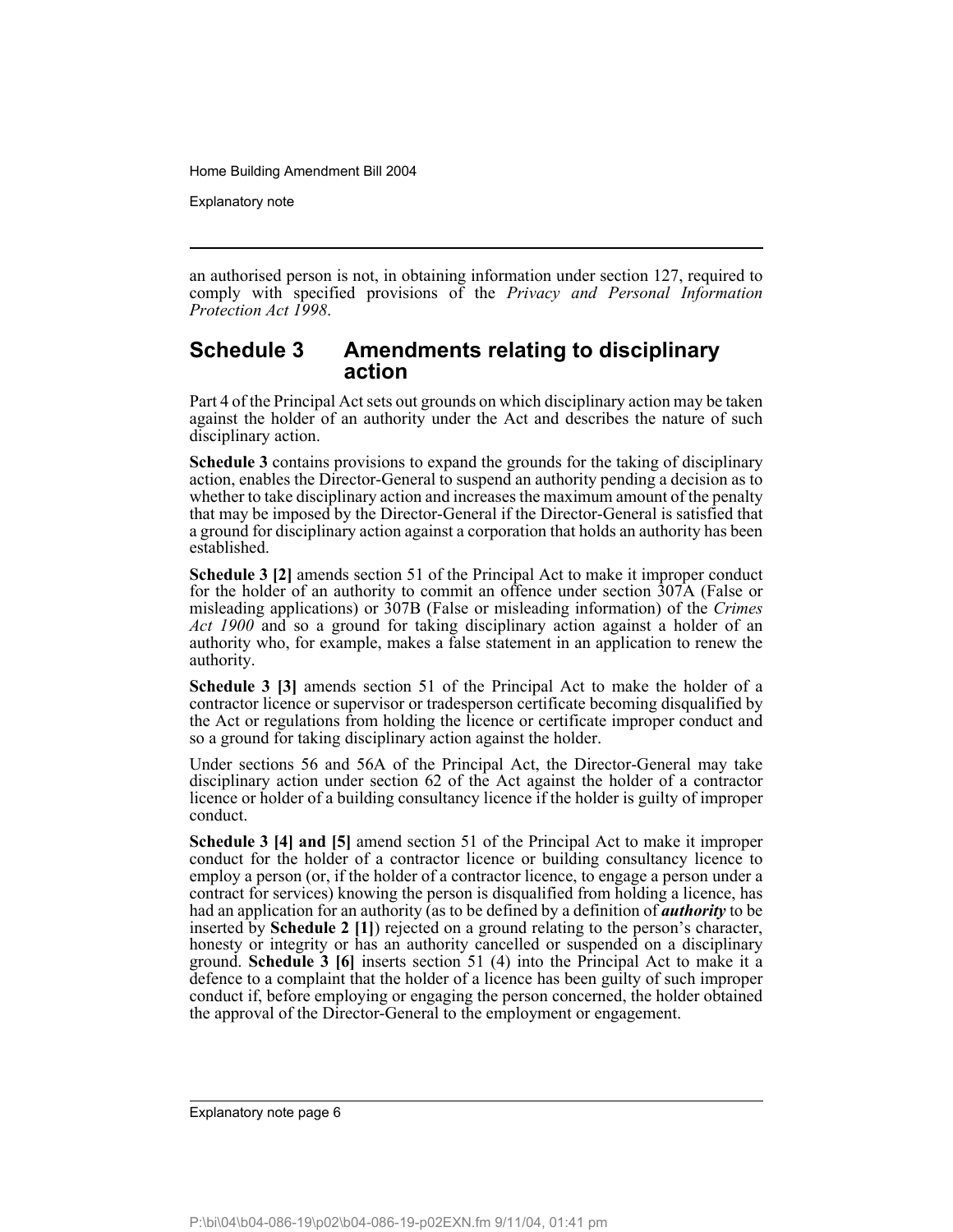Explanatory note

an authorised person is not, in obtaining information under section 127, required to comply with specified provisions of the *Privacy and Personal Information Protection Act 1998*.

# **Schedule 3 Amendments relating to disciplinary action**

Part 4 of the Principal Act sets out grounds on which disciplinary action may be taken against the holder of an authority under the Act and describes the nature of such disciplinary action.

**Schedule 3** contains provisions to expand the grounds for the taking of disciplinary action, enables the Director-General to suspend an authority pending a decision as to whether to take disciplinary action and increases the maximum amount of the penalty that may be imposed by the Director-General if the Director-General is satisfied that a ground for disciplinary action against a corporation that holds an authority has been established.

**Schedule 3 [2]** amends section 51 of the Principal Act to make it improper conduct for the holder of an authority to commit an offence under section 307A (False or misleading applications) or 307B (False or misleading information) of the *Crimes Act 1900* and so a ground for taking disciplinary action against a holder of an authority who, for example, makes a false statement in an application to renew the authority.

**Schedule 3 [3]** amends section 51 of the Principal Act to make the holder of a contractor licence or supervisor or tradesperson certificate becoming disqualified by the Act or regulations from holding the licence or certificate improper conduct and so a ground for taking disciplinary action against the holder.

Under sections 56 and 56A of the Principal Act, the Director-General may take disciplinary action under section 62 of the Act against the holder of a contractor licence or holder of a building consultancy licence if the holder is guilty of improper conduct.

**Schedule 3 [4] and [5]** amend section 51 of the Principal Act to make it improper conduct for the holder of a contractor licence or building consultancy licence to employ a person (or, if the holder of a contractor licence, to engage a person under a contract for services) knowing the person is disqualified from holding a licence, has had an application for an authority (as to be defined by a definition of *authority* to be inserted by **Schedule 2 [1]**) rejected on a ground relating to the person's character, honesty or integrity or has an authority cancelled or suspended on a disciplinary ground. **Schedule 3 [6]** inserts section 51 (4) into the Principal Act to make it a defence to a complaint that the holder of a licence has been guilty of such improper conduct if, before employing or engaging the person concerned, the holder obtained the approval of the Director-General to the employment or engagement.

Explanatory note page 6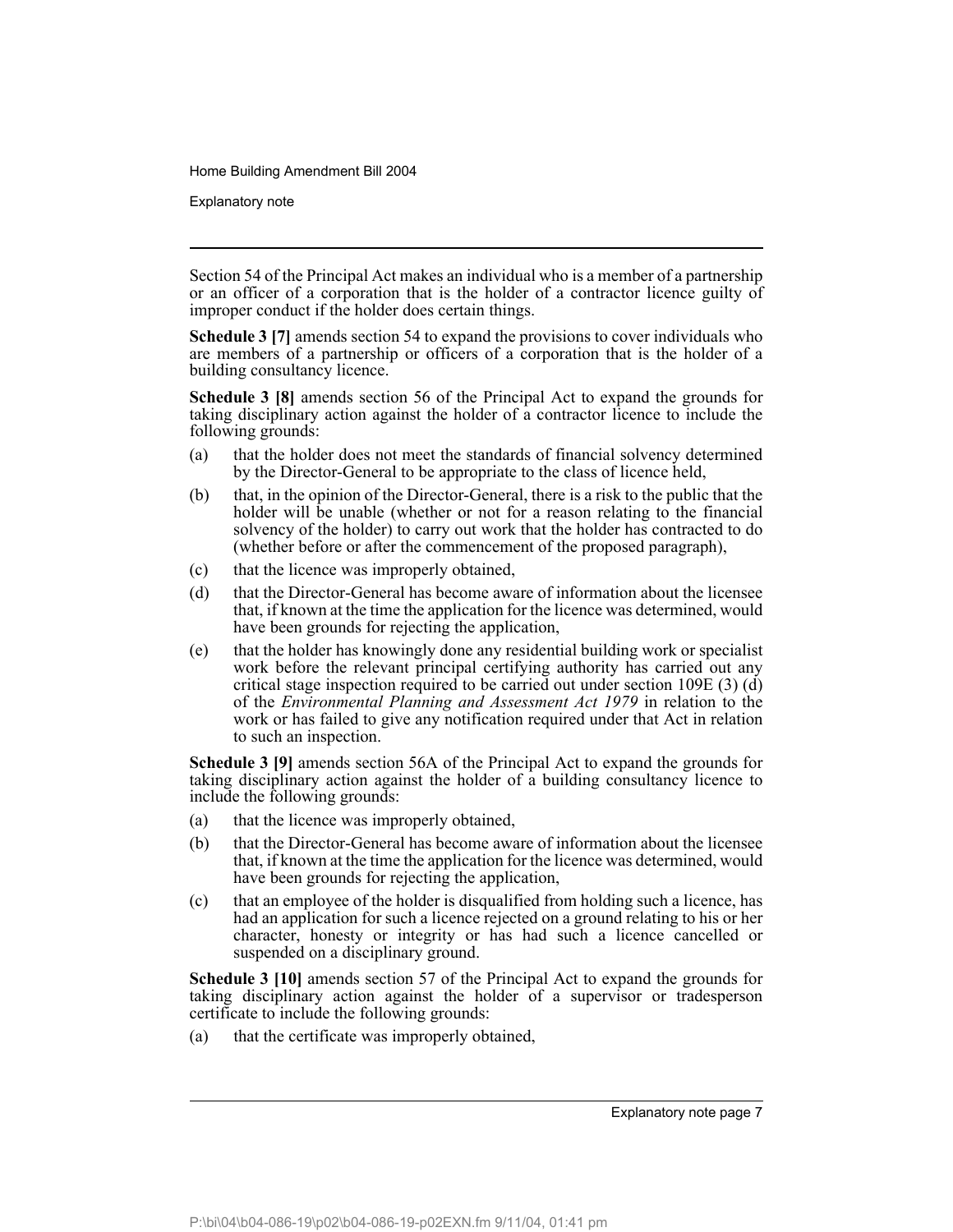Explanatory note

Section 54 of the Principal Act makes an individual who is a member of a partnership or an officer of a corporation that is the holder of a contractor licence guilty of improper conduct if the holder does certain things.

**Schedule 3 [7]** amends section 54 to expand the provisions to cover individuals who are members of a partnership or officers of a corporation that is the holder of a building consultancy licence.

**Schedule 3 [8]** amends section 56 of the Principal Act to expand the grounds for taking disciplinary action against the holder of a contractor licence to include the following grounds:

- (a) that the holder does not meet the standards of financial solvency determined by the Director-General to be appropriate to the class of licence held,
- (b) that, in the opinion of the Director-General, there is a risk to the public that the holder will be unable (whether or not for a reason relating to the financial solvency of the holder) to carry out work that the holder has contracted to do (whether before or after the commencement of the proposed paragraph),
- (c) that the licence was improperly obtained,
- (d) that the Director-General has become aware of information about the licensee that, if known at the time the application for the licence was determined, would have been grounds for rejecting the application,
- (e) that the holder has knowingly done any residential building work or specialist work before the relevant principal certifying authority has carried out any critical stage inspection required to be carried out under section 109E (3) (d) of the *Environmental Planning and Assessment Act 1979* in relation to the work or has failed to give any notification required under that Act in relation to such an inspection.

**Schedule 3 [9]** amends section 56A of the Principal Act to expand the grounds for taking disciplinary action against the holder of a building consultancy licence to include the following grounds:

- (a) that the licence was improperly obtained,
- (b) that the Director-General has become aware of information about the licensee that, if known at the time the application for the licence was determined, would have been grounds for rejecting the application,
- (c) that an employee of the holder is disqualified from holding such a licence, has had an application for such a licence rejected on a ground relating to his or her character, honesty or integrity or has had such a licence cancelled or suspended on a disciplinary ground.

**Schedule 3 [10]** amends section 57 of the Principal Act to expand the grounds for taking disciplinary action against the holder of a supervisor or tradesperson certificate to include the following grounds:

(a) that the certificate was improperly obtained,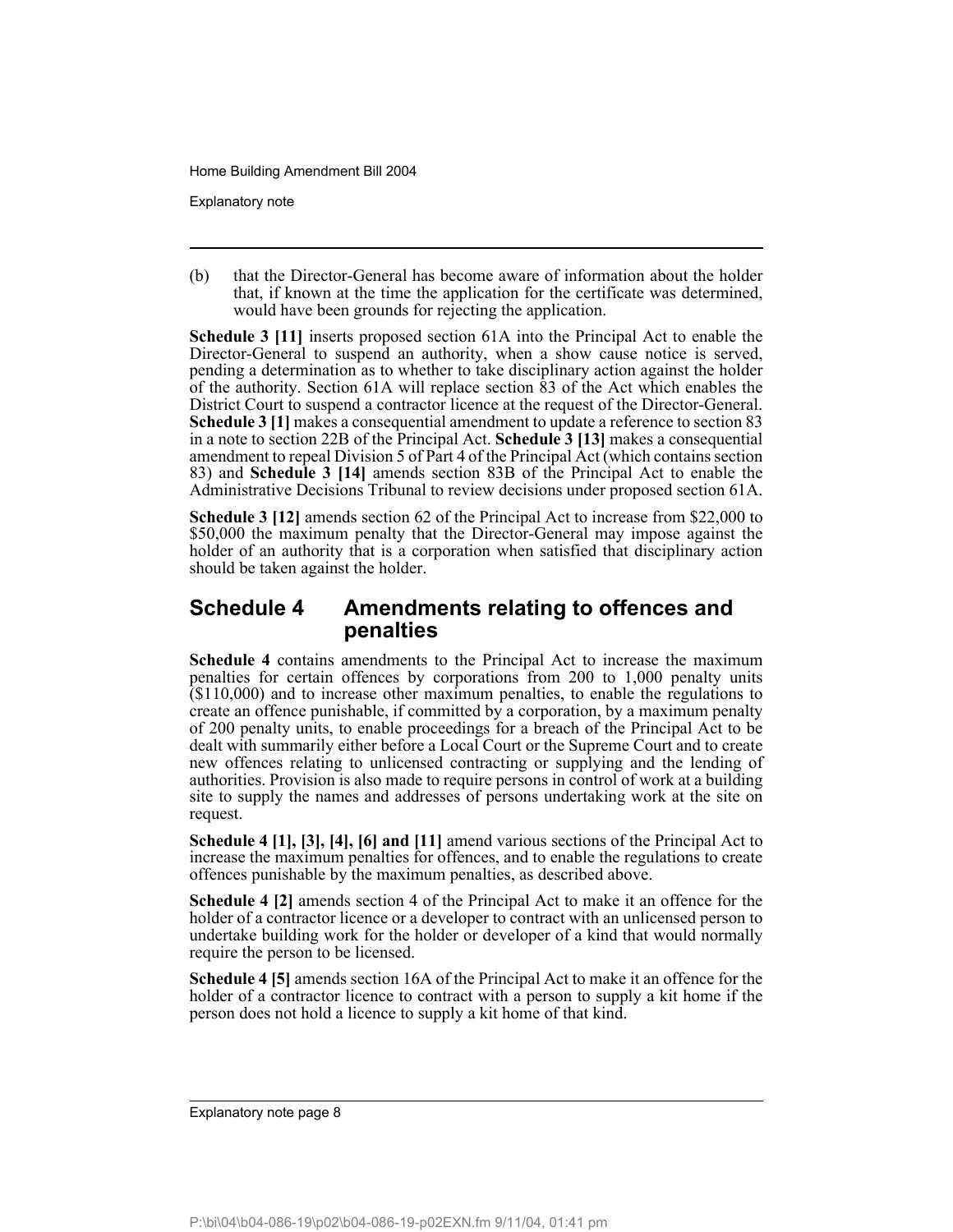Explanatory note

(b) that the Director-General has become aware of information about the holder that, if known at the time the application for the certificate was determined, would have been grounds for rejecting the application.

**Schedule 3 [11]** inserts proposed section 61A into the Principal Act to enable the Director-General to suspend an authority, when a show cause notice is served, pending a determination as to whether to take disciplinary action against the holder of the authority. Section 61A will replace section 83 of the Act which enables the District Court to suspend a contractor licence at the request of the Director-General. **Schedule 3 [1]** makes a consequential amendment to update a reference to section 83 in a note to section 22B of the Principal Act. **Schedule 3 [13]** makes a consequential amendment to repeal Division 5 of Part 4 of the Principal Act (which contains section 83) and **Schedule 3 [14]** amends section 83B of the Principal Act to enable the Administrative Decisions Tribunal to review decisions under proposed section 61A.

**Schedule 3 [12]** amends section 62 of the Principal Act to increase from \$22,000 to \$50,000 the maximum penalty that the Director-General may impose against the holder of an authority that is a corporation when satisfied that disciplinary action should be taken against the holder.

# **Schedule 4 Amendments relating to offences and penalties**

**Schedule 4** contains amendments to the Principal Act to increase the maximum penalties for certain offences by corporations from 200 to 1,000 penalty units  $(110,000)$  and to increase other maximum penalties, to enable the regulations to create an offence punishable, if committed by a corporation, by a maximum penalty of 200 penalty units, to enable proceedings for a breach of the Principal Act to be dealt with summarily either before a Local Court or the Supreme Court and to create new offences relating to unlicensed contracting or supplying and the lending of authorities. Provision is also made to require persons in control of work at a building site to supply the names and addresses of persons undertaking work at the site on request.

**Schedule 4 [1], [3], [4], [6] and [11]** amend various sections of the Principal Act to increase the maximum penalties for offences, and to enable the regulations to create offences punishable by the maximum penalties, as described above.

**Schedule 4 [2]** amends section 4 of the Principal Act to make it an offence for the holder of a contractor licence or a developer to contract with an unlicensed person to undertake building work for the holder or developer of a kind that would normally require the person to be licensed.

**Schedule 4 [5]** amends section 16A of the Principal Act to make it an offence for the holder of a contractor licence to contract with a person to supply a kit home if the person does not hold a licence to supply a kit home of that kind.

Explanatory note page 8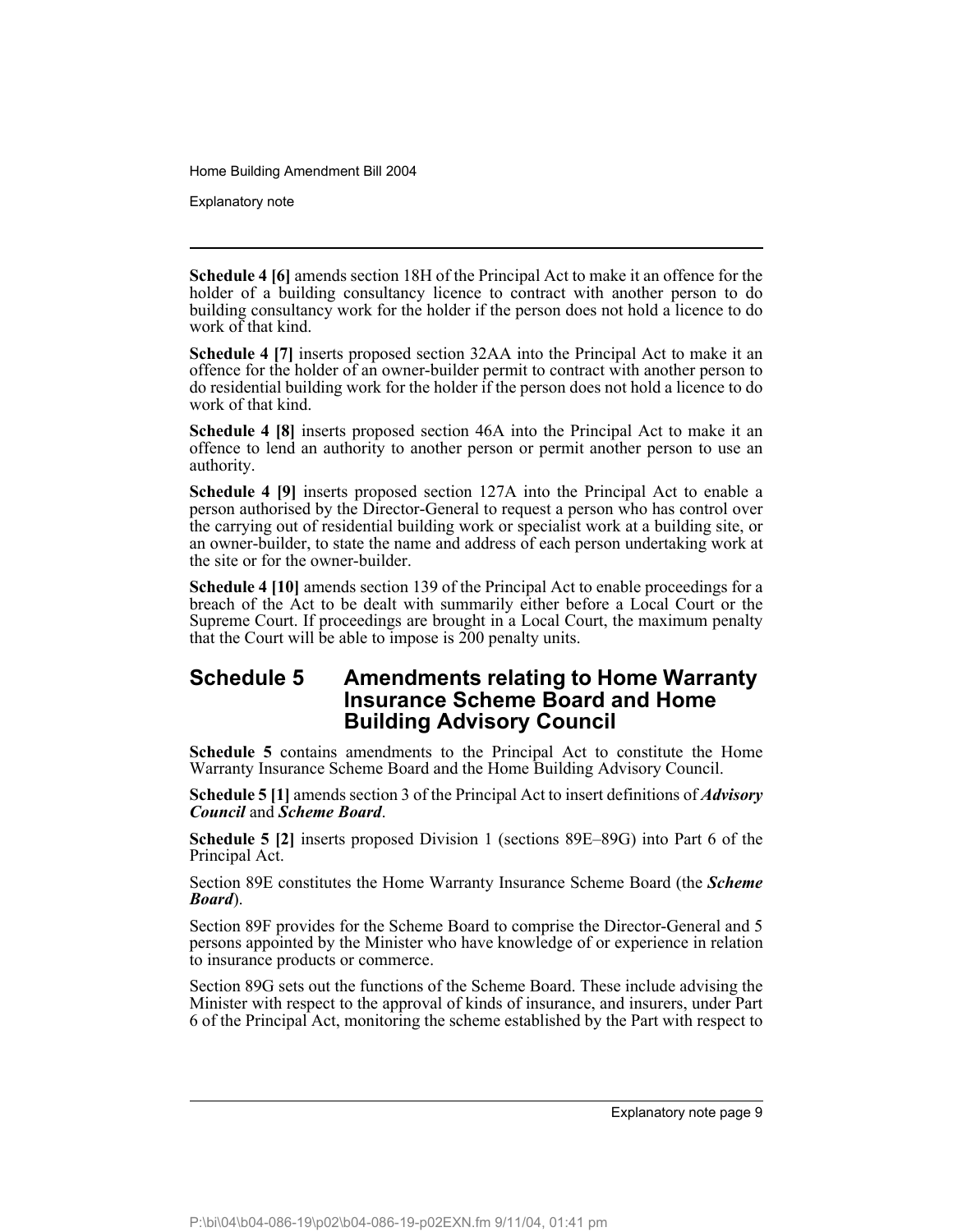Explanatory note

**Schedule 4 [6]** amends section 18H of the Principal Act to make it an offence for the holder of a building consultancy licence to contract with another person to do building consultancy work for the holder if the person does not hold a licence to do work of that kind.

**Schedule 4 [7]** inserts proposed section 32AA into the Principal Act to make it an offence for the holder of an owner-builder permit to contract with another person to do residential building work for the holder if the person does not hold a licence to do work of that kind.

**Schedule 4 [8]** inserts proposed section 46A into the Principal Act to make it an offence to lend an authority to another person or permit another person to use an authority.

**Schedule 4 [9]** inserts proposed section 127A into the Principal Act to enable a person authorised by the Director-General to request a person who has control over the carrying out of residential building work or specialist work at a building site, or an owner-builder, to state the name and address of each person undertaking work at the site or for the owner-builder.

**Schedule 4 [10]** amends section 139 of the Principal Act to enable proceedings for a breach of the Act to be dealt with summarily either before a Local Court or the Supreme Court. If proceedings are brought in a Local Court, the maximum penalty that the Court will be able to impose is 200 penalty units.

# **Schedule 5 Amendments relating to Home Warranty Insurance Scheme Board and Home Building Advisory Council**

**Schedule 5** contains amendments to the Principal Act to constitute the Home Warranty Insurance Scheme Board and the Home Building Advisory Council.

**Schedule 5 [1]** amends section 3 of the Principal Act to insert definitions of *Advisory Council* and *Scheme Board*.

**Schedule 5 [2]** inserts proposed Division 1 (sections 89E–89G) into Part 6 of the Principal Act.

Section 89E constitutes the Home Warranty Insurance Scheme Board (the *Scheme Board*).

Section 89F provides for the Scheme Board to comprise the Director-General and 5 persons appointed by the Minister who have knowledge of or experience in relation to insurance products or commerce.

Section 89G sets out the functions of the Scheme Board. These include advising the Minister with respect to the approval of kinds of insurance, and insurers, under Part 6 of the Principal Act, monitoring the scheme established by the Part with respect to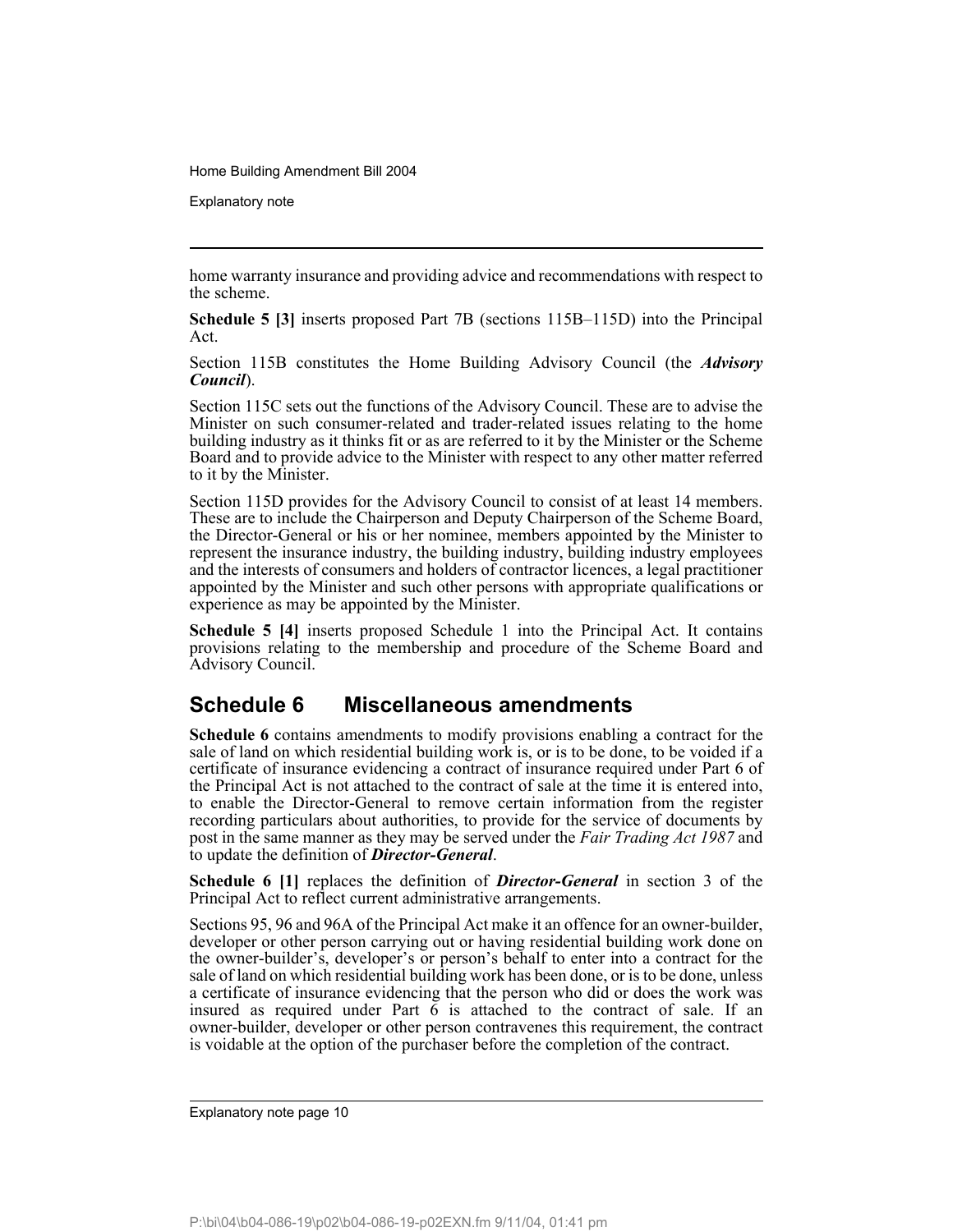Explanatory note

home warranty insurance and providing advice and recommendations with respect to the scheme.

**Schedule 5 [3]** inserts proposed Part 7B (sections 115B–115D) into the Principal Act.

Section 115B constitutes the Home Building Advisory Council (the *Advisory Council*).

Section 115C sets out the functions of the Advisory Council. These are to advise the Minister on such consumer-related and trader-related issues relating to the home building industry as it thinks fit or as are referred to it by the Minister or the Scheme Board and to provide advice to the Minister with respect to any other matter referred to it by the Minister.

Section 115D provides for the Advisory Council to consist of at least 14 members. These are to include the Chairperson and Deputy Chairperson of the Scheme Board, the Director-General or his or her nominee, members appointed by the Minister to represent the insurance industry, the building industry, building industry employees and the interests of consumers and holders of contractor licences, a legal practitioner appointed by the Minister and such other persons with appropriate qualifications or experience as may be appointed by the Minister.

**Schedule 5 [4]** inserts proposed Schedule 1 into the Principal Act. It contains provisions relating to the membership and procedure of the Scheme Board and Advisory Council.

# **Schedule 6 Miscellaneous amendments**

**Schedule 6** contains amendments to modify provisions enabling a contract for the sale of land on which residential building work is, or is to be done, to be voided if a certificate of insurance evidencing a contract of insurance required under Part 6 of the Principal Act is not attached to the contract of sale at the time it is entered into, to enable the Director-General to remove certain information from the register recording particulars about authorities, to provide for the service of documents by post in the same manner as they may be served under the *Fair Trading Act 1987* and to update the definition of *Director-General*.

**Schedule 6 [1]** replaces the definition of *Director-General* in section 3 of the Principal Act to reflect current administrative arrangements.

Sections 95, 96 and 96A of the Principal Act make it an offence for an owner-builder, developer or other person carrying out or having residential building work done on the owner-builder's, developer's or person's behalf to enter into a contract for the sale of land on which residential building work has been done, or is to be done, unless a certificate of insurance evidencing that the person who did or does the work was insured as required under Part  $\overline{6}$  is attached to the contract of sale. If an owner-builder, developer or other person contravenes this requirement, the contract is voidable at the option of the purchaser before the completion of the contract.

Explanatory note page 10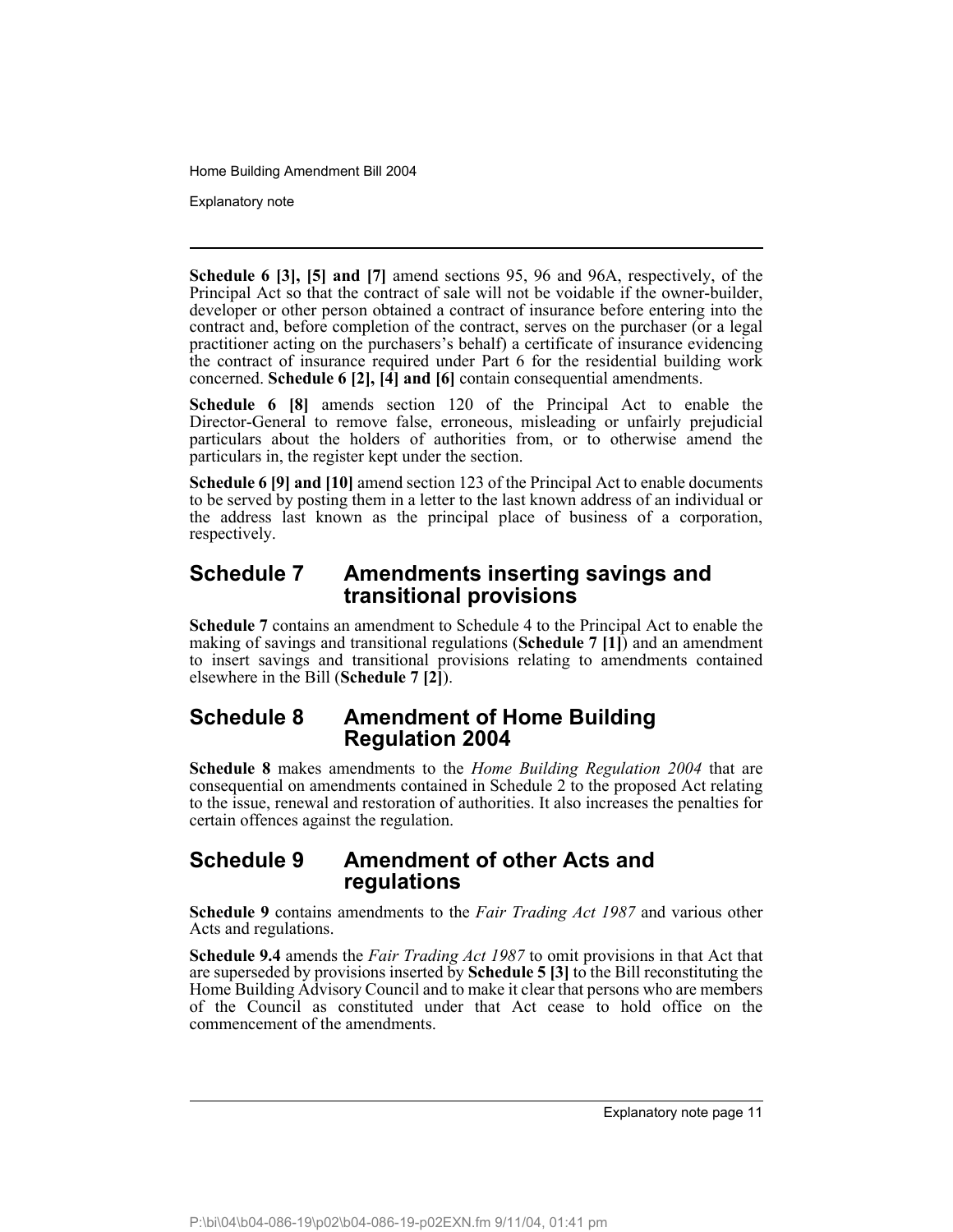Explanatory note

**Schedule 6 [3], [5] and [7]** amend sections 95, 96 and 96A, respectively, of the Principal Act so that the contract of sale will not be voidable if the owner-builder, developer or other person obtained a contract of insurance before entering into the contract and, before completion of the contract, serves on the purchaser (or a legal practitioner acting on the purchasers's behalf) a certificate of insurance evidencing the contract of insurance required under Part 6 for the residential building work concerned. **Schedule 6 [2], [4] and [6]** contain consequential amendments.

**Schedule 6 [8]** amends section 120 of the Principal Act to enable the Director-General to remove false, erroneous, misleading or unfairly prejudicial particulars about the holders of authorities from, or to otherwise amend the particulars in, the register kept under the section.

**Schedule 6 [9] and [10]** amend section 123 of the Principal Act to enable documents to be served by posting them in a letter to the last known address of an individual or the address last known as the principal place of business of a corporation, respectively.

# **Schedule 7 Amendments inserting savings and transitional provisions**

**Schedule 7** contains an amendment to Schedule 4 to the Principal Act to enable the making of savings and transitional regulations (**Schedule 7 [1]**) and an amendment to insert savings and transitional provisions relating to amendments contained elsewhere in the Bill (**Schedule 7 [2]**).

# **Schedule 8 Amendment of Home Building Regulation 2004**

**Schedule 8** makes amendments to the *Home Building Regulation 2004* that are consequential on amendments contained in Schedule 2 to the proposed Act relating to the issue, renewal and restoration of authorities. It also increases the penalties for certain offences against the regulation.

## **Schedule 9 Amendment of other Acts and regulations**

**Schedule 9** contains amendments to the *Fair Trading Act 1987* and various other Acts and regulations.

**Schedule 9.4** amends the *Fair Trading Act 1987* to omit provisions in that Act that are superseded by provisions inserted by **Schedule 5 [3]** to the Bill reconstituting the Home Building Advisory Council and to make it clear that persons who are members of the Council as constituted under that Act cease to hold office on the commencement of the amendments.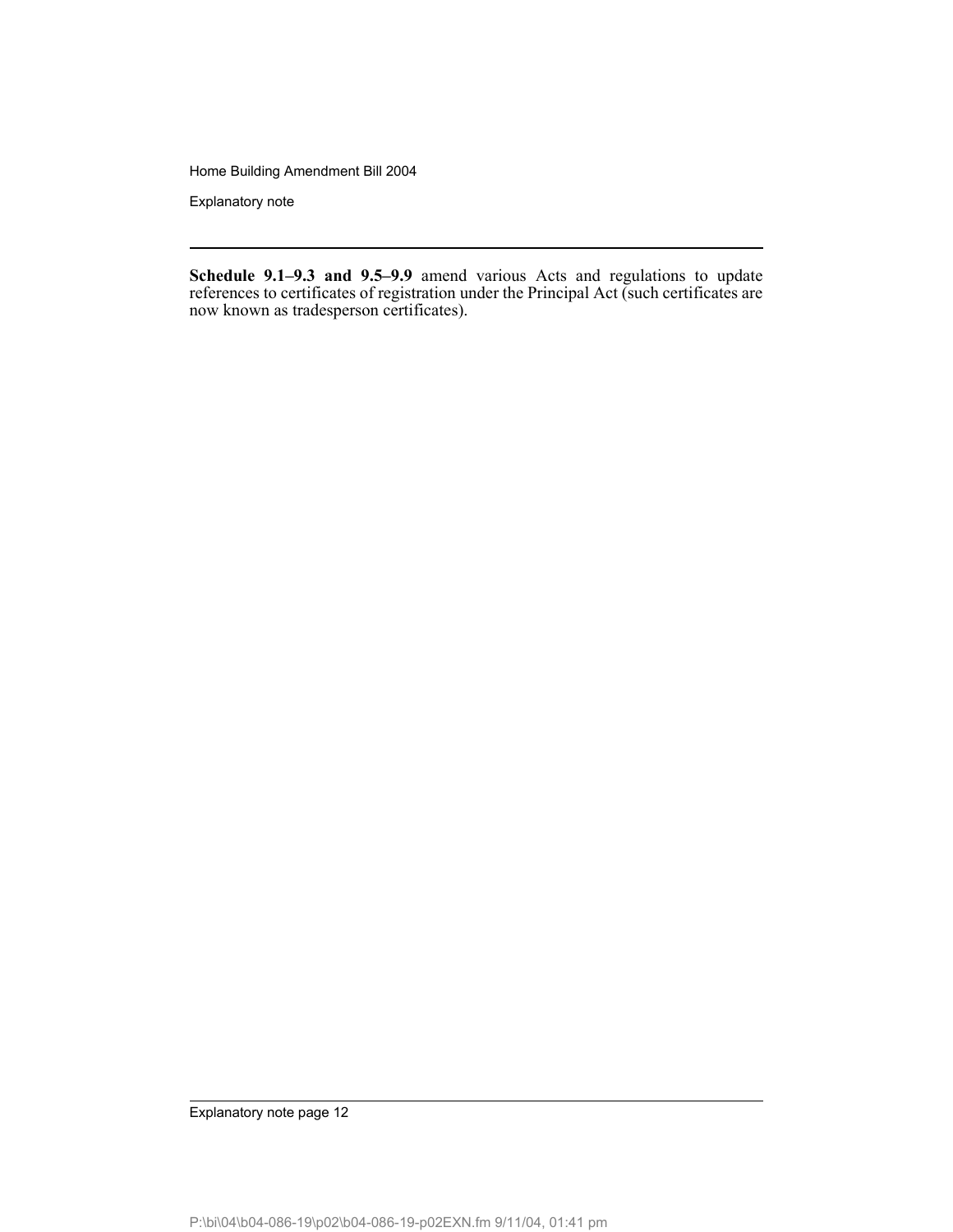Explanatory note

**Schedule 9.1–9.3 and 9.5–9.9** amend various Acts and regulations to update references to certificates of registration under the Principal Act (such certificates are now known as tradesperson certificates).

Explanatory note page 12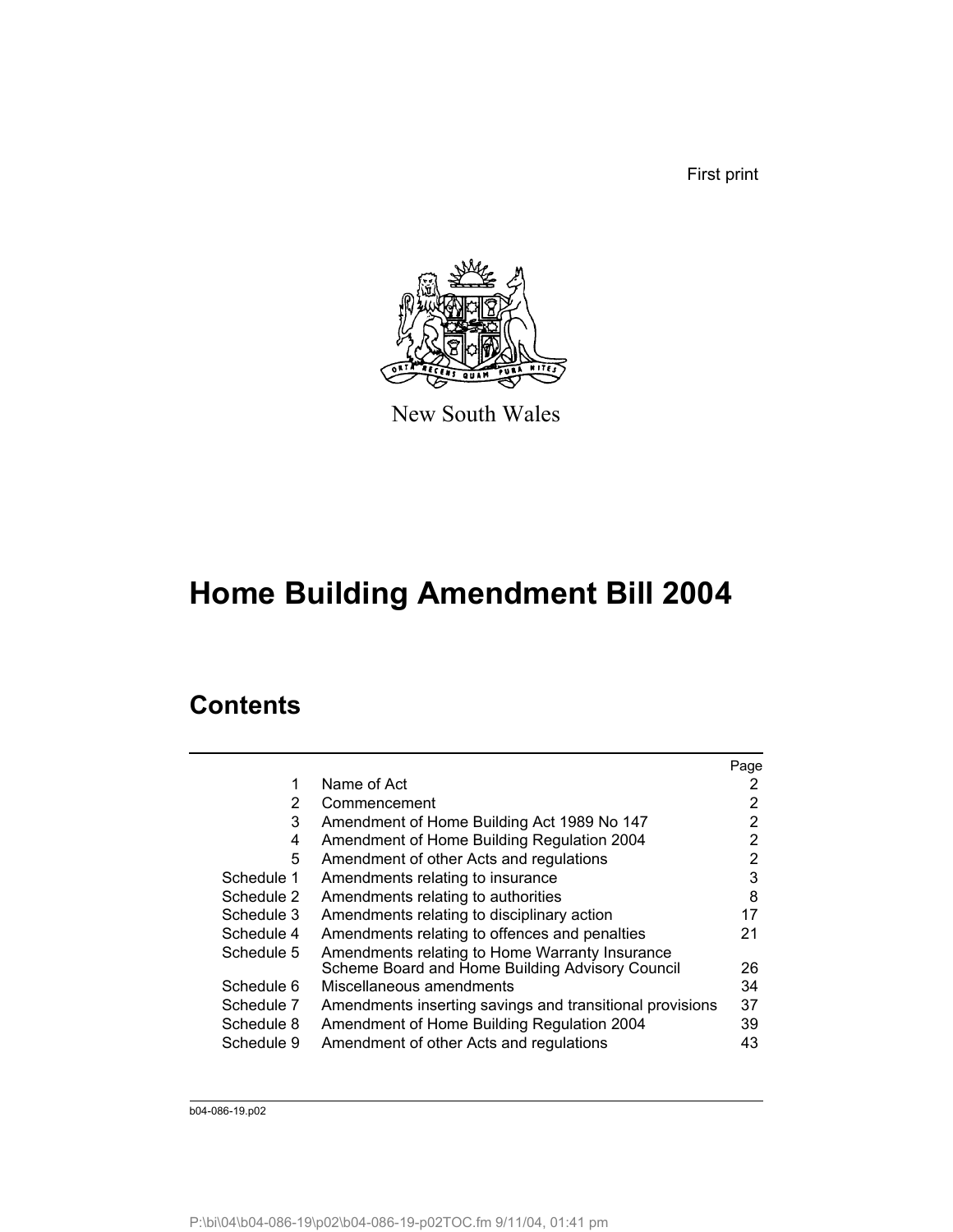First print



New South Wales

# **Home Building Amendment Bill 2004**

# **Contents**

|            |                                                          | Page |
|------------|----------------------------------------------------------|------|
| 1          | Name of Act                                              | 2    |
| 2          | Commencement                                             | 2    |
| 3          | Amendment of Home Building Act 1989 No 147               | 2    |
| 4          | Amendment of Home Building Regulation 2004               | 2    |
| 5          | Amendment of other Acts and regulations                  | 2    |
| Schedule 1 | Amendments relating to insurance                         | 3    |
| Schedule 2 | Amendments relating to authorities                       | 8    |
| Schedule 3 | Amendments relating to disciplinary action               | 17   |
| Schedule 4 | Amendments relating to offences and penalties            | 21   |
| Schedule 5 | Amendments relating to Home Warranty Insurance           |      |
|            | Scheme Board and Home Building Advisory Council          | 26   |
| Schedule 6 | Miscellaneous amendments                                 | 34   |
| Schedule 7 | Amendments inserting savings and transitional provisions | 37   |
| Schedule 8 | Amendment of Home Building Regulation 2004               | 39   |
| Schedule 9 | Amendment of other Acts and regulations                  | 43   |
|            |                                                          |      |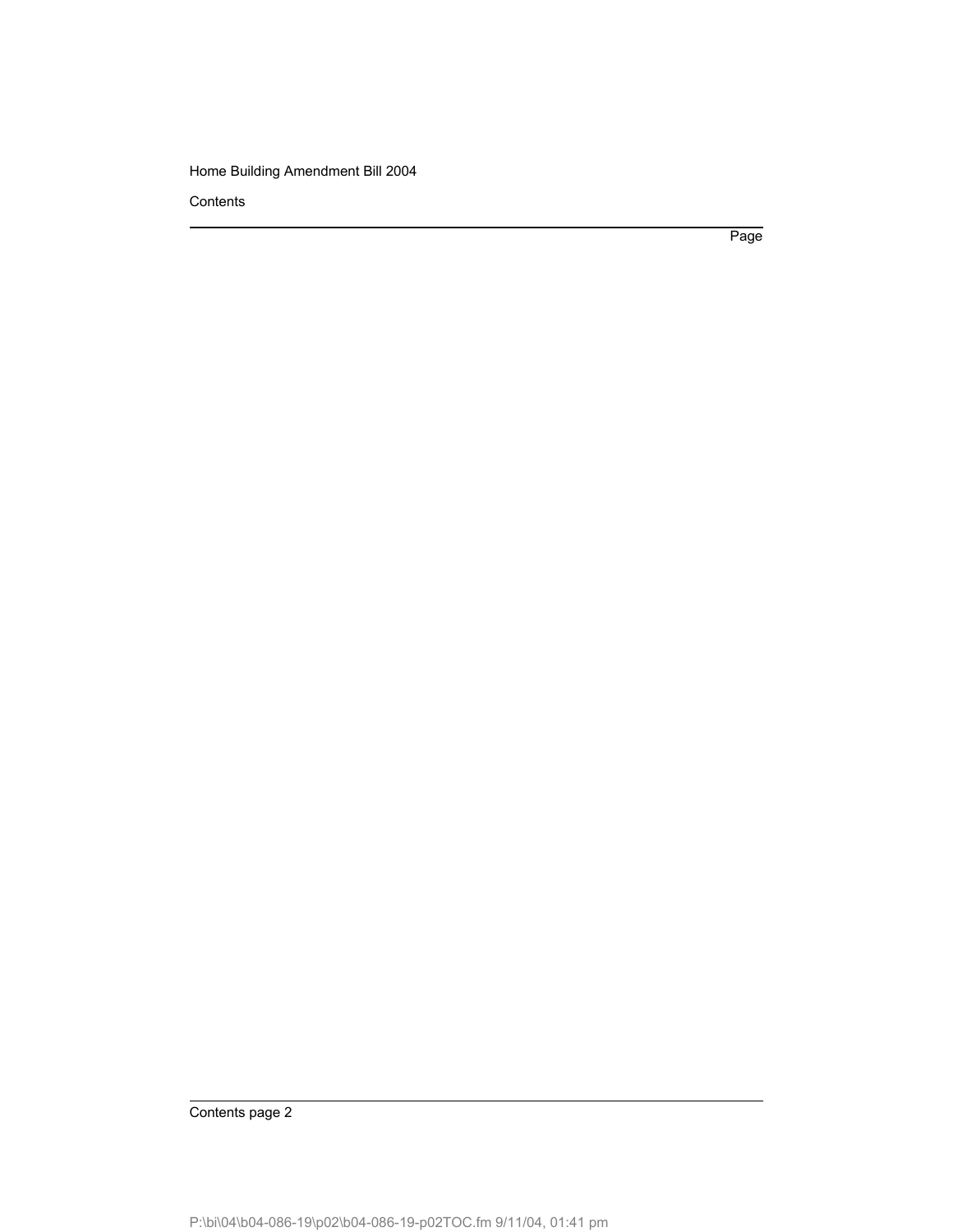**Contents** 

Page

Contents page 2

P:\bi\04\b04-086-19\p02\b04-086-19-p02TOC.fm 9/11/04, 01:41 pm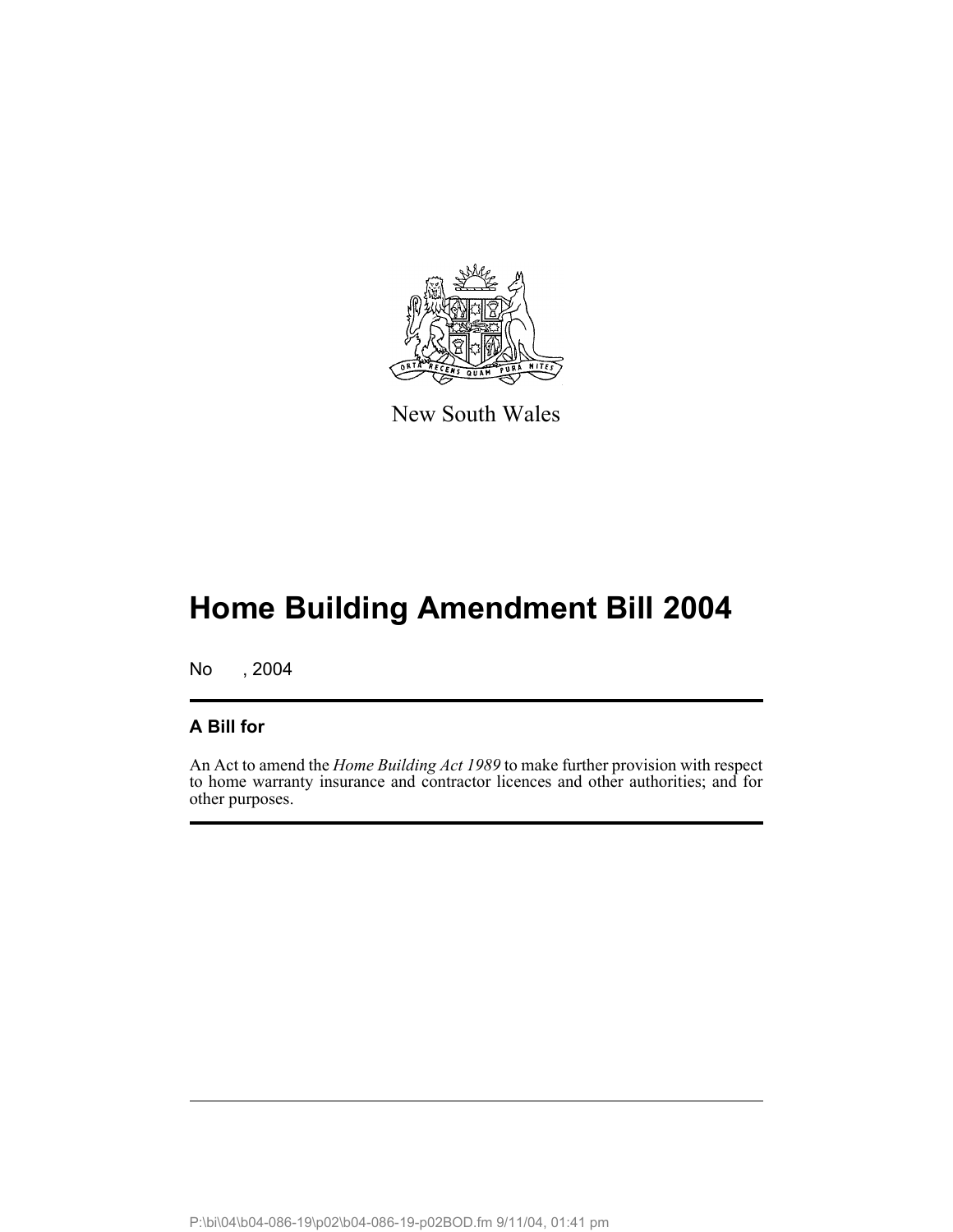

New South Wales

# **Home Building Amendment Bill 2004**

No , 2004

## **A Bill for**

An Act to amend the *Home Building Act 1989* to make further provision with respect to home warranty insurance and contractor licences and other authorities; and for other purposes.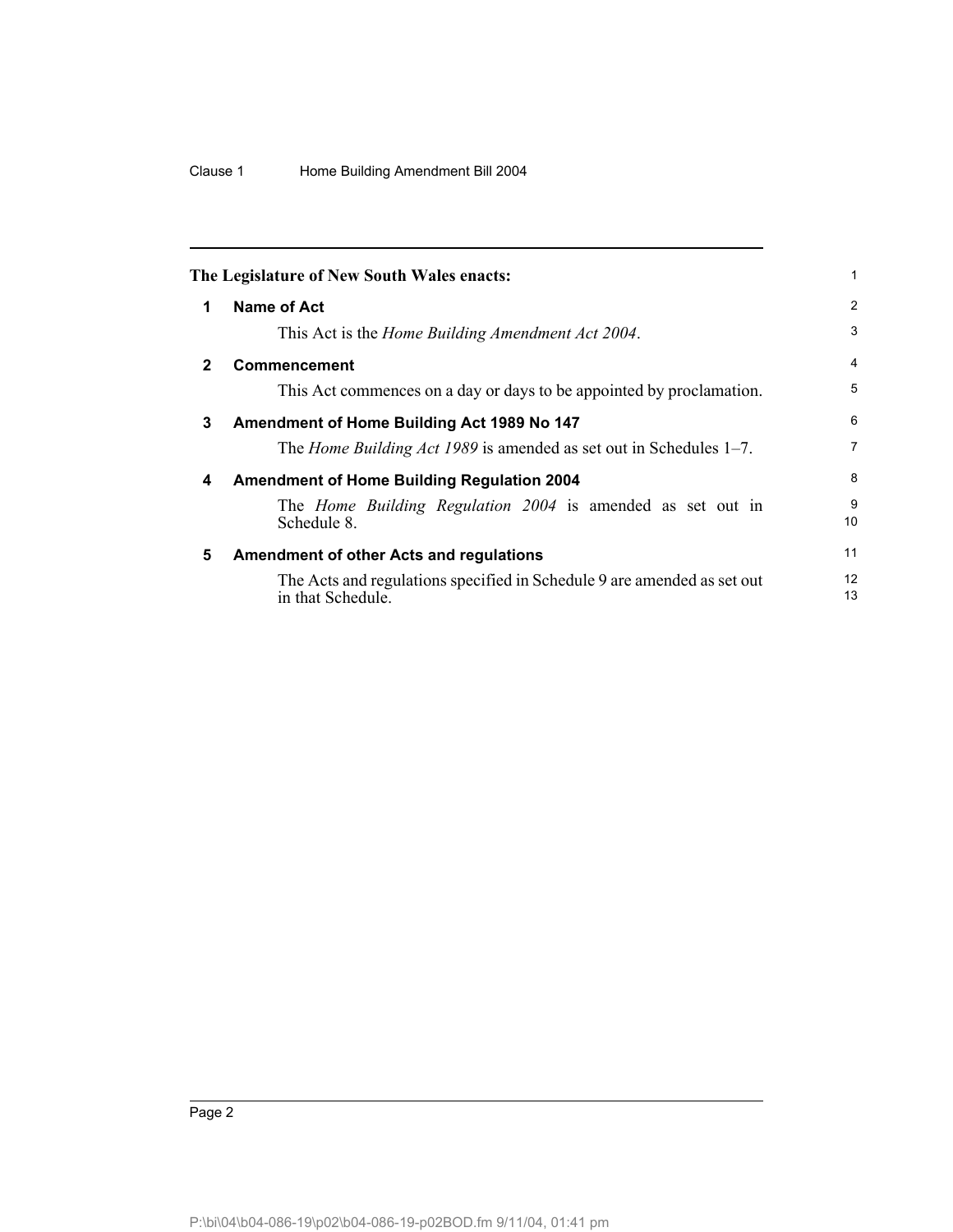<span id="page-15-3"></span><span id="page-15-2"></span><span id="page-15-1"></span><span id="page-15-0"></span>

|              | The Legislature of New South Wales enacts:                                                   | 1                       |  |  |  |  |  |  |
|--------------|----------------------------------------------------------------------------------------------|-------------------------|--|--|--|--|--|--|
| 1            | Name of Act                                                                                  |                         |  |  |  |  |  |  |
|              | This Act is the <i>Home Building Amendment Act 2004</i> .                                    | 3                       |  |  |  |  |  |  |
| $\mathbf{2}$ | Commencement                                                                                 | $\overline{4}$          |  |  |  |  |  |  |
|              | This Act commences on a day or days to be appointed by proclamation.                         | 5                       |  |  |  |  |  |  |
| 3            | Amendment of Home Building Act 1989 No 147                                                   | 6                       |  |  |  |  |  |  |
|              | The <i>Home Building Act 1989</i> is amended as set out in Schedules 1–7.                    | 7                       |  |  |  |  |  |  |
| 4            | <b>Amendment of Home Building Regulation 2004</b>                                            | 8                       |  |  |  |  |  |  |
|              | The Home Building Regulation 2004 is amended as set out in<br>Schedule 8.                    | 9<br>10 <sup>°</sup>    |  |  |  |  |  |  |
| 5            | <b>Amendment of other Acts and regulations</b>                                               | 11                      |  |  |  |  |  |  |
|              | The Acts and regulations specified in Schedule 9 are amended as set out<br>in that Schedule. | $12 \overline{ }$<br>13 |  |  |  |  |  |  |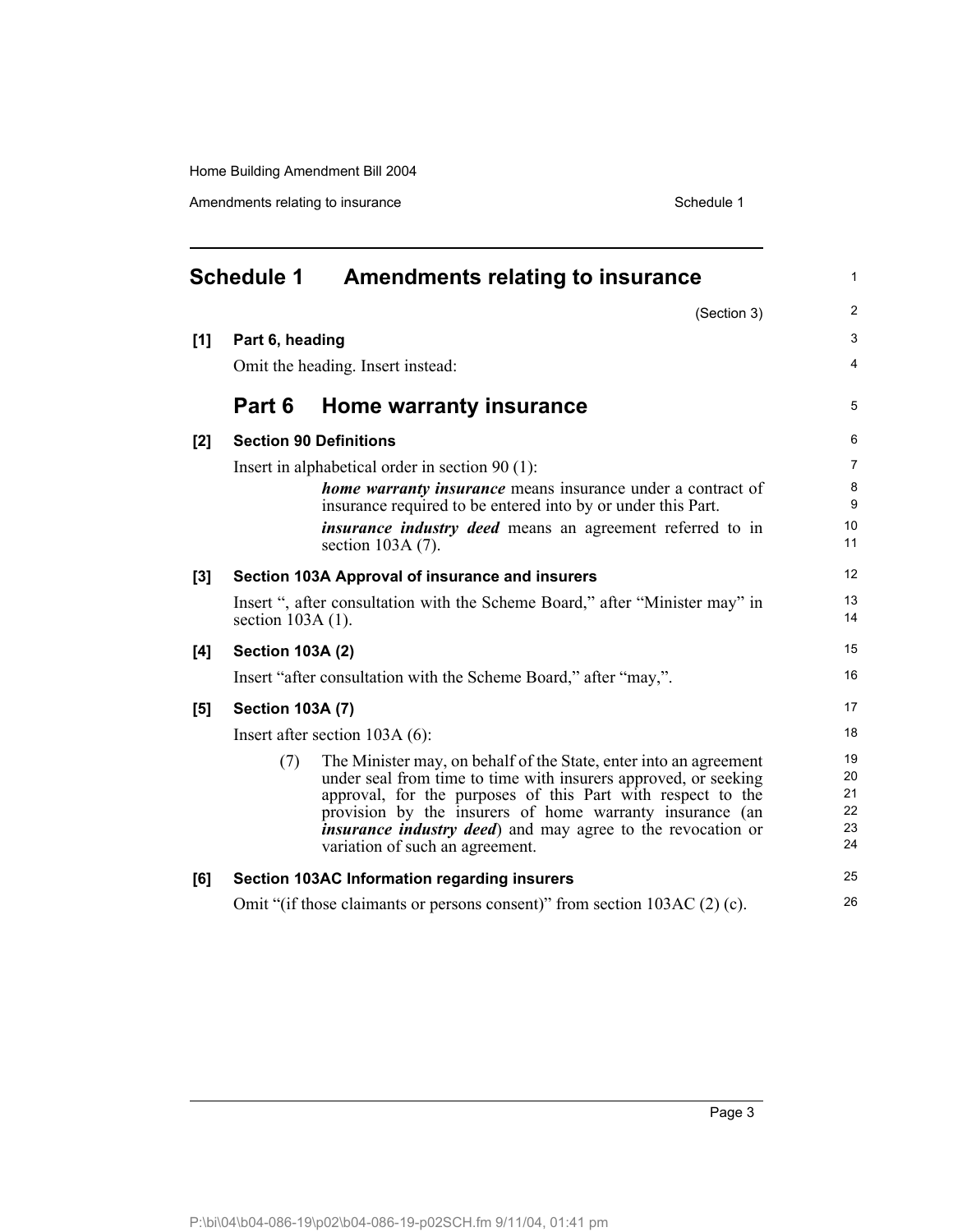Amendments relating to insurance **Schedule 1** Schedule 1

<span id="page-16-0"></span>

|     | <b>Schedule 1</b>       | <b>Amendments relating to insurance</b>                                                                                                                                                                                                                                                                                                                                   | $\mathbf{1}$                     |
|-----|-------------------------|---------------------------------------------------------------------------------------------------------------------------------------------------------------------------------------------------------------------------------------------------------------------------------------------------------------------------------------------------------------------------|----------------------------------|
|     |                         | (Section 3)                                                                                                                                                                                                                                                                                                                                                               | $\overline{2}$                   |
| [1] | Part 6, heading         |                                                                                                                                                                                                                                                                                                                                                                           | 3                                |
|     |                         | Omit the heading. Insert instead:                                                                                                                                                                                                                                                                                                                                         | $\overline{4}$                   |
|     | Part 6                  | Home warranty insurance                                                                                                                                                                                                                                                                                                                                                   | 5                                |
| [2] |                         | <b>Section 90 Definitions</b>                                                                                                                                                                                                                                                                                                                                             | 6                                |
|     |                         | Insert in alphabetical order in section $90(1)$ :                                                                                                                                                                                                                                                                                                                         | 7                                |
|     |                         | <b>home warranty insurance</b> means insurance under a contract of<br>insurance required to be entered into by or under this Part.                                                                                                                                                                                                                                        | 8<br>9                           |
|     |                         | <i>insurance industry deed</i> means an agreement referred to in<br>section $103A(7)$ .                                                                                                                                                                                                                                                                                   | 10<br>11                         |
| [3] |                         | Section 103A Approval of insurance and insurers                                                                                                                                                                                                                                                                                                                           | 12                               |
|     | section $103A(1)$ .     | Insert ", after consultation with the Scheme Board," after "Minister may" in                                                                                                                                                                                                                                                                                              | 13<br>14                         |
| [4] | <b>Section 103A (2)</b> |                                                                                                                                                                                                                                                                                                                                                                           | 15                               |
|     |                         | Insert "after consultation with the Scheme Board," after "may,".                                                                                                                                                                                                                                                                                                          | 16                               |
| [5] | <b>Section 103A (7)</b> |                                                                                                                                                                                                                                                                                                                                                                           | 17                               |
|     |                         | Insert after section $103A(6)$ :                                                                                                                                                                                                                                                                                                                                          | 18                               |
|     | (7)                     | The Minister may, on behalf of the State, enter into an agreement<br>under seal from time to time with insurers approved, or seeking<br>approval, for the purposes of this Part with respect to the<br>provision by the insurers of home warranty insurance (an<br><i>insurance industry deed</i> ) and may agree to the revocation or<br>variation of such an agreement. | 19<br>20<br>21<br>22<br>23<br>24 |
| [6] |                         | <b>Section 103AC Information regarding insurers</b>                                                                                                                                                                                                                                                                                                                       | 25                               |
|     |                         | Omit "(if those claimants or persons consent)" from section 103AC (2) (c).                                                                                                                                                                                                                                                                                                | 26                               |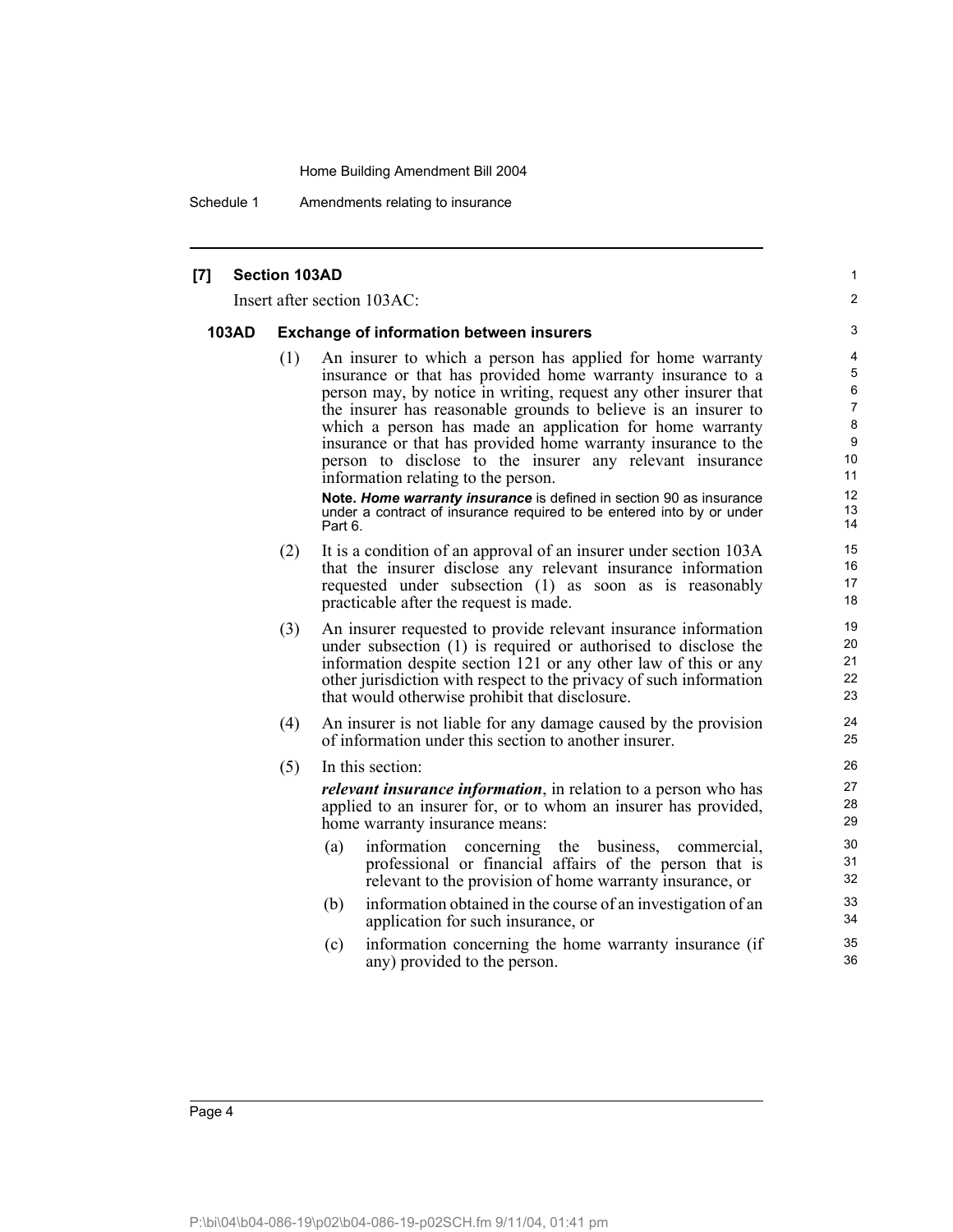Schedule 1 Amendments relating to insurance

#### **[7] Section 103AD**

Insert after section 103AC:

#### **103AD Exchange of information between insurers**

(1) An insurer to which a person has applied for home warranty insurance or that has provided home warranty insurance to a person may, by notice in writing, request any other insurer that the insurer has reasonable grounds to believe is an insurer to which a person has made an application for home warranty insurance or that has provided home warranty insurance to the person to disclose to the insurer any relevant insurance information relating to the person.

1  $\mathfrak{p}$ 

**Note.** *Home warranty insurance* is defined in section 90 as insurance under a contract of insurance required to be entered into by or under Part 6.

- (2) It is a condition of an approval of an insurer under section 103A that the insurer disclose any relevant insurance information requested under subsection (1) as soon as is reasonably practicable after the request is made.
- (3) An insurer requested to provide relevant insurance information under subsection (1) is required or authorised to disclose the information despite section 121 or any other law of this or any other jurisdiction with respect to the privacy of such information that would otherwise prohibit that disclosure.
- (4) An insurer is not liable for any damage caused by the provision of information under this section to another insurer.
- (5) In this section:

*relevant insurance information*, in relation to a person who has applied to an insurer for, or to whom an insurer has provided, home warranty insurance means:

- (a) information concerning the business, commercial, professional or financial affairs of the person that is relevant to the provision of home warranty insurance, or
- (b) information obtained in the course of an investigation of an application for such insurance, or
- (c) information concerning the home warranty insurance (if any) provided to the person.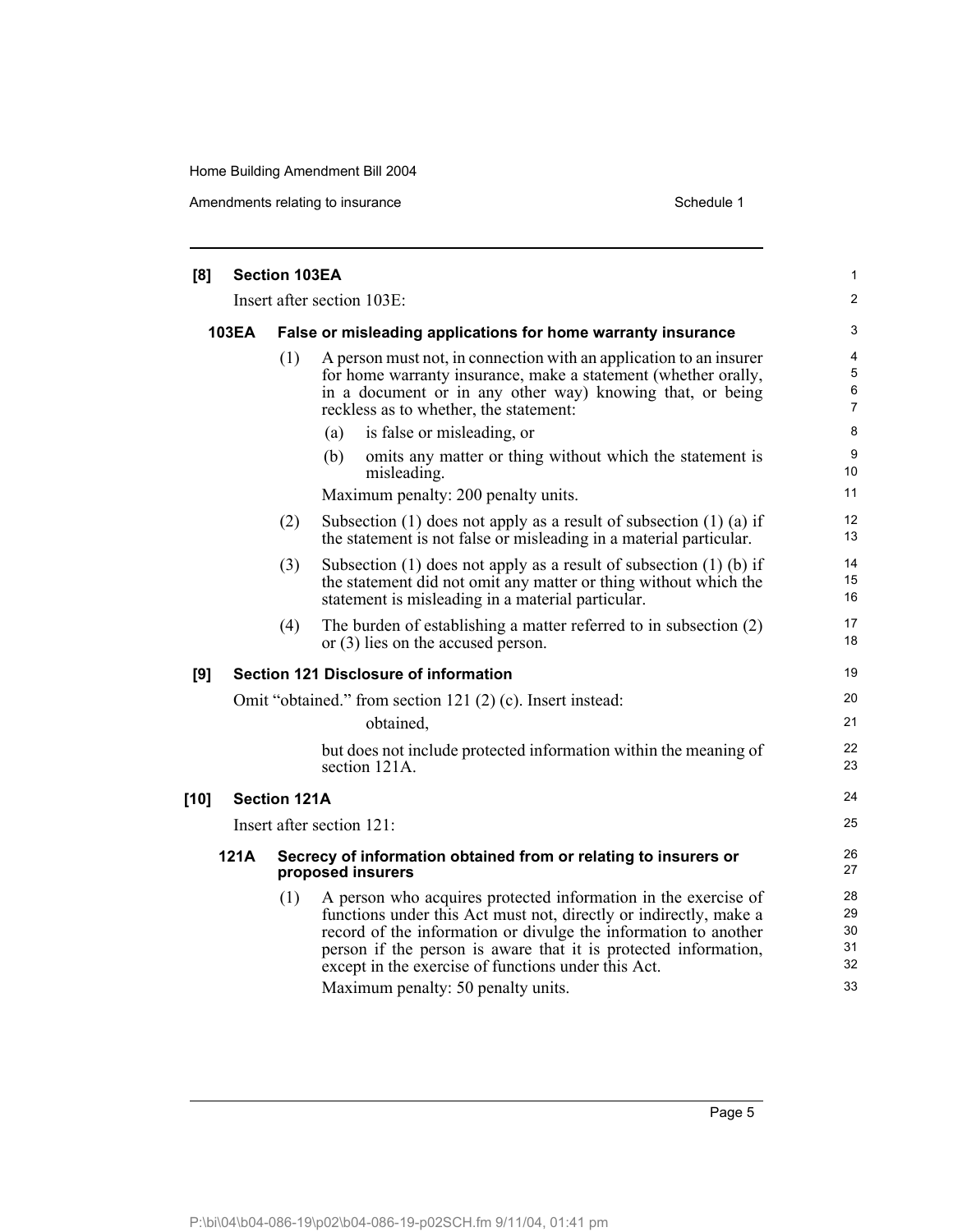| Schedule 1 |  |
|------------|--|
|            |  |

| [8]    | <b>Section 103EA</b>                         |                     |                                                                                                                                                                                                                                                                                                                                                                        |                                                                                                           |          |  |
|--------|----------------------------------------------|---------------------|------------------------------------------------------------------------------------------------------------------------------------------------------------------------------------------------------------------------------------------------------------------------------------------------------------------------------------------------------------------------|-----------------------------------------------------------------------------------------------------------|----------|--|
|        |                                              |                     | Insert after section 103E:                                                                                                                                                                                                                                                                                                                                             | $\overline{c}$                                                                                            |          |  |
|        | <b>103EA</b>                                 |                     | False or misleading applications for home warranty insurance                                                                                                                                                                                                                                                                                                           | 3                                                                                                         |          |  |
|        |                                              | (1)                 | A person must not, in connection with an application to an insurer<br>for home warranty insurance, make a statement (whether orally,<br>in a document or in any other way) knowing that, or being<br>reckless as to whether, the statement:                                                                                                                            | 4<br>5<br>6<br>7                                                                                          |          |  |
|        |                                              |                     | is false or misleading, or<br>(a)                                                                                                                                                                                                                                                                                                                                      | 8                                                                                                         |          |  |
|        |                                              |                     | (b)<br>omits any matter or thing without which the statement is<br>misleading.                                                                                                                                                                                                                                                                                         | 9<br>10                                                                                                   |          |  |
|        |                                              |                     | Maximum penalty: 200 penalty units.                                                                                                                                                                                                                                                                                                                                    | 11                                                                                                        |          |  |
|        |                                              | (2)                 | Subsection (1) does not apply as a result of subsection (1) (a) if<br>the statement is not false or misleading in a material particular.                                                                                                                                                                                                                               | 12<br>13                                                                                                  |          |  |
|        |                                              | (3)                 | Subsection $(1)$ does not apply as a result of subsection $(1)$ $(b)$ if<br>the statement did not omit any matter or thing without which the<br>statement is misleading in a material particular.                                                                                                                                                                      | 14<br>15<br>16                                                                                            |          |  |
|        |                                              |                     | (4)                                                                                                                                                                                                                                                                                                                                                                    | The burden of establishing a matter referred to in subsection (2)<br>or $(3)$ lies on the accused person. | 17<br>18 |  |
| [9]    | <b>Section 121 Disclosure of information</b> |                     |                                                                                                                                                                                                                                                                                                                                                                        | 19                                                                                                        |          |  |
|        |                                              |                     | Omit "obtained." from section 121 (2) (c). Insert instead:<br>obtained,                                                                                                                                                                                                                                                                                                | 20<br>21                                                                                                  |          |  |
|        |                                              |                     | but does not include protected information within the meaning of<br>section 121A.                                                                                                                                                                                                                                                                                      | 22<br>23                                                                                                  |          |  |
| $[10]$ |                                              | <b>Section 121A</b> |                                                                                                                                                                                                                                                                                                                                                                        | 24                                                                                                        |          |  |
|        |                                              |                     | Insert after section 121:                                                                                                                                                                                                                                                                                                                                              | 25                                                                                                        |          |  |
|        | 121A                                         |                     | Secrecy of information obtained from or relating to insurers or<br>proposed insurers                                                                                                                                                                                                                                                                                   | 26<br>27                                                                                                  |          |  |
|        |                                              | (1)                 | A person who acquires protected information in the exercise of<br>functions under this Act must not, directly or indirectly, make a<br>record of the information or divulge the information to another<br>person if the person is aware that it is protected information,<br>except in the exercise of functions under this Act.<br>Maximum penalty: 50 penalty units. | 28<br>29<br>30<br>31<br>32<br>33                                                                          |          |  |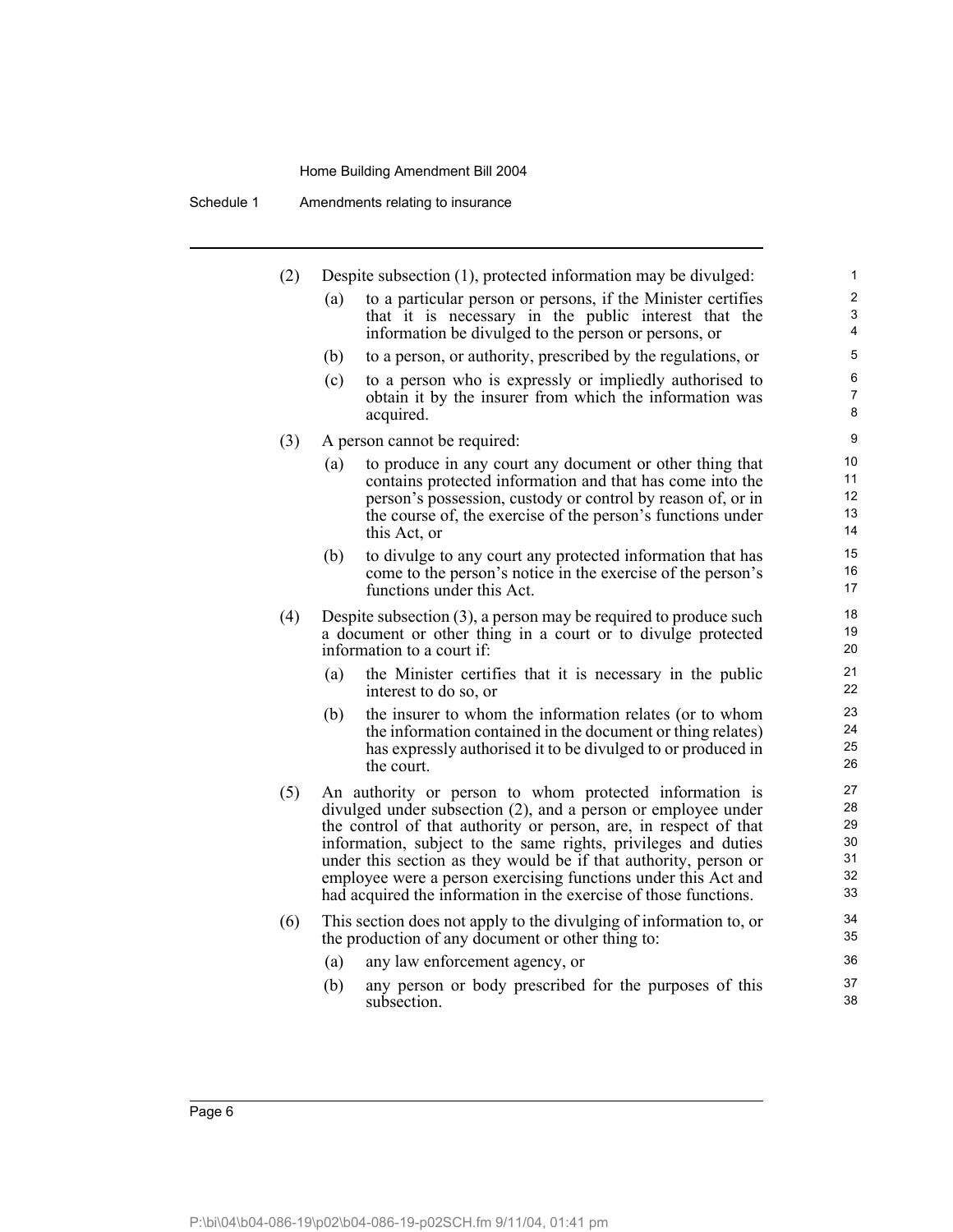Schedule 1 Amendments relating to insurance

| (2) |     | Despite subsection (1), protected information may be divulged:                                                                                                                                                                                                                                                                                                                                                                                                           | $\mathbf{1}$                           |
|-----|-----|--------------------------------------------------------------------------------------------------------------------------------------------------------------------------------------------------------------------------------------------------------------------------------------------------------------------------------------------------------------------------------------------------------------------------------------------------------------------------|----------------------------------------|
|     | (a) | to a particular person or persons, if the Minister certifies<br>that it is necessary in the public interest that the<br>information be divulged to the person or persons, or                                                                                                                                                                                                                                                                                             | $\overline{2}$<br>3<br>4               |
|     | (b) | to a person, or authority, prescribed by the regulations, or                                                                                                                                                                                                                                                                                                                                                                                                             | 5                                      |
|     | (c) | to a person who is expressly or impliedly authorised to<br>obtain it by the insurer from which the information was<br>acquired.                                                                                                                                                                                                                                                                                                                                          | 6<br>$\overline{7}$<br>8               |
| (3) |     | A person cannot be required:                                                                                                                                                                                                                                                                                                                                                                                                                                             | 9                                      |
|     | (a) | to produce in any court any document or other thing that<br>contains protected information and that has come into the<br>person's possession, custody or control by reason of, or in<br>the course of, the exercise of the person's functions under<br>this Act, or                                                                                                                                                                                                      | 10<br>11<br>12<br>13<br>14             |
|     | (b) | to divulge to any court any protected information that has<br>come to the person's notice in the exercise of the person's<br>functions under this Act.                                                                                                                                                                                                                                                                                                                   | 15<br>16<br>17                         |
| (4) |     | Despite subsection $(3)$ , a person may be required to produce such<br>a document or other thing in a court or to divulge protected<br>information to a court if:                                                                                                                                                                                                                                                                                                        | 18<br>19<br>20                         |
|     | (a) | the Minister certifies that it is necessary in the public<br>interest to do so, or                                                                                                                                                                                                                                                                                                                                                                                       | 21<br>22                               |
|     | (b) | the insurer to whom the information relates (or to whom<br>the information contained in the document or thing relates)<br>has expressly authorised it to be divulged to or produced in<br>the court.                                                                                                                                                                                                                                                                     | 23<br>24<br>25<br>26                   |
| (5) |     | An authority or person to whom protected information is<br>divulged under subsection (2), and a person or employee under<br>the control of that authority or person, are, in respect of that<br>information, subject to the same rights, privileges and duties<br>under this section as they would be if that authority, person or<br>employee were a person exercising functions under this Act and<br>had acquired the information in the exercise of those functions. | 27<br>28<br>29<br>30<br>31<br>32<br>33 |
| (6) |     | This section does not apply to the divulging of information to, or<br>the production of any document or other thing to:                                                                                                                                                                                                                                                                                                                                                  | 34<br>35                               |
|     | (a) | any law enforcement agency, or                                                                                                                                                                                                                                                                                                                                                                                                                                           | 36                                     |
|     | (b) | any person or body prescribed for the purposes of this<br>subsection.                                                                                                                                                                                                                                                                                                                                                                                                    | 37<br>38                               |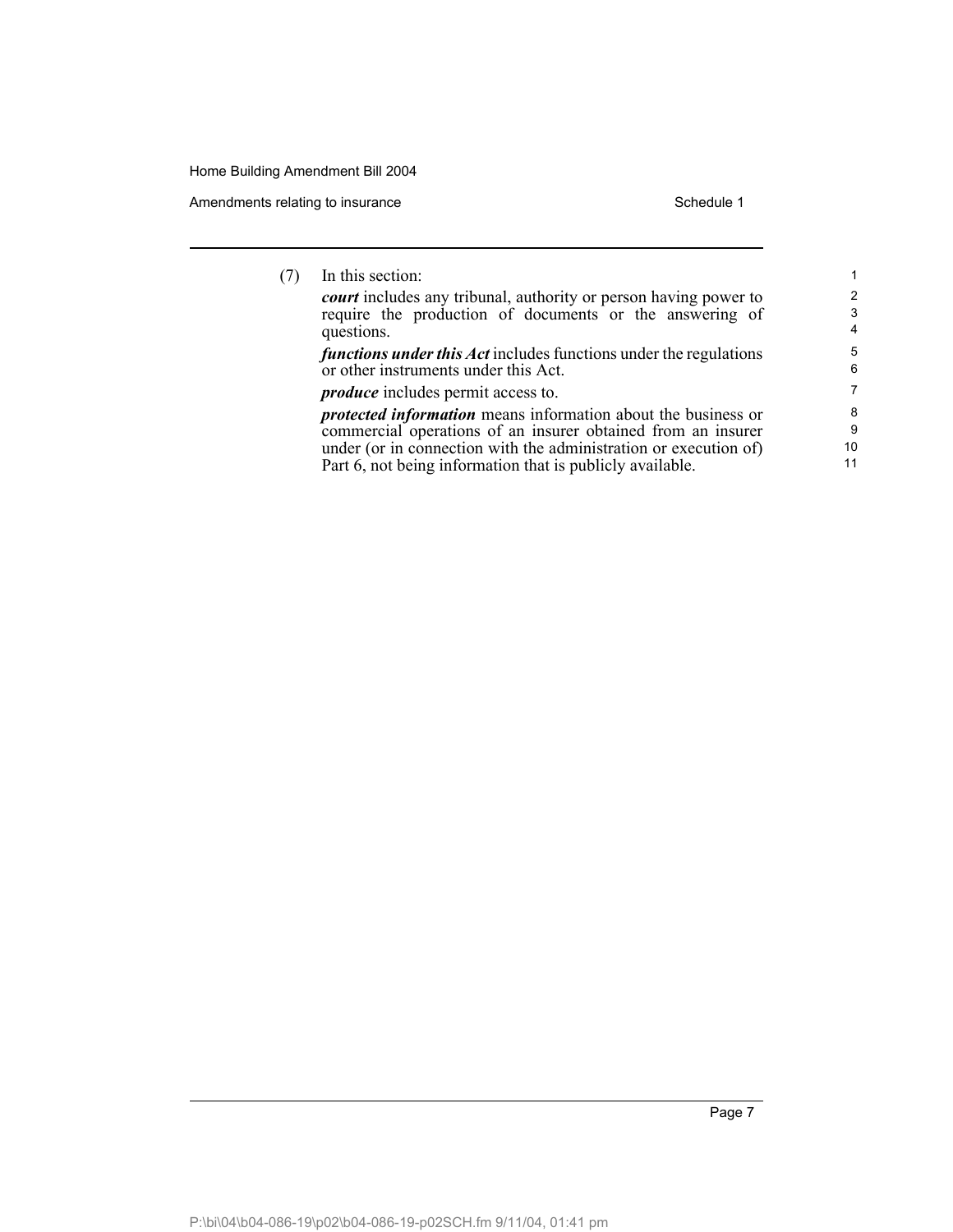Amendments relating to insurance Schedule 1

11

(7) In this section: *court* includes any tribunal, authority or person having power to require the production of documents or the answering of questions. *functions under this Act* includes functions under the regulations or other instruments under this Act. *produce* includes permit access to. *protected information* means information about the business or commercial operations of an insurer obtained from an insurer under (or in connection with the administration or execution of) 1 2 3 4 5 6 7 8 9 10

Part 6, not being information that is publicly available.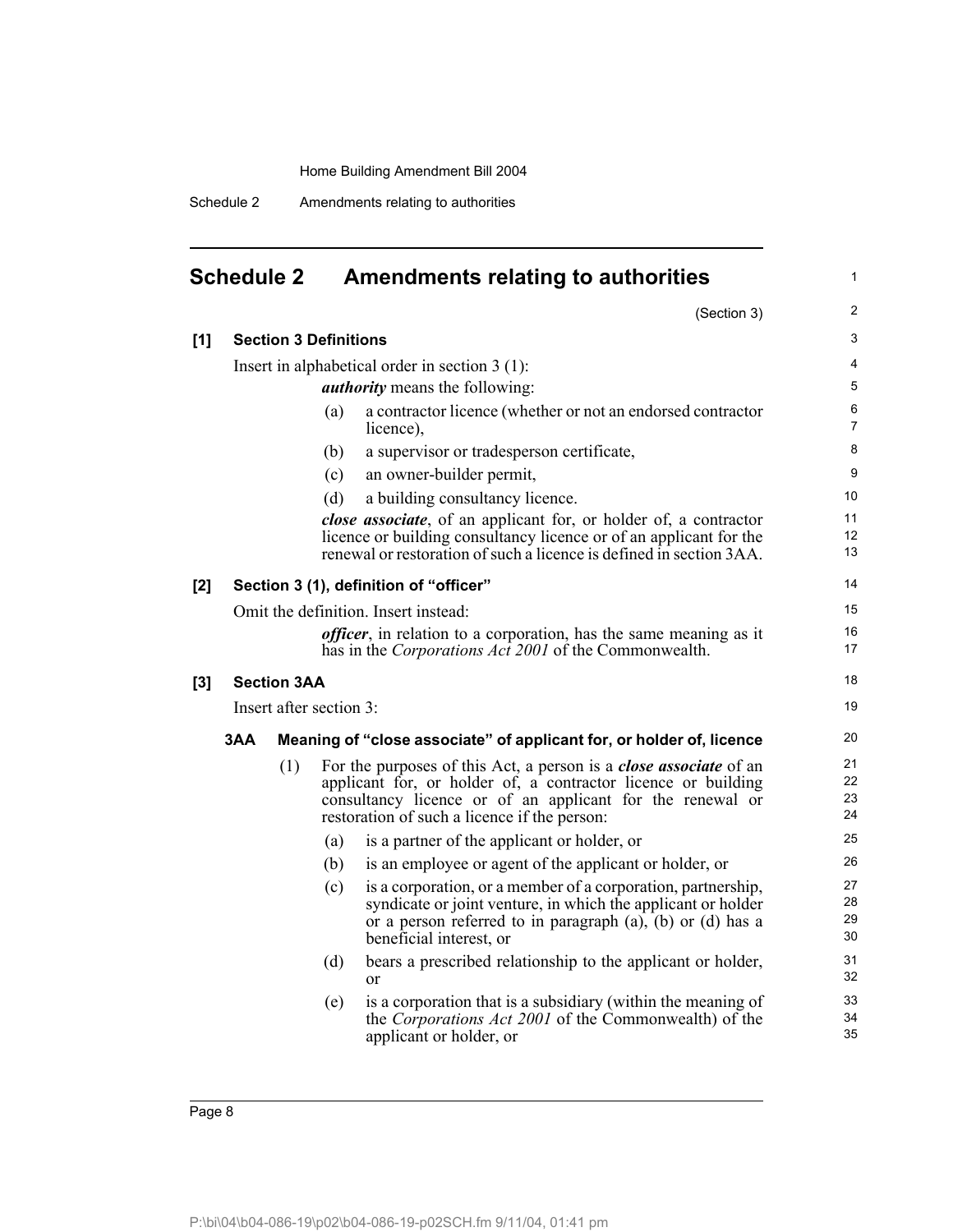Schedule 2 Amendments relating to authorities

# <span id="page-21-0"></span>**Schedule 2 Amendments relating to authorities**

1

2

|       |                                                                             |                              |     | (Section 3)                                                                                                                                                                                                                                            | 2                    |  |  |
|-------|-----------------------------------------------------------------------------|------------------------------|-----|--------------------------------------------------------------------------------------------------------------------------------------------------------------------------------------------------------------------------------------------------------|----------------------|--|--|
| [1]   |                                                                             | <b>Section 3 Definitions</b> |     |                                                                                                                                                                                                                                                        | 3                    |  |  |
|       | Insert in alphabetical order in section $3(1)$ :                            |                              |     |                                                                                                                                                                                                                                                        |                      |  |  |
|       |                                                                             |                              |     | <i>authority</i> means the following:                                                                                                                                                                                                                  | 5                    |  |  |
|       |                                                                             |                              | (a) | a contractor licence (whether or not an endorsed contractor<br>licence),                                                                                                                                                                               | 6<br>$\overline{7}$  |  |  |
|       |                                                                             |                              | (b) | a supervisor or tradesperson certificate,                                                                                                                                                                                                              | 8                    |  |  |
|       |                                                                             |                              | (c) | an owner-builder permit,                                                                                                                                                                                                                               | 9                    |  |  |
|       |                                                                             |                              | (d) | a building consultancy licence.                                                                                                                                                                                                                        | 10                   |  |  |
|       |                                                                             |                              |     | close associate, of an applicant for, or holder of, a contractor<br>licence or building consultancy licence or of an applicant for the<br>renewal or restoration of such a licence is defined in section 3AA.                                          | 11<br>12<br>13       |  |  |
| $[2]$ |                                                                             |                              |     | Section 3 (1), definition of "officer"                                                                                                                                                                                                                 | 14                   |  |  |
|       | Omit the definition. Insert instead:                                        |                              |     |                                                                                                                                                                                                                                                        |                      |  |  |
|       |                                                                             |                              |     | <i>officer</i> , in relation to a corporation, has the same meaning as it<br>has in the <i>Corporations Act 2001</i> of the Commonwealth.                                                                                                              | 16<br>17             |  |  |
| $[3]$ |                                                                             | <b>Section 3AA</b>           |     |                                                                                                                                                                                                                                                        | 18                   |  |  |
|       | Insert after section 3:                                                     |                              |     |                                                                                                                                                                                                                                                        |                      |  |  |
|       | 3AA<br>Meaning of "close associate" of applicant for, or holder of, licence |                              |     |                                                                                                                                                                                                                                                        | 20                   |  |  |
|       | (1)                                                                         |                              |     | For the purposes of this Act, a person is a <i>close associate</i> of an<br>applicant for, or holder of, a contractor licence or building<br>consultancy licence or of an applicant for the renewal or<br>restoration of such a licence if the person: | 21<br>22<br>23<br>24 |  |  |
|       |                                                                             |                              | (a) | is a partner of the applicant or holder, or                                                                                                                                                                                                            | 25                   |  |  |
|       |                                                                             |                              | (b) | is an employee or agent of the applicant or holder, or                                                                                                                                                                                                 | 26                   |  |  |
|       |                                                                             |                              | (c) | is a corporation, or a member of a corporation, partnership,<br>syndicate or joint venture, in which the applicant or holder<br>or a person referred to in paragraph $(a)$ , $(b)$ or $(d)$ has a<br>beneficial interest, or                           | 27<br>28<br>29<br>30 |  |  |
|       |                                                                             |                              | (d) | bears a prescribed relationship to the applicant or holder,<br>$\alpha$                                                                                                                                                                                | 31<br>32             |  |  |
|       |                                                                             |                              | (e) | is a corporation that is a subsidiary (within the meaning of<br>the Corporations Act 2001 of the Commonwealth) of the<br>applicant or holder, or                                                                                                       | 33<br>34<br>35       |  |  |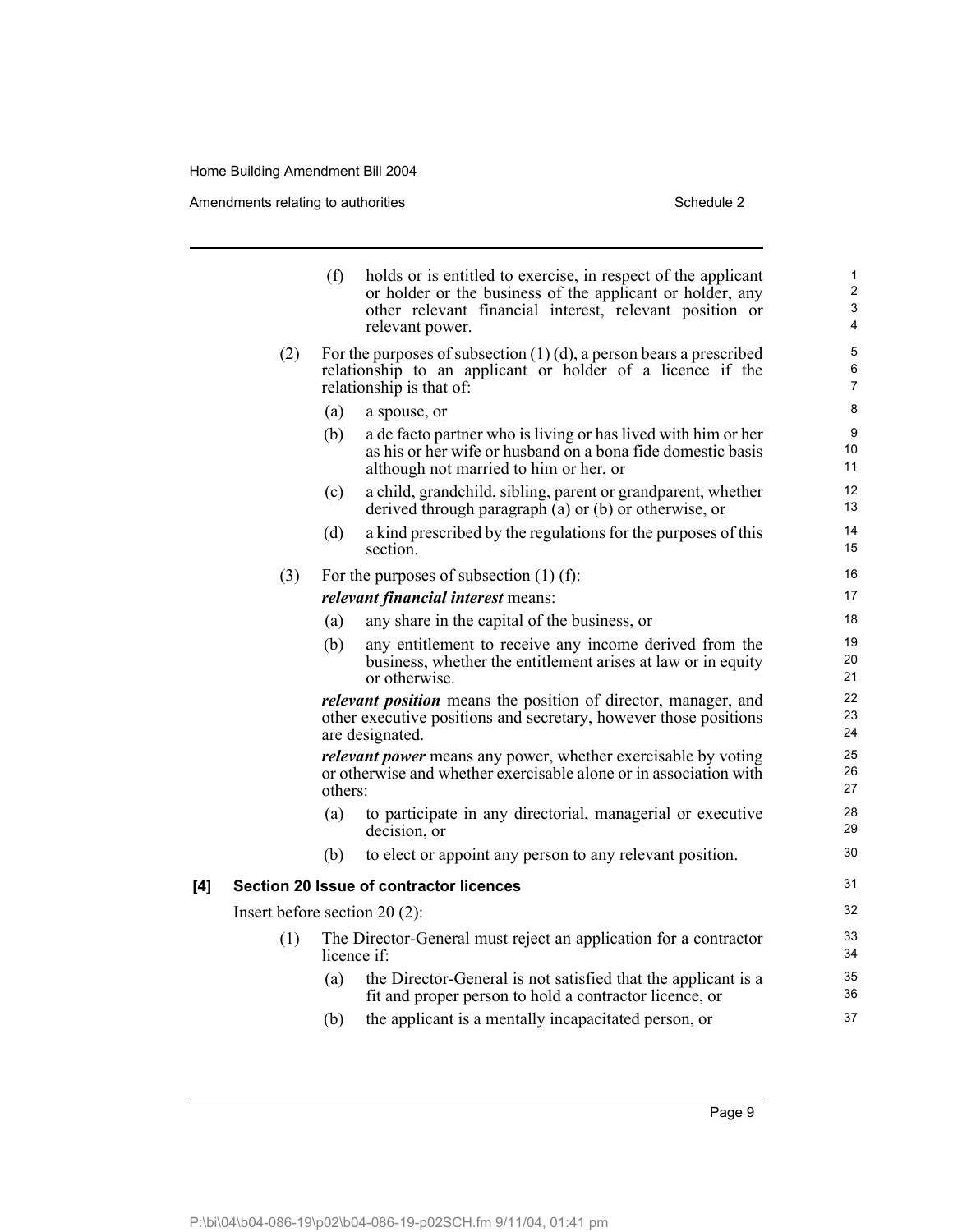Amendments relating to authorities **Schedule 2** Schedule 2

|     |                                 | (f)     | holds or is entitled to exercise, in respect of the applicant<br>or holder or the business of the applicant or holder, any<br>other relevant financial interest, relevant position or<br>relevant power. | $\mathbf{1}$<br>$\overline{c}$<br>3<br>4 |
|-----|---------------------------------|---------|----------------------------------------------------------------------------------------------------------------------------------------------------------------------------------------------------------|------------------------------------------|
|     | (2)                             |         | For the purposes of subsection $(1)$ (d), a person bears a prescribed<br>relationship to an applicant or holder of a licence if the<br>relationship is that of:                                          | 5<br>6<br>$\overline{7}$                 |
|     |                                 | (a)     | a spouse, or                                                                                                                                                                                             | 8                                        |
|     |                                 | (b)     | a de facto partner who is living or has lived with him or her<br>as his or her wife or husband on a bona fide domestic basis<br>although not married to him or her, or                                   | 9<br>10<br>11                            |
|     |                                 | (c)     | a child, grandchild, sibling, parent or grandparent, whether<br>derived through paragraph (a) or (b) or otherwise, or                                                                                    | 12<br>13                                 |
|     |                                 | (d)     | a kind prescribed by the regulations for the purposes of this<br>section.                                                                                                                                | 14<br>15                                 |
|     | (3)                             |         | For the purposes of subsection $(1)$ (f):                                                                                                                                                                | 16                                       |
|     |                                 |         | <i>relevant financial interest means:</i>                                                                                                                                                                | 17                                       |
|     |                                 | (a)     | any share in the capital of the business, or                                                                                                                                                             | 18                                       |
|     |                                 | (b)     | any entitlement to receive any income derived from the<br>business, whether the entitlement arises at law or in equity<br>or otherwise.                                                                  | 19<br>20<br>21                           |
|     |                                 |         | <i>relevant position</i> means the position of director, manager, and<br>other executive positions and secretary, however those positions<br>are designated.                                             | 22<br>23<br>24                           |
|     |                                 | others: | <i>relevant power</i> means any power, whether exercisable by voting<br>or otherwise and whether exercisable alone or in association with                                                                | 25<br>26<br>27                           |
|     |                                 | (a)     | to participate in any directorial, managerial or executive<br>decision, or                                                                                                                               | 28<br>29                                 |
|     |                                 | (b)     | to elect or appoint any person to any relevant position.                                                                                                                                                 | 30                                       |
| [4] |                                 |         | Section 20 Issue of contractor licences                                                                                                                                                                  | 31                                       |
|     | Insert before section $20(2)$ : |         |                                                                                                                                                                                                          | 32                                       |
|     | (1)                             |         | The Director-General must reject an application for a contractor<br>licence if:                                                                                                                          | 33<br>34                                 |
|     |                                 | (a)     | the Director-General is not satisfied that the applicant is a<br>fit and proper person to hold a contractor licence, or                                                                                  | 35<br>36                                 |
|     |                                 | (b)     | the applicant is a mentally incapacitated person, or                                                                                                                                                     | 37                                       |
|     |                                 |         |                                                                                                                                                                                                          |                                          |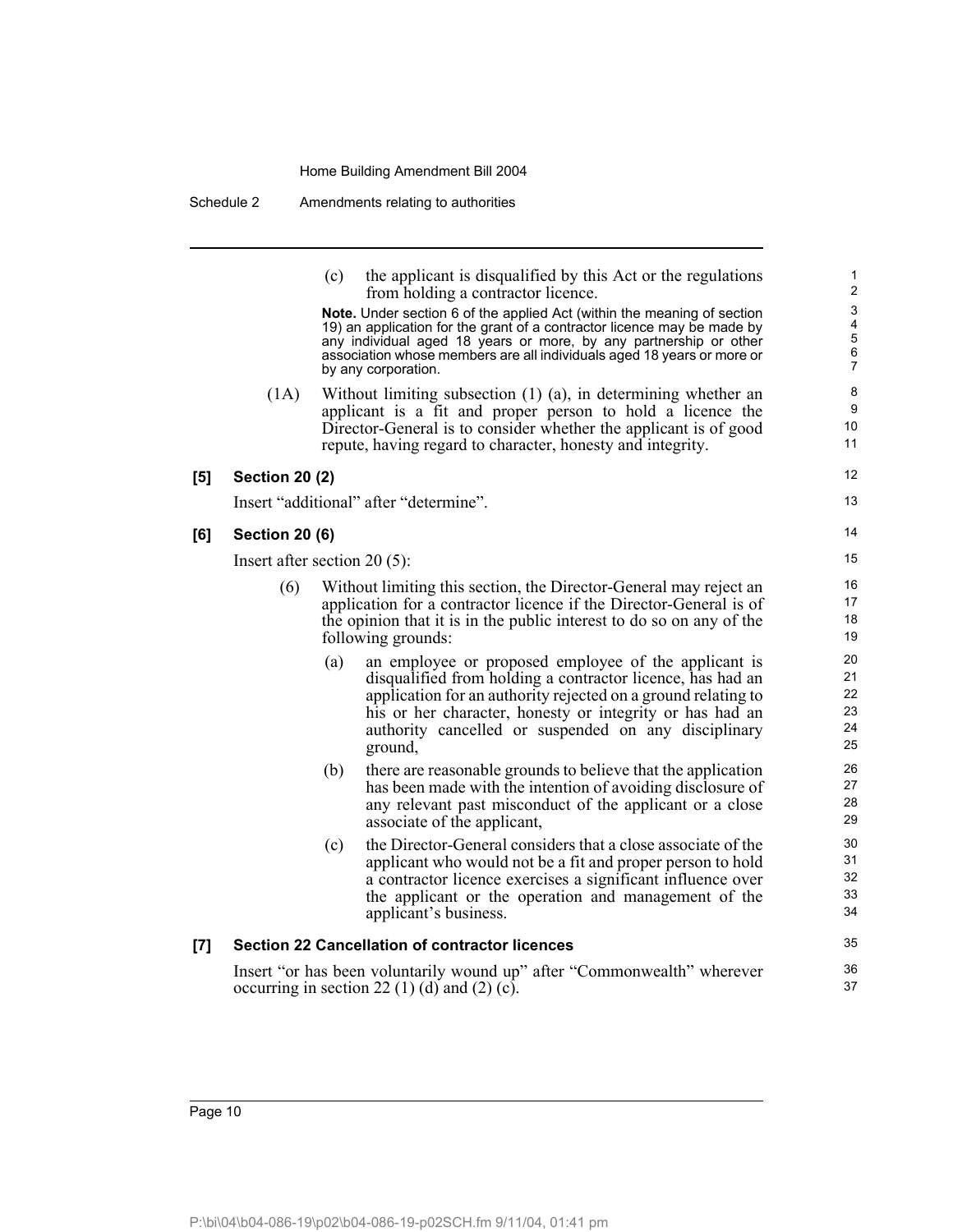Schedule 2 Amendments relating to authorities

(c) the applicant is disqualified by this Act or the regulations from holding a contractor licence.

12 13

35 36 37

**Note.** Under section 6 of the applied Act (within the meaning of section 19) an application for the grant of a contractor licence may be made by any individual aged 18 years or more, by any partnership or other association whose members are all individuals aged 18 years or more or by any corporation.

(1A) Without limiting subsection (1) (a), in determining whether an applicant is a fit and proper person to hold a licence the Director-General is to consider whether the applicant is of good repute, having regard to character, honesty and integrity.

#### **[5] Section 20 (2)**

Insert "additional" after "determine".

#### **[6] Section 20 (6)**

Insert after section 20 (5):

- (6) Without limiting this section, the Director-General may reject an application for a contractor licence if the Director-General is of the opinion that it is in the public interest to do so on any of the following grounds:
	- (a) an employee or proposed employee of the applicant is disqualified from holding a contractor licence, has had an application for an authority rejected on a ground relating to his or her character, honesty or integrity or has had an authority cancelled or suspended on any disciplinary ground,
	- (b) there are reasonable grounds to believe that the application has been made with the intention of avoiding disclosure of any relevant past misconduct of the applicant or a close associate of the applicant,
	- (c) the Director-General considers that a close associate of the applicant who would not be a fit and proper person to hold a contractor licence exercises a significant influence over the applicant or the operation and management of the applicant's business.

#### **[7] Section 22 Cancellation of contractor licences**

Insert "or has been voluntarily wound up" after "Commonwealth" wherever occurring in section 22 (1) (d) and (2) (c).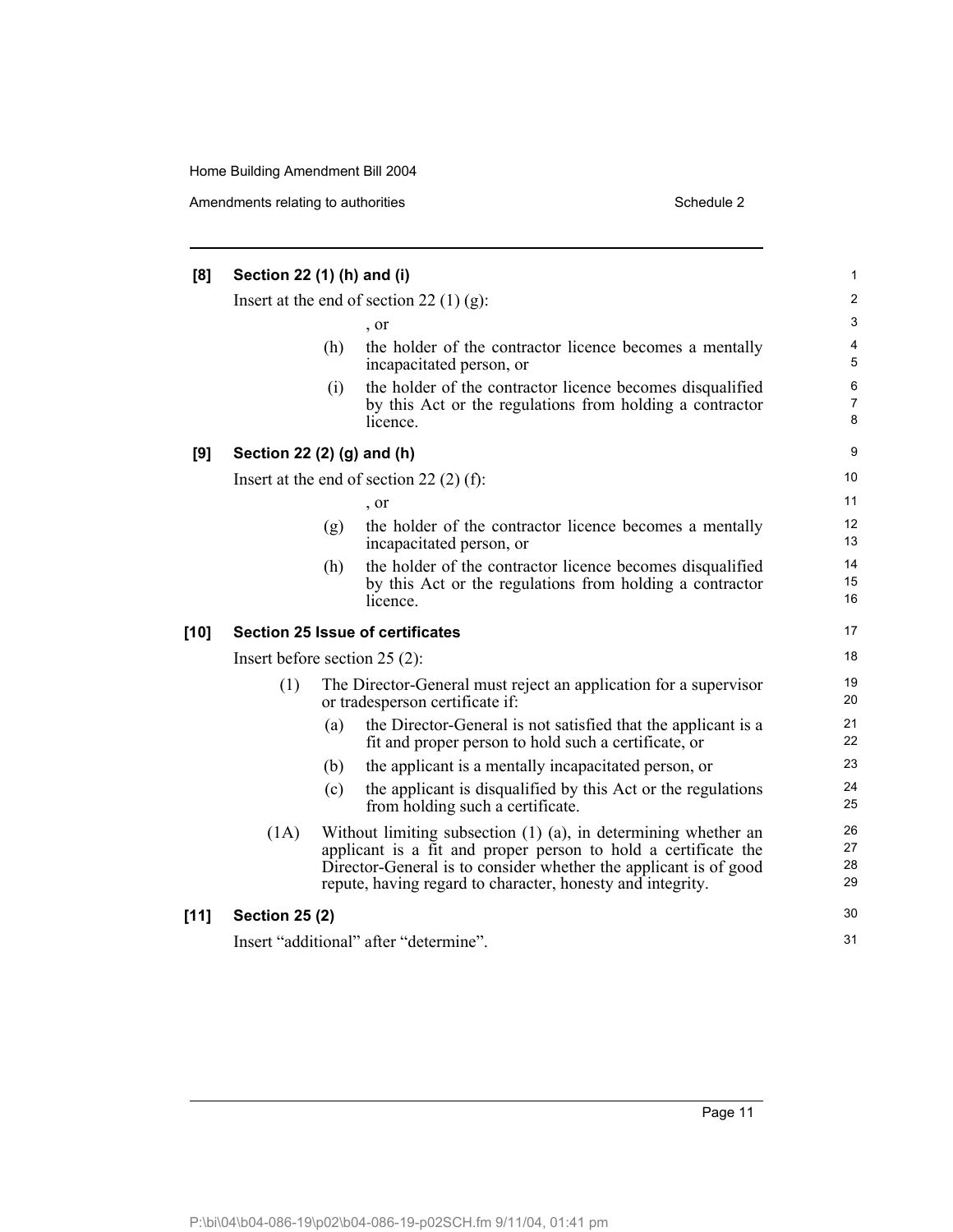| [8]    | Section 22 (1) (h) and (i)      |     |                                                                                                                                                                                                                                                                         | $\mathbf{1}$             |  |
|--------|---------------------------------|-----|-------------------------------------------------------------------------------------------------------------------------------------------------------------------------------------------------------------------------------------------------------------------------|--------------------------|--|
|        |                                 |     | Insert at the end of section 22 $(1)$ $(g)$ :                                                                                                                                                                                                                           | $\overline{c}$           |  |
|        |                                 |     | $\sim$ or                                                                                                                                                                                                                                                               | 3                        |  |
|        |                                 | (h) | the holder of the contractor licence becomes a mentally<br>incapacitated person, or                                                                                                                                                                                     | 4<br>5                   |  |
|        |                                 | (i) | the holder of the contractor licence becomes disqualified<br>by this Act or the regulations from holding a contractor<br>licence.                                                                                                                                       | 6<br>$\overline{7}$<br>8 |  |
| [9]    | Section 22 (2) (g) and (h)      |     |                                                                                                                                                                                                                                                                         | 9                        |  |
|        |                                 |     | Insert at the end of section 22 $(2)$ (f):                                                                                                                                                                                                                              | 10                       |  |
|        |                                 |     | , or                                                                                                                                                                                                                                                                    | 11                       |  |
|        |                                 | (g) | the holder of the contractor licence becomes a mentally<br>incapacitated person, or                                                                                                                                                                                     | 12<br>13                 |  |
|        |                                 | (h) | the holder of the contractor licence becomes disqualified<br>by this Act or the regulations from holding a contractor<br>licence.                                                                                                                                       | 14<br>15<br>16           |  |
| $[10]$ |                                 |     | <b>Section 25 Issue of certificates</b>                                                                                                                                                                                                                                 | 17                       |  |
|        | Insert before section $25(2)$ : |     |                                                                                                                                                                                                                                                                         | 18                       |  |
|        | (1)                             |     | The Director-General must reject an application for a supervisor<br>or tradesperson certificate if:                                                                                                                                                                     | 19<br>20                 |  |
|        |                                 | (a) | the Director-General is not satisfied that the applicant is a<br>fit and proper person to hold such a certificate, or                                                                                                                                                   | 21<br>22                 |  |
|        |                                 | (b) | the applicant is a mentally incapacitated person, or                                                                                                                                                                                                                    | 23                       |  |
|        |                                 | (c) | the applicant is disqualified by this Act or the regulations<br>from holding such a certificate.                                                                                                                                                                        | 24<br>25                 |  |
|        | (1A)                            |     | Without limiting subsection $(1)$ $(a)$ , in determining whether an<br>applicant is a fit and proper person to hold a certificate the<br>Director-General is to consider whether the applicant is of good<br>repute, having regard to character, honesty and integrity. | 26<br>27<br>28<br>29     |  |
| $[11]$ | <b>Section 25 (2)</b>           |     |                                                                                                                                                                                                                                                                         | 30                       |  |
|        |                                 |     | Insert "additional" after "determine".                                                                                                                                                                                                                                  | 31                       |  |
|        |                                 |     |                                                                                                                                                                                                                                                                         |                          |  |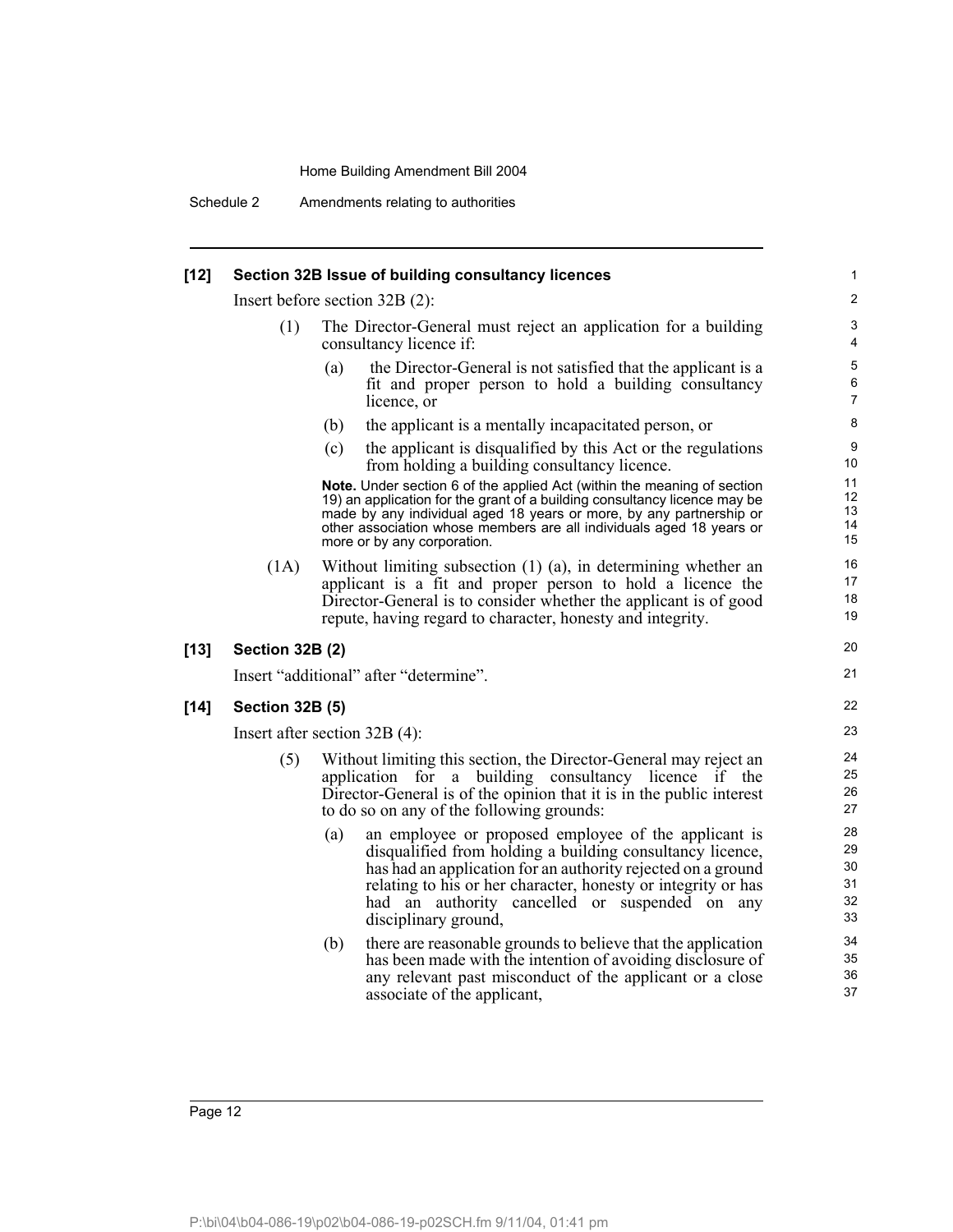Schedule 2 Amendments relating to authorities

#### **[12] Section 32B Issue of building consultancy licences**

Insert before section 32B (2):

- (1) The Director-General must reject an application for a building consultancy licence if:
	- (a) the Director-General is not satisfied that the applicant is a fit and proper person to hold a building consultancy licence, or

- (b) the applicant is a mentally incapacitated person, or
- (c) the applicant is disqualified by this Act or the regulations from holding a building consultancy licence.

**Note.** Under section 6 of the applied Act (within the meaning of section 19) an application for the grant of a building consultancy licence may be made by any individual aged 18 years or more, by any partnership or other association whose members are all individuals aged 18 years or more or by any corporation.

(1A) Without limiting subsection (1) (a), in determining whether an applicant is a fit and proper person to hold a licence the Director-General is to consider whether the applicant is of good repute, having regard to character, honesty and integrity.

#### **[13] Section 32B (2)**

Insert "additional" after "determine".

#### **[14] Section 32B (5)**

Insert after section 32B (4):

- (5) Without limiting this section, the Director-General may reject an application for a building consultancy licence if the Director-General is of the opinion that it is in the public interest to do so on any of the following grounds:
	- (a) an employee or proposed employee of the applicant is disqualified from holding a building consultancy licence, has had an application for an authority rejected on a ground relating to his or her character, honesty or integrity or has had an authority cancelled or suspended on any disciplinary ground,
	- (b) there are reasonable grounds to believe that the application has been made with the intention of avoiding disclosure of any relevant past misconduct of the applicant or a close associate of the applicant,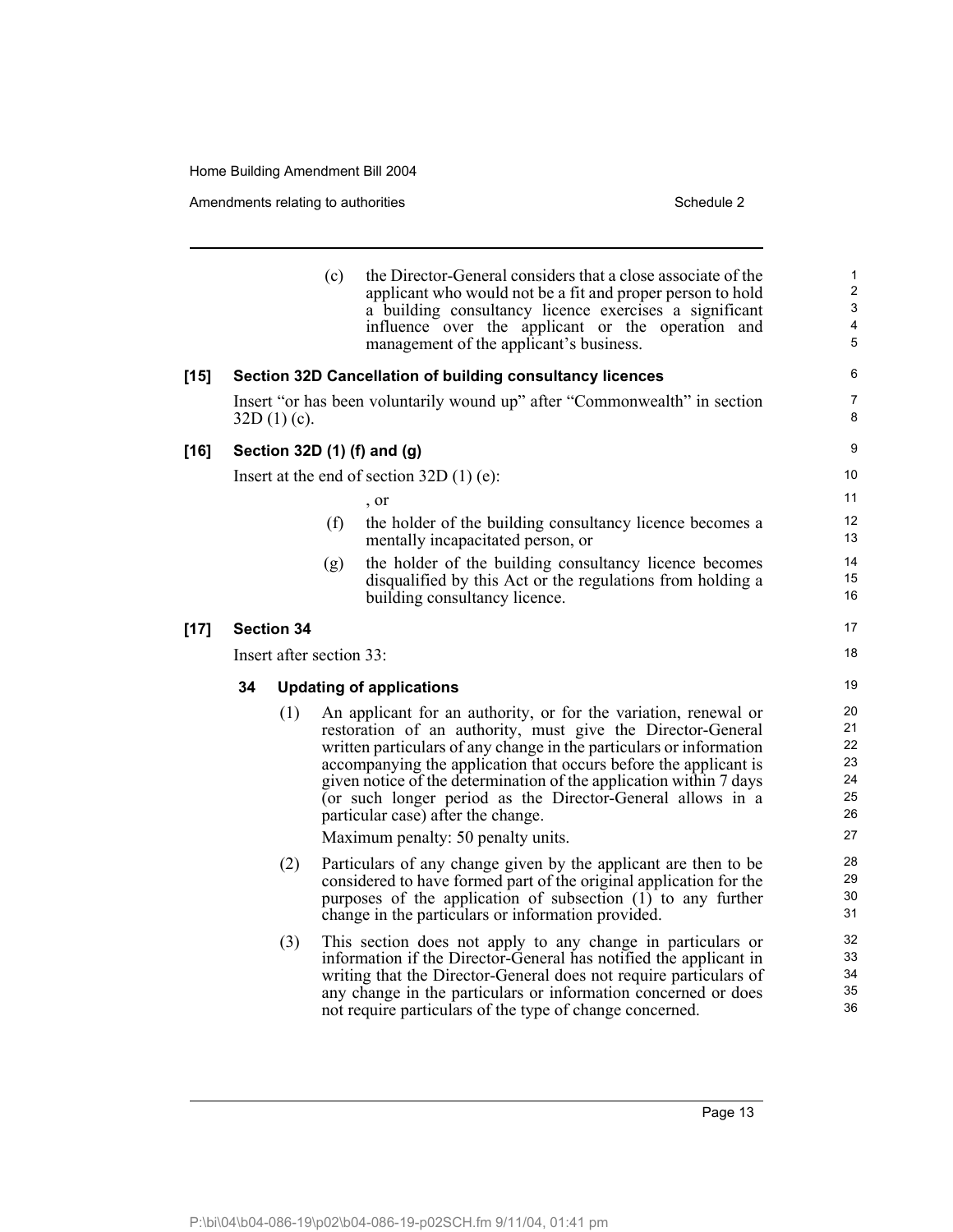Amendments relating to authorities **Schedule 2** Schedule 2

|        |    |                          | (c) | the Director-General considers that a close associate of the<br>applicant who would not be a fit and proper person to hold<br>a building consultancy licence exercises a significant<br>influence over the applicant or the operation and<br>management of the applicant's business.                                                                                                                                                                                                      | $\mathbf{1}$<br>$\overline{c}$<br>3<br>4<br>5 |
|--------|----|--------------------------|-----|-------------------------------------------------------------------------------------------------------------------------------------------------------------------------------------------------------------------------------------------------------------------------------------------------------------------------------------------------------------------------------------------------------------------------------------------------------------------------------------------|-----------------------------------------------|
| $[15]$ |    |                          |     | <b>Section 32D Cancellation of building consultancy licences</b>                                                                                                                                                                                                                                                                                                                                                                                                                          | 6                                             |
|        |    | $32D(1)(c)$ .            |     | Insert "or has been voluntarily wound up" after "Commonwealth" in section                                                                                                                                                                                                                                                                                                                                                                                                                 | 7<br>8                                        |
| $[16]$ |    |                          |     | Section 32D (1) (f) and (g)                                                                                                                                                                                                                                                                                                                                                                                                                                                               | 9                                             |
|        |    |                          |     | Insert at the end of section $32D(1)(e)$ :                                                                                                                                                                                                                                                                                                                                                                                                                                                | 10                                            |
|        |    |                          |     | , or                                                                                                                                                                                                                                                                                                                                                                                                                                                                                      | 11                                            |
|        |    |                          | (f) | the holder of the building consultancy licence becomes a<br>mentally incapacitated person, or                                                                                                                                                                                                                                                                                                                                                                                             | 12<br>13                                      |
|        |    |                          | (g) | the holder of the building consultancy licence becomes<br>disqualified by this Act or the regulations from holding a<br>building consultancy licence.                                                                                                                                                                                                                                                                                                                                     | 14<br>15<br>16                                |
| $[17]$ |    | <b>Section 34</b>        |     |                                                                                                                                                                                                                                                                                                                                                                                                                                                                                           | 17                                            |
|        |    | Insert after section 33: |     |                                                                                                                                                                                                                                                                                                                                                                                                                                                                                           | 18                                            |
|        | 34 |                          |     | <b>Updating of applications</b>                                                                                                                                                                                                                                                                                                                                                                                                                                                           | 19                                            |
|        |    | (1)                      |     | An applicant for an authority, or for the variation, renewal or<br>restoration of an authority, must give the Director-General<br>written particulars of any change in the particulars or information<br>accompanying the application that occurs before the applicant is<br>given notice of the determination of the application within 7 days<br>(or such longer period as the Director-General allows in a<br>particular case) after the change.<br>Maximum penalty: 50 penalty units. | 20<br>21<br>22<br>23<br>24<br>25<br>26<br>27  |
|        |    | (2)                      |     | Particulars of any change given by the applicant are then to be<br>considered to have formed part of the original application for the<br>purposes of the application of subsection $(1)$ to any further<br>change in the particulars or information provided.                                                                                                                                                                                                                             | 28<br>29<br>30<br>31                          |
|        |    | (3)                      |     | This section does not apply to any change in particulars or<br>information if the Director-General has notified the applicant in<br>writing that the Director-General does not require particulars of<br>any change in the particulars or information concerned or does<br>not require particulars of the type of change concerned.                                                                                                                                                       | 32<br>33<br>34<br>35<br>36                    |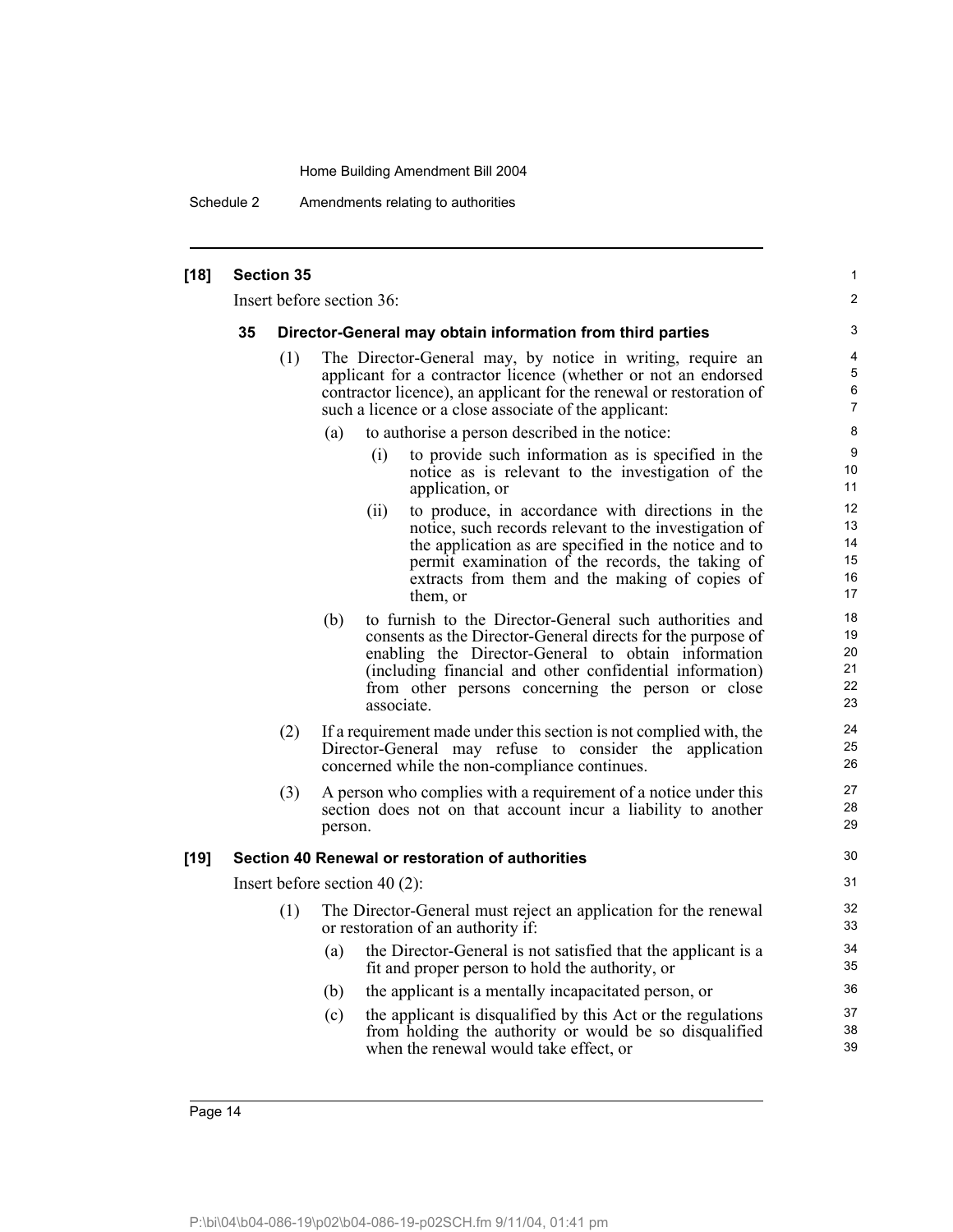Schedule 2 Amendments relating to authorities

# **[18] Section 35**

Insert before section 36:

#### **35 Director-General may obtain information from third parties**

- (1) The Director-General may, by notice in writing, require an applicant for a contractor licence (whether or not an endorsed contractor licence), an applicant for the renewal or restoration of such a licence or a close associate of the applicant:
	- (a) to authorise a person described in the notice:
		- (i) to provide such information as is specified in the notice as is relevant to the investigation of the application, or

1  $\mathfrak{p}$ 

- (ii) to produce, in accordance with directions in the notice, such records relevant to the investigation of the application as are specified in the notice and to permit examination of the records, the taking of extracts from them and the making of copies of them, or
- (b) to furnish to the Director-General such authorities and consents as the Director-General directs for the purpose of enabling the Director-General to obtain information (including financial and other confidential information) from other persons concerning the person or close associate.
- (2) If a requirement made under this section is not complied with, the Director-General may refuse to consider the application concerned while the non-compliance continues.
- (3) A person who complies with a requirement of a notice under this section does not on that account incur a liability to another person.

#### **[19] Section 40 Renewal or restoration of authorities**

Insert before section 40 (2):

- (1) The Director-General must reject an application for the renewal or restoration of an authority if:
	- (a) the Director-General is not satisfied that the applicant is a fit and proper person to hold the authority, or
	- (b) the applicant is a mentally incapacitated person, or
	- (c) the applicant is disqualified by this Act or the regulations from holding the authority or would be so disqualified when the renewal would take effect, or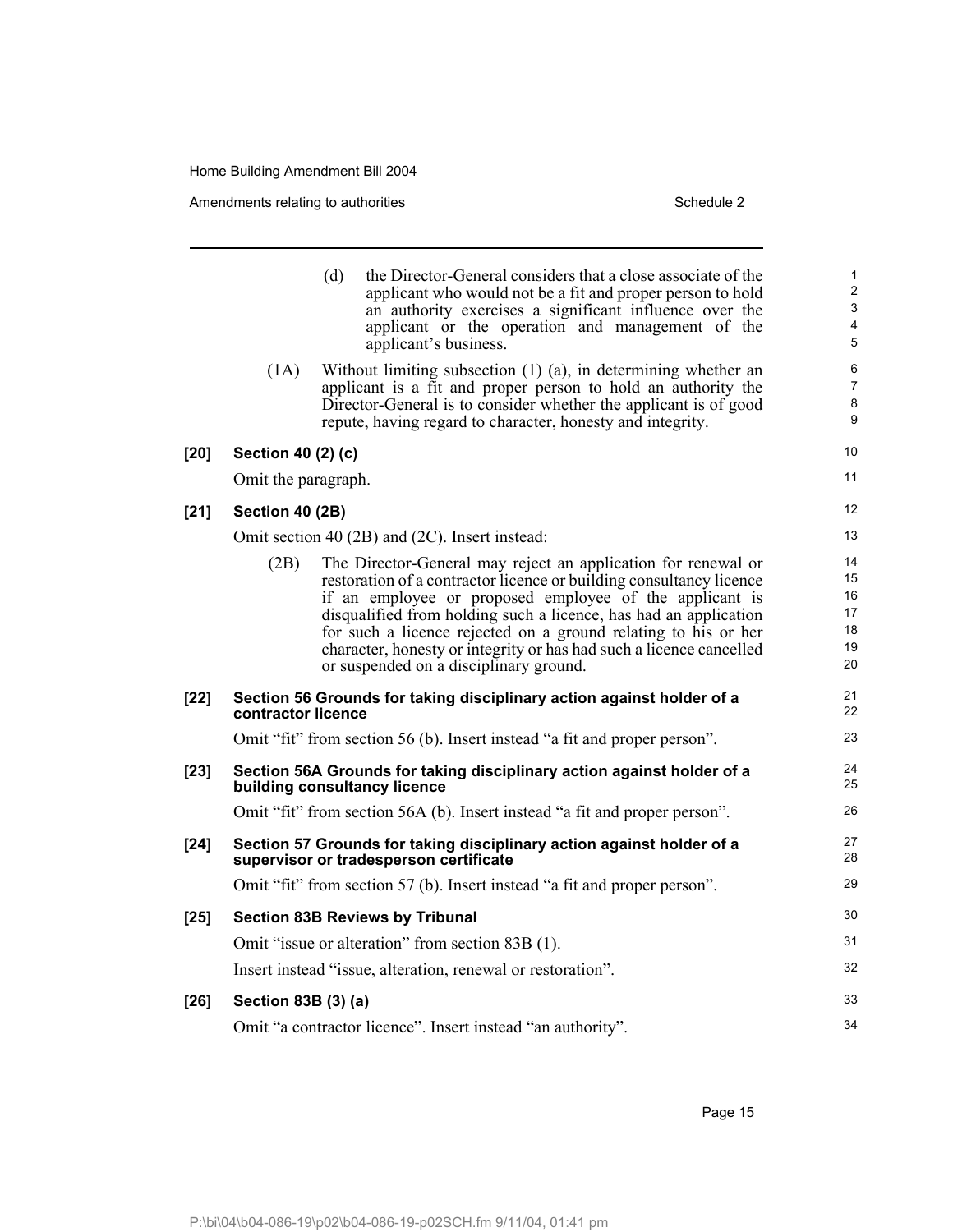Amendments relating to authorities **Schedule 2** Schedule 2

|        |                     | (d) | the Director-General considers that a close associate of the<br>applicant who would not be a fit and proper person to hold<br>an authority exercises a significant influence over the<br>applicant or the operation and management of the<br>applicant's business.                                                                                                                                                                                     | 1<br>$\overline{2}$<br>3<br>4<br>5     |
|--------|---------------------|-----|--------------------------------------------------------------------------------------------------------------------------------------------------------------------------------------------------------------------------------------------------------------------------------------------------------------------------------------------------------------------------------------------------------------------------------------------------------|----------------------------------------|
|        | (1A)                |     | Without limiting subsection $(1)$ $(a)$ , in determining whether an<br>applicant is a fit and proper person to hold an authority the<br>Director-General is to consider whether the applicant is of good<br>repute, having regard to character, honesty and integrity.                                                                                                                                                                                 | 6<br>$\overline{7}$<br>$\bf 8$<br>9    |
| $[20]$ | Section 40 (2) (c)  |     |                                                                                                                                                                                                                                                                                                                                                                                                                                                        | 10                                     |
|        | Omit the paragraph. |     |                                                                                                                                                                                                                                                                                                                                                                                                                                                        | 11                                     |
| $[21]$ | Section 40 (2B)     |     |                                                                                                                                                                                                                                                                                                                                                                                                                                                        | 12                                     |
|        |                     |     | Omit section 40 (2B) and (2C). Insert instead:                                                                                                                                                                                                                                                                                                                                                                                                         | 13                                     |
|        | (2B)                |     | The Director-General may reject an application for renewal or<br>restoration of a contractor licence or building consultancy licence<br>if an employee or proposed employee of the applicant is<br>disqualified from holding such a licence, has had an application<br>for such a licence rejected on a ground relating to his or her<br>character, honesty or integrity or has had such a licence cancelled<br>or suspended on a disciplinary ground. | 14<br>15<br>16<br>17<br>18<br>19<br>20 |
| $[22]$ | contractor licence  |     | Section 56 Grounds for taking disciplinary action against holder of a                                                                                                                                                                                                                                                                                                                                                                                  | 21<br>22                               |
|        |                     |     | Omit "fit" from section 56 (b). Insert instead "a fit and proper person".                                                                                                                                                                                                                                                                                                                                                                              | 23                                     |
| $[23]$ |                     |     | Section 56A Grounds for taking disciplinary action against holder of a<br>building consultancy licence                                                                                                                                                                                                                                                                                                                                                 | 24<br>25                               |
|        |                     |     | Omit "fit" from section 56A (b). Insert instead "a fit and proper person".                                                                                                                                                                                                                                                                                                                                                                             | 26                                     |
| $[24]$ |                     |     | Section 57 Grounds for taking disciplinary action against holder of a<br>supervisor or tradesperson certificate                                                                                                                                                                                                                                                                                                                                        | 27<br>28                               |
|        |                     |     | Omit "fit" from section 57 (b). Insert instead "a fit and proper person".                                                                                                                                                                                                                                                                                                                                                                              | 29                                     |
| $[25]$ |                     |     | <b>Section 83B Reviews by Tribunal</b>                                                                                                                                                                                                                                                                                                                                                                                                                 | 30                                     |
|        |                     |     | Omit "issue or alteration" from section 83B (1).                                                                                                                                                                                                                                                                                                                                                                                                       | 31                                     |
|        |                     |     | Insert instead "issue, alteration, renewal or restoration".                                                                                                                                                                                                                                                                                                                                                                                            | 32                                     |
| $[26]$ | Section 83B (3) (a) |     |                                                                                                                                                                                                                                                                                                                                                                                                                                                        | 33                                     |
|        |                     |     | Omit "a contractor licence". Insert instead "an authority".                                                                                                                                                                                                                                                                                                                                                                                            | 34                                     |

Page 15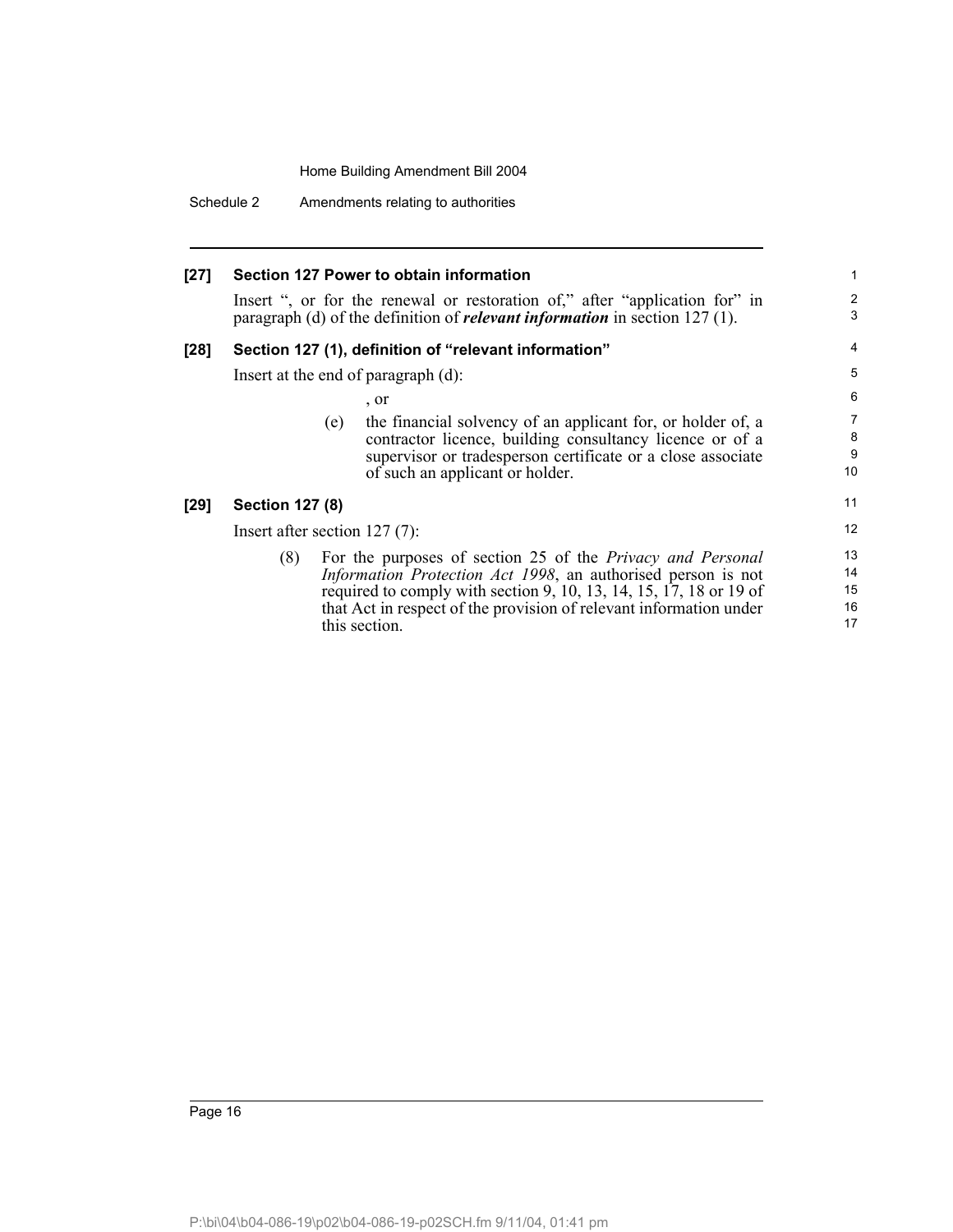Schedule 2 Amendments relating to authorities

| [27]   |                        | Section 127 Power to obtain information                                                                                                                                                                                                                                                        | 1                              |
|--------|------------------------|------------------------------------------------------------------------------------------------------------------------------------------------------------------------------------------------------------------------------------------------------------------------------------------------|--------------------------------|
|        |                        | Insert ", or for the renewal or restoration of," after "application for" in<br>paragraph (d) of the definition of <i>relevant information</i> in section $127(1)$ .                                                                                                                            | $\overline{2}$<br>3            |
| $[28]$ |                        | Section 127 (1), definition of "relevant information"                                                                                                                                                                                                                                          | 4                              |
|        |                        | Insert at the end of paragraph $(d)$ :                                                                                                                                                                                                                                                         | 5                              |
|        |                        | , or                                                                                                                                                                                                                                                                                           | 6                              |
|        |                        | the financial solvency of an applicant for, or holder of, a<br>(e)<br>contractor licence, building consultancy licence or of a<br>supervisor or tradesperson certificate or a close associate<br>of such an applicant or holder.                                                               | $\overline{7}$<br>8<br>9<br>10 |
| [29]   | <b>Section 127 (8)</b> |                                                                                                                                                                                                                                                                                                | 11                             |
|        |                        | Insert after section $127(7)$ :                                                                                                                                                                                                                                                                | 12                             |
|        | (8)                    | For the purposes of section 25 of the <i>Privacy and Personal</i><br>Information Protection Act 1998, an authorised person is not<br>required to comply with section 9, 10, 13, 14, 15, 17, 18 or 19 of<br>that Act in respect of the provision of relevant information under<br>this section. | 13<br>14<br>15<br>16<br>17     |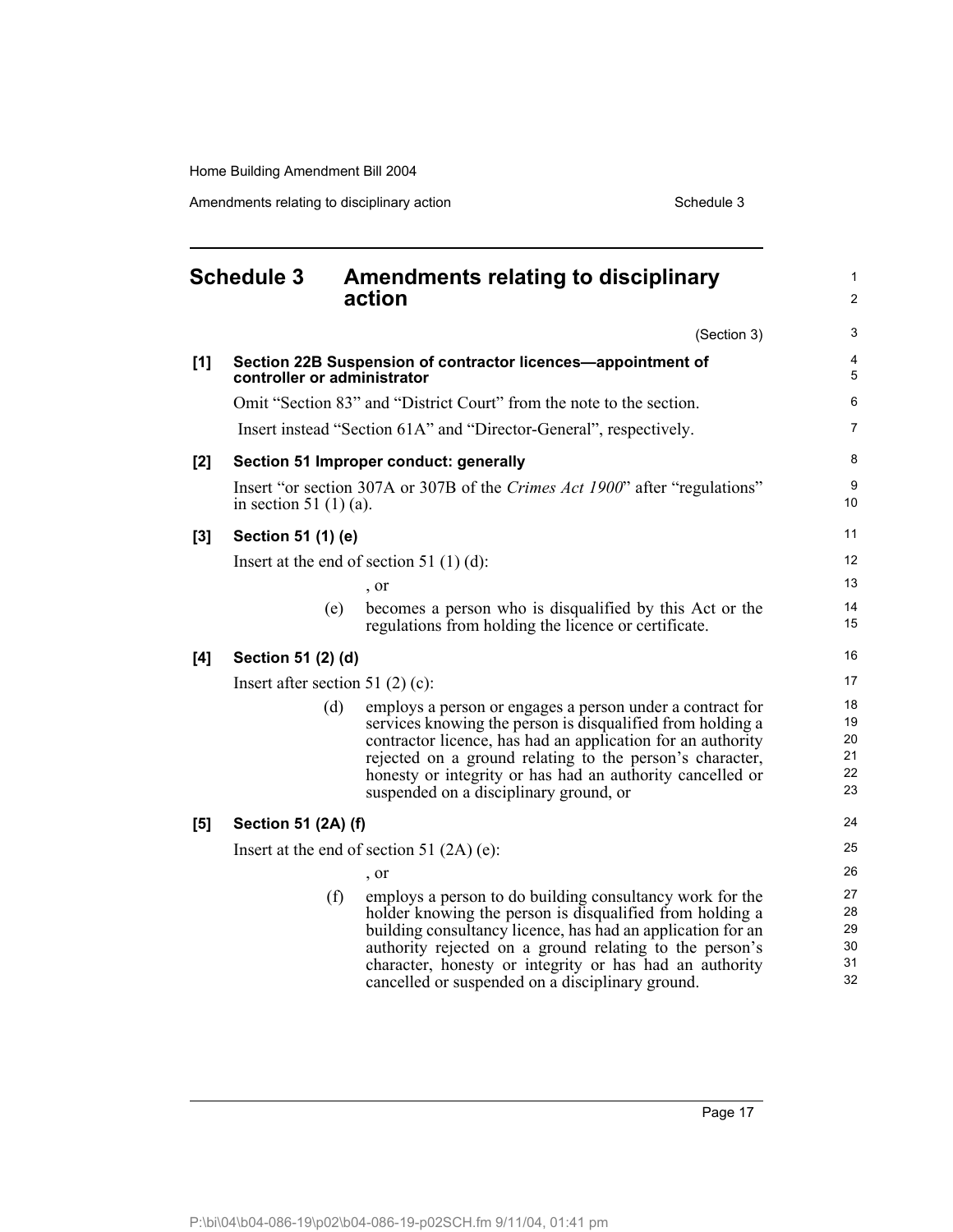Amendments relating to disciplinary action Schedule 3 Schedule 3

<span id="page-30-0"></span>

|       | <b>Schedule 3</b>                  | <b>Amendments relating to disciplinary</b><br>action                                                                                                                                                                                                                                                                                                          | $\mathbf{1}$<br>2                |
|-------|------------------------------------|---------------------------------------------------------------------------------------------------------------------------------------------------------------------------------------------------------------------------------------------------------------------------------------------------------------------------------------------------------------|----------------------------------|
|       |                                    | (Section 3)                                                                                                                                                                                                                                                                                                                                                   | 3                                |
| [1]   | controller or administrator        | Section 22B Suspension of contractor licences-appointment of                                                                                                                                                                                                                                                                                                  | 4<br>5                           |
|       |                                    | Omit "Section 83" and "District Court" from the note to the section.                                                                                                                                                                                                                                                                                          | $\,6\,$                          |
|       |                                    | Insert instead "Section 61A" and "Director-General", respectively.                                                                                                                                                                                                                                                                                            | 7                                |
| [2]   |                                    | Section 51 Improper conduct: generally                                                                                                                                                                                                                                                                                                                        | 8                                |
|       | in section 51 $(1)(a)$ .           | Insert "or section 307A or 307B of the Crimes Act 1900" after "regulations"                                                                                                                                                                                                                                                                                   | 9<br>10                          |
| $[3]$ | Section 51 (1) (e)                 |                                                                                                                                                                                                                                                                                                                                                               | 11                               |
|       |                                    | Insert at the end of section 51 $(1)$ $(d)$ :                                                                                                                                                                                                                                                                                                                 | 12                               |
|       |                                    | $\cdot$ or                                                                                                                                                                                                                                                                                                                                                    | 13                               |
|       | (e)                                | becomes a person who is disqualified by this Act or the<br>regulations from holding the licence or certificate.                                                                                                                                                                                                                                               | 14<br>15                         |
| [4]   | Section 51 (2) (d)                 |                                                                                                                                                                                                                                                                                                                                                               | 16                               |
|       | Insert after section 51 $(2)$ (c): |                                                                                                                                                                                                                                                                                                                                                               | 17                               |
|       | (d)                                | employs a person or engages a person under a contract for<br>services knowing the person is disqualified from holding a<br>contractor licence, has had an application for an authority<br>rejected on a ground relating to the person's character,<br>honesty or integrity or has had an authority cancelled or<br>suspended on a disciplinary ground, or     | 18<br>19<br>20<br>21<br>22<br>23 |
| [5]   | Section 51 (2A) (f)                |                                                                                                                                                                                                                                                                                                                                                               | 24                               |
|       |                                    | Insert at the end of section 51 $(2A)$ (e):                                                                                                                                                                                                                                                                                                                   | 25                               |
|       |                                    | , or                                                                                                                                                                                                                                                                                                                                                          | 26                               |
|       | (f)                                | employs a person to do building consultancy work for the<br>holder knowing the person is disqualified from holding a<br>building consultancy licence, has had an application for an<br>authority rejected on a ground relating to the person's<br>character, honesty or integrity or has had an authority<br>cancelled or suspended on a disciplinary ground. | 27<br>28<br>29<br>30<br>31<br>32 |

Page 17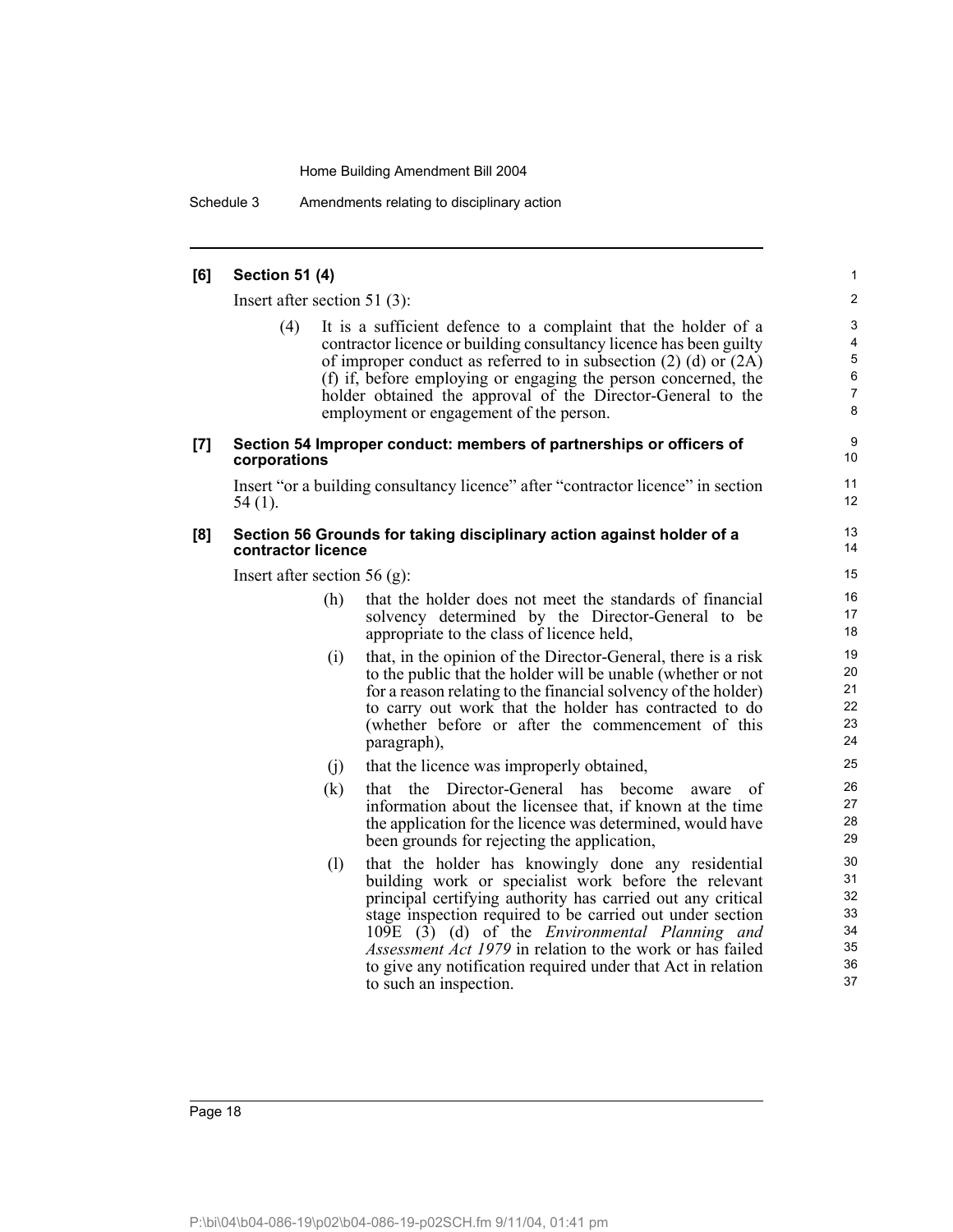Schedule 3 Amendments relating to disciplinary action

### **[6] Section 51 (4)** Insert after section 51 (3): (4) It is a sufficient defence to a complaint that the holder of a contractor licence or building consultancy licence has been guilty of improper conduct as referred to in subsection (2) (d) or (2A) (f) if, before employing or engaging the person concerned, the holder obtained the approval of the Director-General to the employment or engagement of the person. **[7] Section 54 Improper conduct: members of partnerships or officers of corporations** Insert "or a building consultancy licence" after "contractor licence" in section 54 (1). **[8] Section 56 Grounds for taking disciplinary action against holder of a contractor licence** Insert after section 56 (g): that the holder does not meet the standards of financial solvency determined by the Director-General to be appropriate to the class of licence held, (i) that, in the opinion of the Director-General, there is a risk to the public that the holder will be unable (whether or not for a reason relating to the financial solvency of the holder) to carry out work that the holder has contracted to do (whether before or after the commencement of this paragraph), (j) that the licence was improperly obtained, (k) that the Director-General has become aware of information about the licensee that, if known at the time the application for the licence was determined, would have been grounds for rejecting the application, (l) that the holder has knowingly done any residential building work or specialist work before the relevant principal certifying authority has carried out any critical stage inspection required to be carried out under section 109E (3) (d) of the *Environmental Planning and Assessment Act 1979* in relation to the work or has failed to give any notification required under that Act in relation to such an inspection.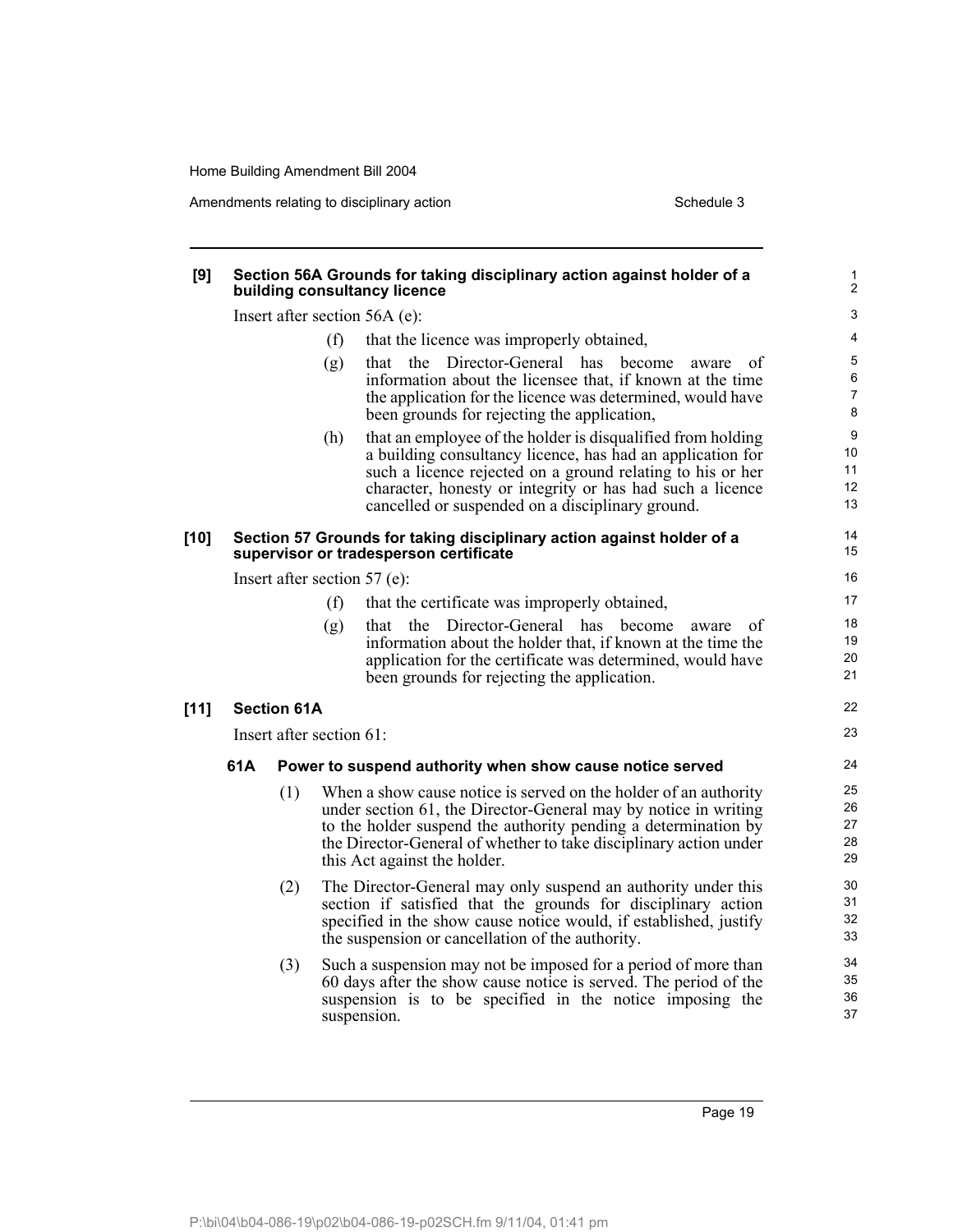| [9]    |                          |                    |     | Section 56A Grounds for taking disciplinary action against holder of a<br>building consultancy licence                                                                                                                                                                                                     | 1<br>$\overline{2}$                       |
|--------|--------------------------|--------------------|-----|------------------------------------------------------------------------------------------------------------------------------------------------------------------------------------------------------------------------------------------------------------------------------------------------------------|-------------------------------------------|
|        |                          |                    |     | Insert after section 56A (e):                                                                                                                                                                                                                                                                              | 3                                         |
|        |                          |                    | (f) | that the licence was improperly obtained,                                                                                                                                                                                                                                                                  | 4                                         |
|        |                          |                    | (g) | that the Director-General has become<br>aware<br>0f<br>information about the licensee that, if known at the time<br>the application for the licence was determined, would have<br>been grounds for rejecting the application,                                                                              | 5<br>$\,6\,$<br>$\overline{7}$<br>$\bf 8$ |
|        |                          |                    | (h) | that an employee of the holder is disqualified from holding<br>a building consultancy licence, has had an application for<br>such a licence rejected on a ground relating to his or her<br>character, honesty or integrity or has had such a licence<br>cancelled or suspended on a disciplinary ground.   | 9<br>10<br>11<br>12<br>13                 |
| $[10]$ |                          |                    |     | Section 57 Grounds for taking disciplinary action against holder of a<br>supervisor or tradesperson certificate                                                                                                                                                                                            | 14<br>15                                  |
|        |                          |                    |     | Insert after section $57$ (e):                                                                                                                                                                                                                                                                             | 16                                        |
|        |                          |                    | (f) | that the certificate was improperly obtained,                                                                                                                                                                                                                                                              | 17                                        |
|        |                          |                    | (g) | that the Director-General has become<br>οf<br>aware<br>information about the holder that, if known at the time the<br>application for the certificate was determined, would have<br>been grounds for rejecting the application.                                                                            | 18<br>19<br>20<br>21                      |
| $[11]$ |                          | <b>Section 61A</b> |     |                                                                                                                                                                                                                                                                                                            | 22                                        |
|        | Insert after section 61: |                    |     |                                                                                                                                                                                                                                                                                                            |                                           |
|        | 61A                      |                    |     | Power to suspend authority when show cause notice served                                                                                                                                                                                                                                                   | 24                                        |
|        |                          | (1)                |     | When a show cause notice is served on the holder of an authority<br>under section 61, the Director-General may by notice in writing<br>to the holder suspend the authority pending a determination by<br>the Director-General of whether to take disciplinary action under<br>this Act against the holder. | 25<br>26<br>27<br>28<br>29                |
|        |                          | (2)                |     | The Director-General may only suspend an authority under this<br>section if satisfied that the grounds for disciplinary action<br>specified in the show cause notice would, if established, justify<br>the suspension or cancellation of the authority.                                                    | 30<br>31<br>32<br>33                      |
|        |                          | (3)                |     | Such a suspension may not be imposed for a period of more than<br>60 days after the show cause notice is served. The period of the<br>suspension is to be specified in the notice imposing the<br>suspension.                                                                                              | 34<br>35<br>36<br>37                      |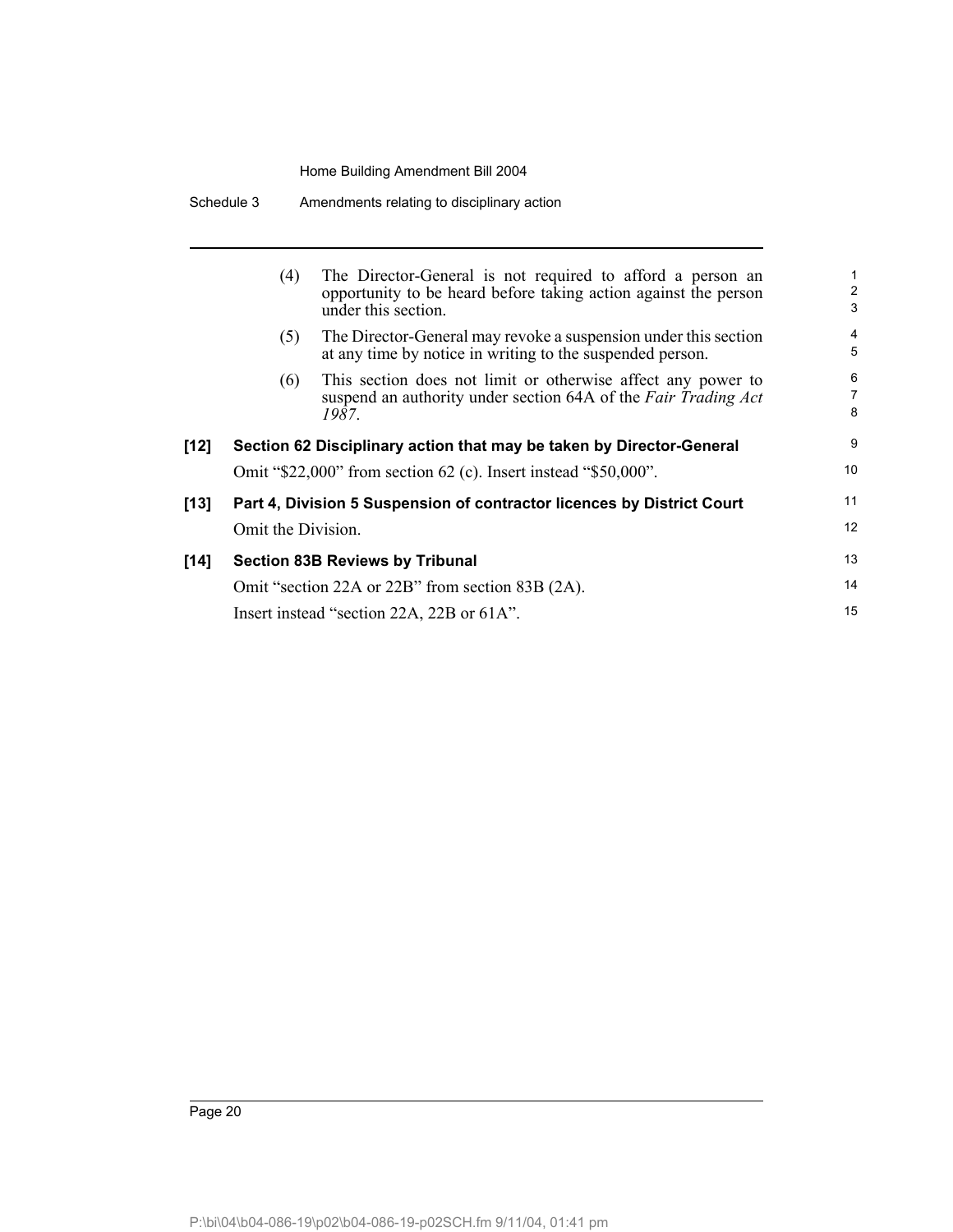| Schedule 3 | Amendments relating to disciplinary action |  |
|------------|--------------------------------------------|--|
|------------|--------------------------------------------|--|

|        | (4)                | The Director-General is not required to afford a person an<br>opportunity to be heard before taking action against the person<br>under this section. | $\mathbf{1}$<br>$\overline{2}$<br>3 |
|--------|--------------------|------------------------------------------------------------------------------------------------------------------------------------------------------|-------------------------------------|
|        | (5)                | The Director-General may revoke a suspension under this section<br>at any time by notice in writing to the suspended person.                         | $\overline{4}$<br>5                 |
|        | (6)                | This section does not limit or otherwise affect any power to<br>suspend an authority under section 64A of the Fair Trading Act<br>1987.              | 6<br>$\overline{7}$<br>8            |
| $[12]$ |                    | Section 62 Disciplinary action that may be taken by Director-General                                                                                 | 9                                   |
|        |                    | Omit "\$22,000" from section 62 (c). Insert instead "\$50,000".                                                                                      | 10                                  |
| $[13]$ |                    | Part 4, Division 5 Suspension of contractor licences by District Court                                                                               | 11                                  |
|        | Omit the Division. |                                                                                                                                                      | 12                                  |
| $[14]$ |                    | <b>Section 83B Reviews by Tribunal</b>                                                                                                               | 13                                  |
|        |                    | Omit "section 22A or 22B" from section 83B (2A).                                                                                                     | 14                                  |
|        |                    | Insert instead "section 22A, 22B or 61A".                                                                                                            | 15                                  |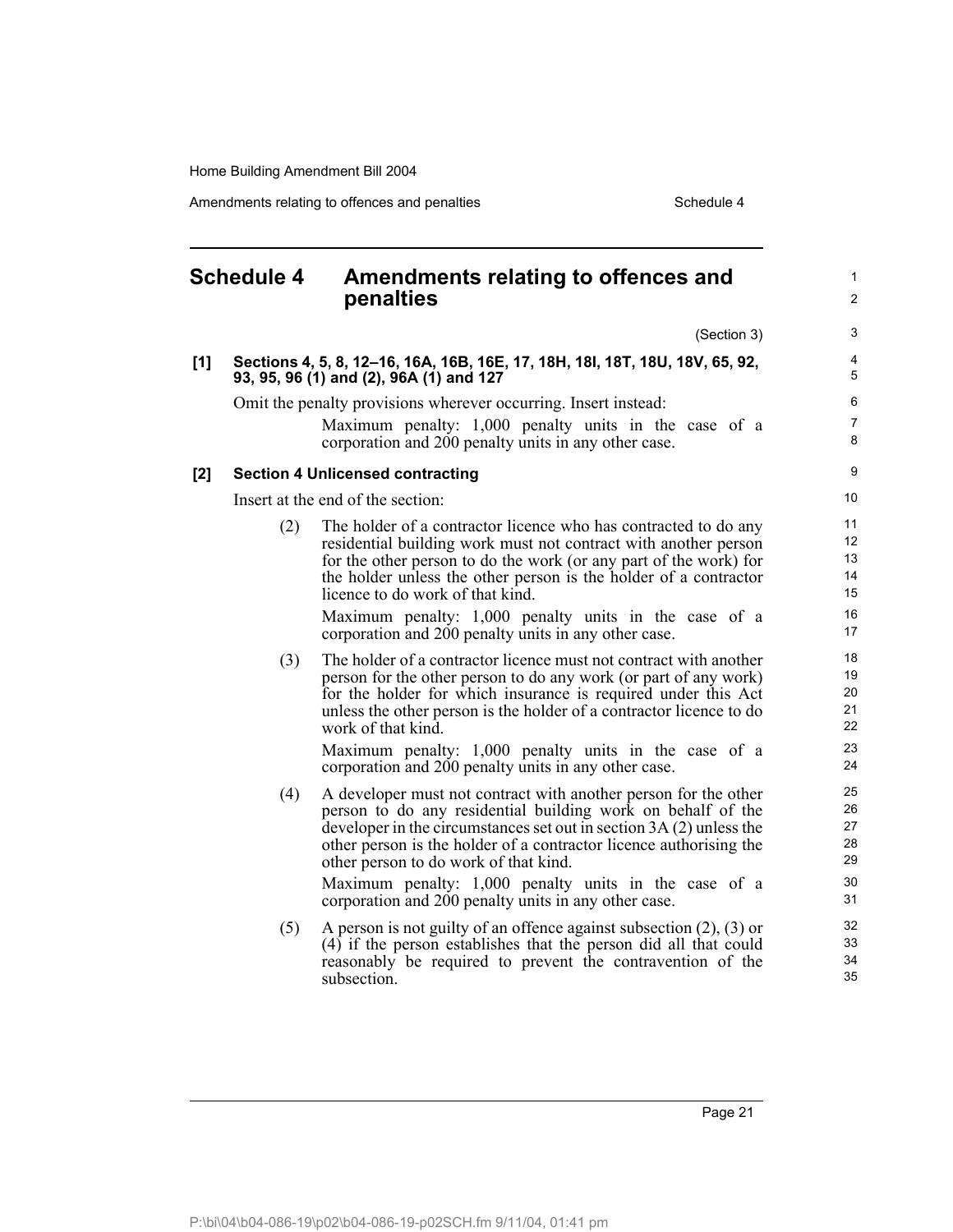Amendments relating to offences and penalties Schedule 4

<span id="page-34-0"></span>

|       | <b>Schedule 4</b> | Amendments relating to offences and<br>penalties                                                                                                                                                                                                                                                                                                                                                                                      | $\mathbf{1}$<br>$\overline{c}$         |
|-------|-------------------|---------------------------------------------------------------------------------------------------------------------------------------------------------------------------------------------------------------------------------------------------------------------------------------------------------------------------------------------------------------------------------------------------------------------------------------|----------------------------------------|
|       |                   | (Section 3)                                                                                                                                                                                                                                                                                                                                                                                                                           | 3                                      |
| [1]   |                   | Sections 4, 5, 8, 12-16, 16A, 16B, 16E, 17, 18H, 18I, 18T, 18U, 18V, 65, 92,<br>93, 95, 96 (1) and (2), 96A (1) and 127                                                                                                                                                                                                                                                                                                               | 4<br>5                                 |
|       |                   | Omit the penalty provisions wherever occurring. Insert instead:<br>Maximum penalty: 1,000 penalty units in the case of a<br>corporation and 200 penalty units in any other case.                                                                                                                                                                                                                                                      | 6<br>$\overline{7}$<br>8               |
| $[2]$ |                   | <b>Section 4 Unlicensed contracting</b>                                                                                                                                                                                                                                                                                                                                                                                               | 9                                      |
|       |                   | Insert at the end of the section:                                                                                                                                                                                                                                                                                                                                                                                                     | 10                                     |
|       | (2)               | The holder of a contractor licence who has contracted to do any<br>residential building work must not contract with another person<br>for the other person to do the work (or any part of the work) for<br>the holder unless the other person is the holder of a contractor<br>licence to do work of that kind.                                                                                                                       | 11<br>12<br>13<br>14<br>15             |
|       |                   | Maximum penalty: 1,000 penalty units in the case of a<br>corporation and 200 penalty units in any other case.                                                                                                                                                                                                                                                                                                                         | 16<br>17                               |
|       | (3)               | The holder of a contractor licence must not contract with another<br>person for the other person to do any work (or part of any work)<br>for the holder for which insurance is required under this Act<br>unless the other person is the holder of a contractor licence to do<br>work of that kind.                                                                                                                                   | 18<br>19<br>20<br>21<br>22             |
|       |                   | Maximum penalty: 1,000 penalty units in the case of a<br>corporation and 200 penalty units in any other case.                                                                                                                                                                                                                                                                                                                         | 23<br>24                               |
|       | (4)               | A developer must not contract with another person for the other<br>person to do any residential building work on behalf of the<br>developer in the circumstances set out in section 3A (2) unless the<br>other person is the holder of a contractor licence authorising the<br>other person to do work of that kind.<br>Maximum penalty: 1,000 penalty units in the case of a<br>corporation and 200 penalty units in any other case. | 25<br>26<br>27<br>28<br>29<br>30<br>31 |
|       | (5)               | A person is not guilty of an offence against subsection $(2)$ , $(3)$ or<br>$(4)$ if the person establishes that the person did all that could<br>reasonably be required to prevent the contravention of the<br>subsection.                                                                                                                                                                                                           | 32<br>33<br>34<br>35                   |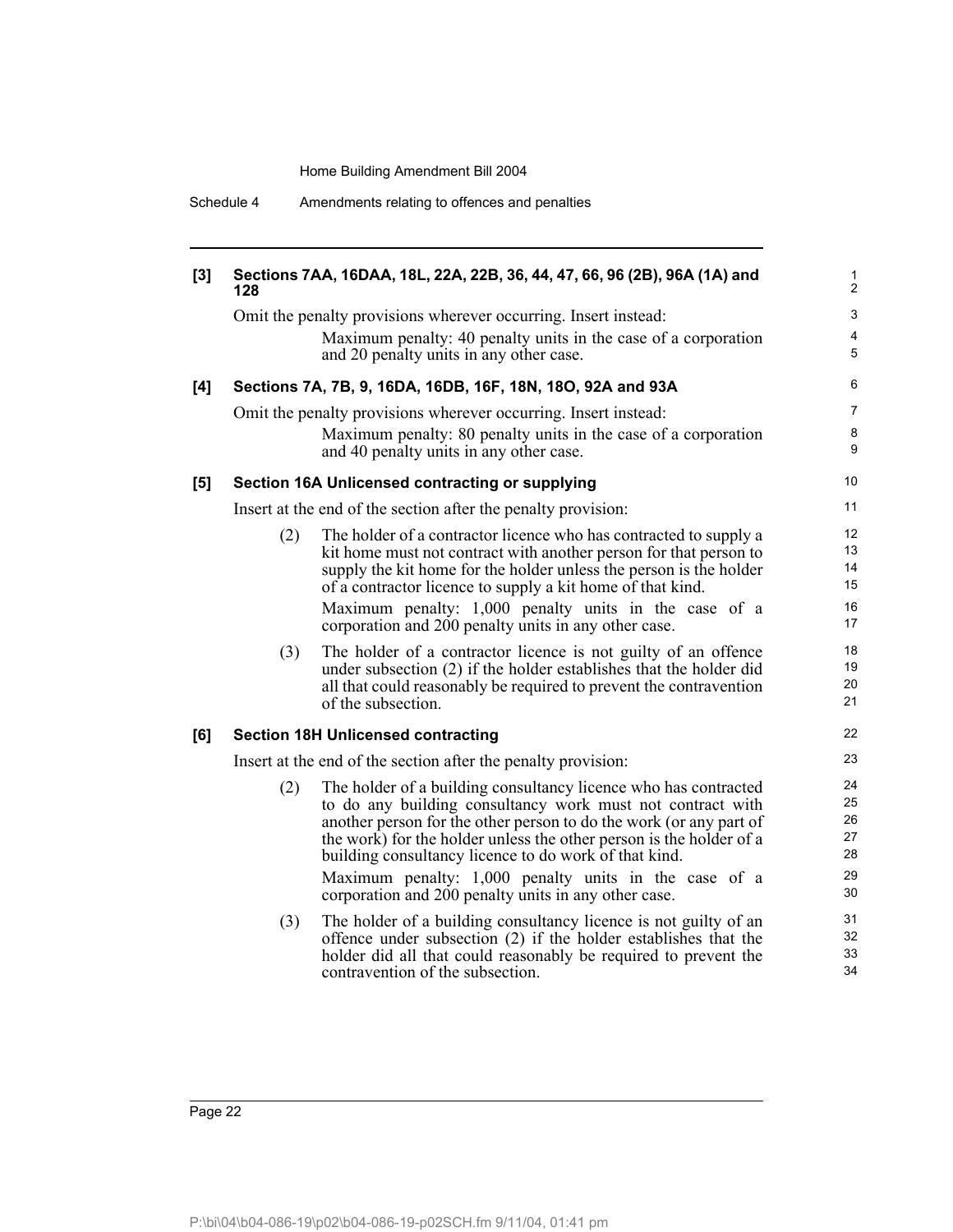Schedule 4 Amendments relating to offences and penalties

| [3] | 128 | Sections 7AA, 16DAA, 18L, 22A, 22B, 36, 44, 47, 66, 96 (2B), 96A (1A) and                                                                                                                                                                                                                                                           | 1<br>$\overline{c}$          |
|-----|-----|-------------------------------------------------------------------------------------------------------------------------------------------------------------------------------------------------------------------------------------------------------------------------------------------------------------------------------------|------------------------------|
|     |     | Omit the penalty provisions wherever occurring. Insert instead:                                                                                                                                                                                                                                                                     | 3                            |
|     |     | Maximum penalty: 40 penalty units in the case of a corporation<br>and 20 penalty units in any other case.                                                                                                                                                                                                                           | $\overline{\mathbf{4}}$<br>5 |
| [4] |     | Sections 7A, 7B, 9, 16DA, 16DB, 16F, 18N, 18O, 92A and 93A                                                                                                                                                                                                                                                                          | 6                            |
|     |     | Omit the penalty provisions wherever occurring. Insert instead:                                                                                                                                                                                                                                                                     | $\overline{7}$               |
|     |     | Maximum penalty: 80 penalty units in the case of a corporation<br>and 40 penalty units in any other case.                                                                                                                                                                                                                           | 8<br>$\boldsymbol{9}$        |
| [5] |     | Section 16A Unlicensed contracting or supplying                                                                                                                                                                                                                                                                                     | 10                           |
|     |     | Insert at the end of the section after the penalty provision:                                                                                                                                                                                                                                                                       | 11                           |
|     | (2) | The holder of a contractor licence who has contracted to supply a<br>kit home must not contract with another person for that person to<br>supply the kit home for the holder unless the person is the holder<br>of a contractor licence to supply a kit home of that kind.                                                          | 12<br>13<br>14<br>15         |
|     |     | Maximum penalty: 1,000 penalty units in the case of a<br>corporation and 200 penalty units in any other case.                                                                                                                                                                                                                       | 16<br>17                     |
|     | (3) | The holder of a contractor licence is not guilty of an offence<br>under subsection (2) if the holder establishes that the holder did<br>all that could reasonably be required to prevent the contravention<br>of the subsection.                                                                                                    | 18<br>19<br>20<br>21         |
| [6] |     | <b>Section 18H Unlicensed contracting</b>                                                                                                                                                                                                                                                                                           | 22                           |
|     |     | Insert at the end of the section after the penalty provision:                                                                                                                                                                                                                                                                       | 23                           |
|     | (2) | The holder of a building consultancy licence who has contracted<br>to do any building consultancy work must not contract with<br>another person for the other person to do the work (or any part of<br>the work) for the holder unless the other person is the holder of a<br>building consultancy licence to do work of that kind. | 24<br>25<br>26<br>27<br>28   |
|     |     | Maximum penalty: 1,000 penalty units in the case of a<br>corporation and 200 penalty units in any other case.                                                                                                                                                                                                                       | 29<br>30                     |
|     | (3) | The holder of a building consultancy licence is not guilty of an<br>offence under subsection (2) if the holder establishes that the<br>holder did all that could reasonably be required to prevent the<br>contravention of the subsection.                                                                                          | 31<br>32<br>33<br>34         |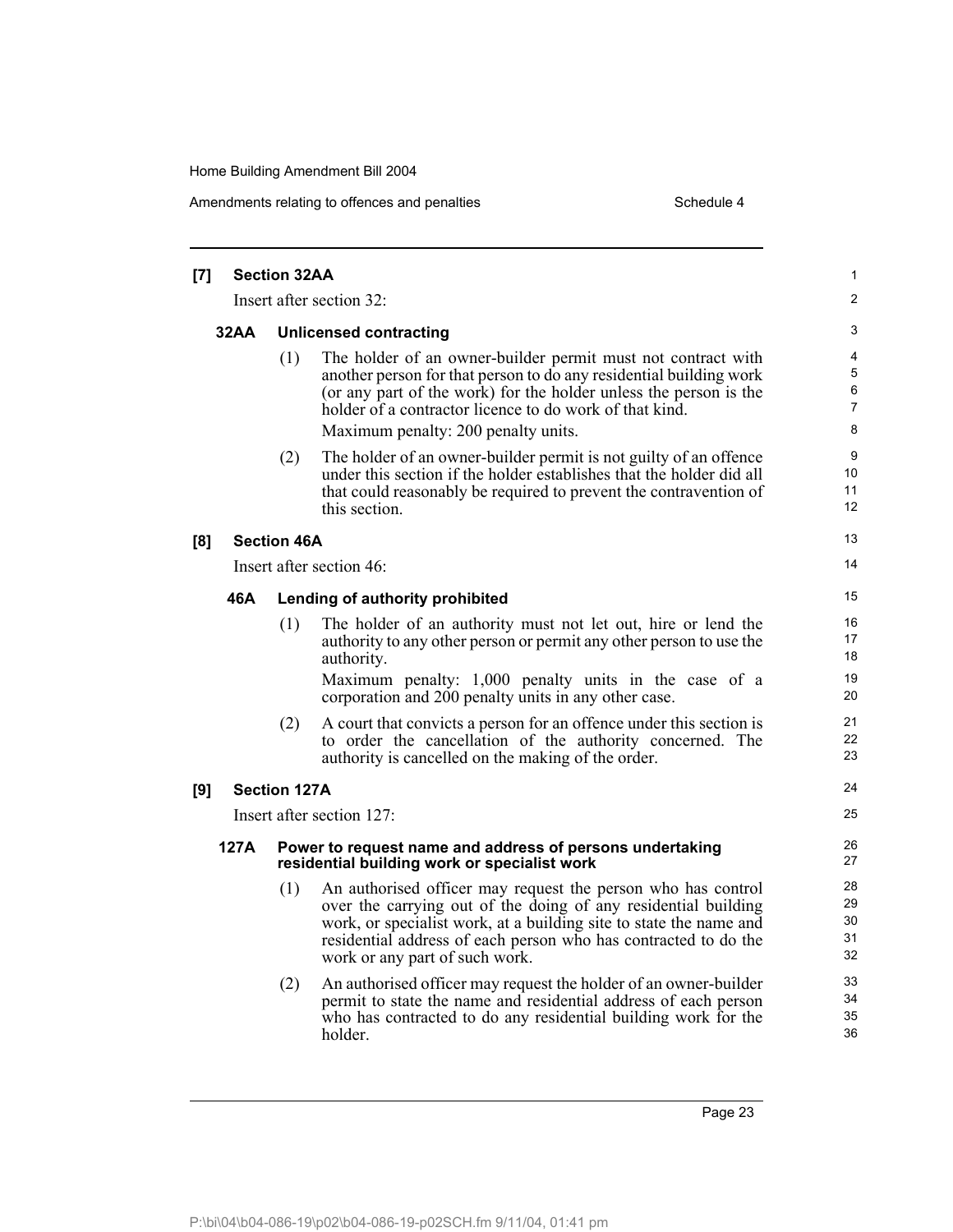Amendments relating to offences and penalties Schedule 4

| [7] |      | <b>Section 32AA</b> |                                                                                                                                                                                                                                                                                                           | 1                                       |
|-----|------|---------------------|-----------------------------------------------------------------------------------------------------------------------------------------------------------------------------------------------------------------------------------------------------------------------------------------------------------|-----------------------------------------|
|     |      |                     | Insert after section 32:                                                                                                                                                                                                                                                                                  | 2                                       |
|     | 32AA |                     | <b>Unlicensed contracting</b>                                                                                                                                                                                                                                                                             | 3                                       |
|     |      | (1)                 | The holder of an owner-builder permit must not contract with<br>another person for that person to do any residential building work<br>(or any part of the work) for the holder unless the person is the<br>holder of a contractor licence to do work of that kind.                                        | 4<br>$\mathbf 5$<br>6<br>$\overline{7}$ |
|     |      |                     | Maximum penalty: 200 penalty units.                                                                                                                                                                                                                                                                       | 8                                       |
|     |      | (2)                 | The holder of an owner-builder permit is not guilty of an offence<br>under this section if the holder establishes that the holder did all<br>that could reasonably be required to prevent the contravention of<br>this section.                                                                           | 9<br>10<br>11<br>12                     |
| [8] |      | <b>Section 46A</b>  |                                                                                                                                                                                                                                                                                                           | 13                                      |
|     |      |                     | Insert after section 46:                                                                                                                                                                                                                                                                                  | 14                                      |
|     | 46A  |                     | Lending of authority prohibited                                                                                                                                                                                                                                                                           | 15                                      |
|     |      | (1)                 | The holder of an authority must not let out, hire or lend the<br>authority to any other person or permit any other person to use the<br>authority.                                                                                                                                                        | 16<br>17<br>18                          |
|     |      |                     | Maximum penalty: 1,000 penalty units in the case of a<br>corporation and 200 penalty units in any other case.                                                                                                                                                                                             | 19<br>20                                |
|     |      | (2)                 | A court that convicts a person for an offence under this section is<br>to order the cancellation of the authority concerned. The<br>authority is cancelled on the making of the order.                                                                                                                    | 21<br>22<br>23                          |
| [9] |      | <b>Section 127A</b> |                                                                                                                                                                                                                                                                                                           | 24                                      |
|     |      |                     | Insert after section 127:                                                                                                                                                                                                                                                                                 | 25                                      |
|     | 127A |                     | Power to request name and address of persons undertaking<br>residential building work or specialist work                                                                                                                                                                                                  | 26<br>27                                |
|     |      | (1)                 | An authorised officer may request the person who has control<br>over the carrying out of the doing of any residential building<br>work, or specialist work, at a building site to state the name and<br>residential address of each person who has contracted to do the<br>work or any part of such work. | 28<br>29<br>30<br>31<br>32              |
|     |      | (2)                 | An authorised officer may request the holder of an owner-builder<br>permit to state the name and residential address of each person<br>who has contracted to do any residential building work for the<br>holder.                                                                                          | 33<br>34<br>35<br>36                    |

Page 23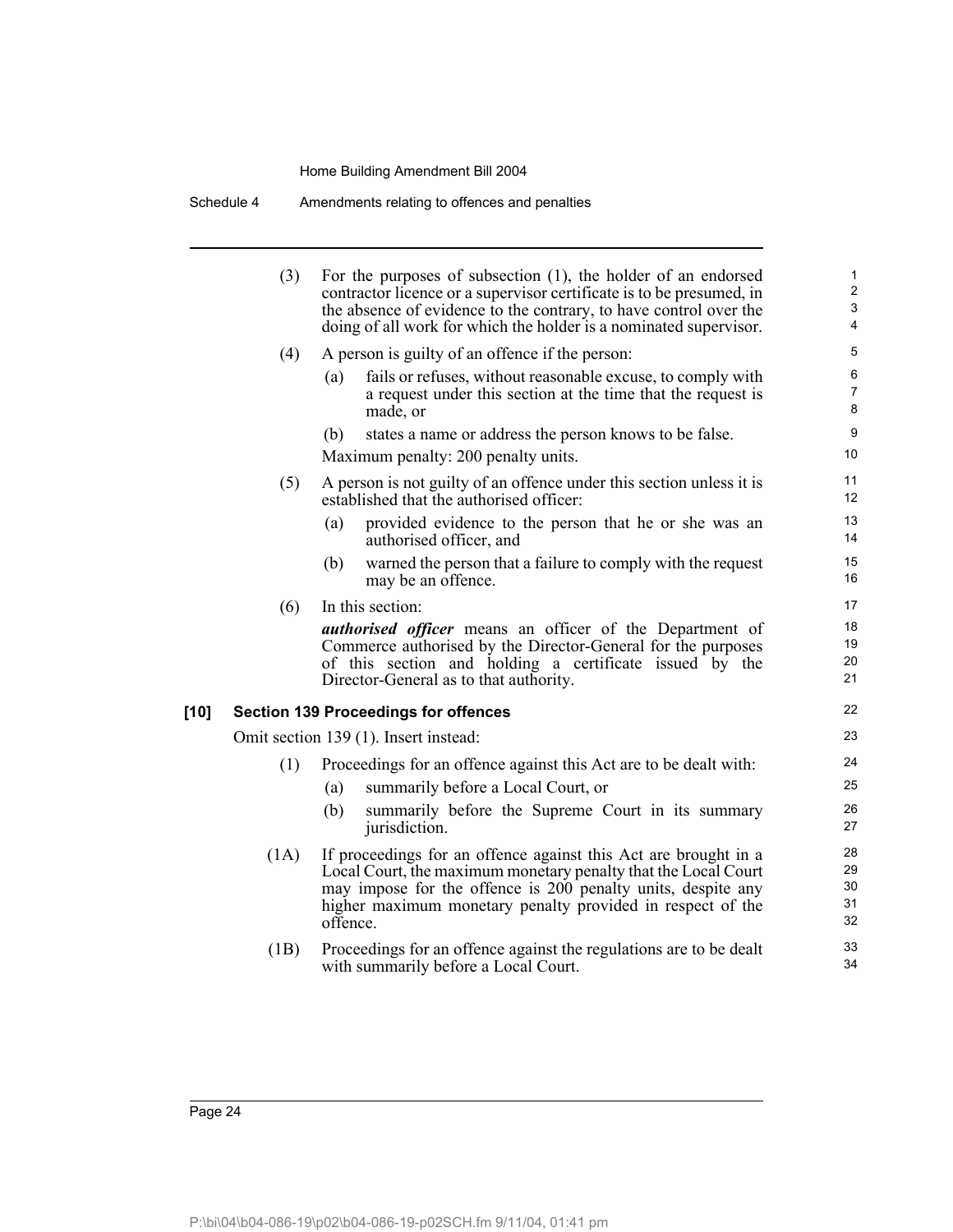Schedule 4 Amendments relating to offences and penalties

|        | (3)  | For the purposes of subsection (1), the holder of an endorsed<br>contractor licence or a supervisor certificate is to be presumed, in<br>the absence of evidence to the contrary, to have control over the<br>doing of all work for which the holder is a nominated supervisor. | $\mathbf{1}$<br>$\overline{2}$<br>$\mathfrak{S}$<br>$\overline{4}$ |
|--------|------|---------------------------------------------------------------------------------------------------------------------------------------------------------------------------------------------------------------------------------------------------------------------------------|--------------------------------------------------------------------|
|        | (4)  | A person is guilty of an offence if the person:                                                                                                                                                                                                                                 | $\,$ 5 $\,$                                                        |
|        |      | (a)<br>fails or refuses, without reasonable excuse, to comply with<br>a request under this section at the time that the request is<br>made, or                                                                                                                                  | $\,6\,$<br>$\overline{7}$<br>8                                     |
|        |      | states a name or address the person knows to be false.<br>(b)                                                                                                                                                                                                                   | 9                                                                  |
|        |      | Maximum penalty: 200 penalty units.                                                                                                                                                                                                                                             | 10 <sup>°</sup>                                                    |
|        | (5)  | A person is not guilty of an offence under this section unless it is<br>established that the authorised officer:                                                                                                                                                                | 11<br>12                                                           |
|        |      | provided evidence to the person that he or she was an<br>(a)<br>authorised officer, and                                                                                                                                                                                         | 13<br>14                                                           |
|        |      | warned the person that a failure to comply with the request<br>(b)<br>may be an offence.                                                                                                                                                                                        | 15<br>16                                                           |
|        | (6)  | In this section:                                                                                                                                                                                                                                                                | 17                                                                 |
|        |      | <i>authorised officer</i> means an officer of the Department of<br>Commerce authorised by the Director-General for the purposes<br>of this section and holding a certificate issued by the<br>Director-General as to that authority.                                            | 18<br>19<br>20<br>21                                               |
| $[10]$ |      | <b>Section 139 Proceedings for offences</b>                                                                                                                                                                                                                                     | 22                                                                 |
|        |      | Omit section 139 (1). Insert instead:                                                                                                                                                                                                                                           | 23                                                                 |
|        | (1)  | Proceedings for an offence against this Act are to be dealt with:                                                                                                                                                                                                               | 24                                                                 |
|        |      | summarily before a Local Court, or<br>(a)                                                                                                                                                                                                                                       | 25                                                                 |
|        |      | (b)<br>summarily before the Supreme Court in its summary<br>jurisdiction.                                                                                                                                                                                                       | 26<br>27                                                           |
|        | (1A) | If proceedings for an offence against this Act are brought in a<br>Local Court, the maximum monetary penalty that the Local Court<br>may impose for the offence is 200 penalty units, despite any<br>higher maximum monetary penalty provided in respect of the<br>offence.     | 28<br>29<br>30<br>31<br>32                                         |
|        | (1B) | Proceedings for an offence against the regulations are to be dealt<br>with summarily before a Local Court.                                                                                                                                                                      | 33<br>34                                                           |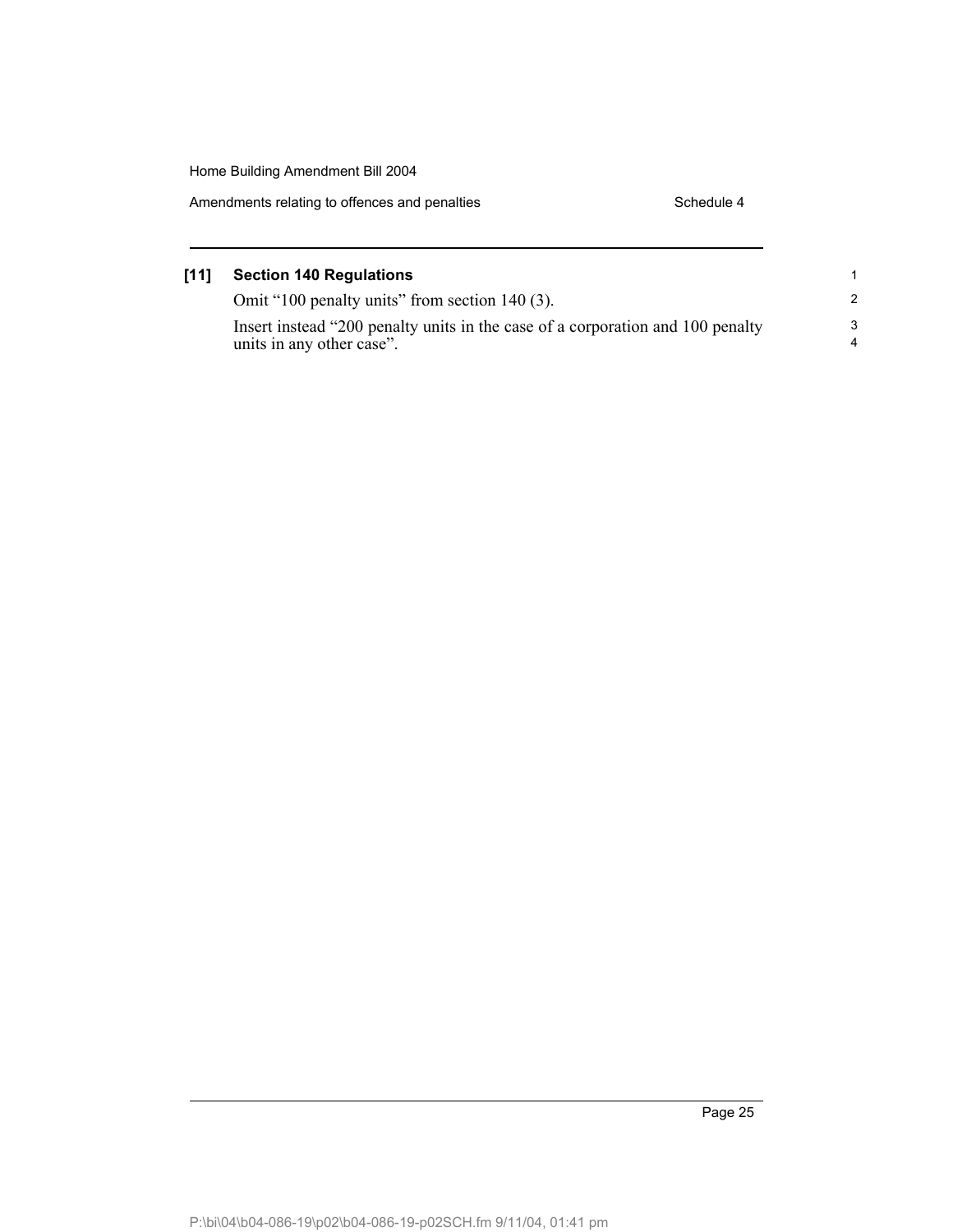Amendments relating to offences and penalties Schedule 4

| [11] | <b>Section 140 Regulations</b>                                                                              |    |
|------|-------------------------------------------------------------------------------------------------------------|----|
|      | Omit "100 penalty units" from section 140 (3).                                                              |    |
|      | Insert instead "200 penalty units in the case of a corporation and 100 penalty<br>units in any other case". | -3 |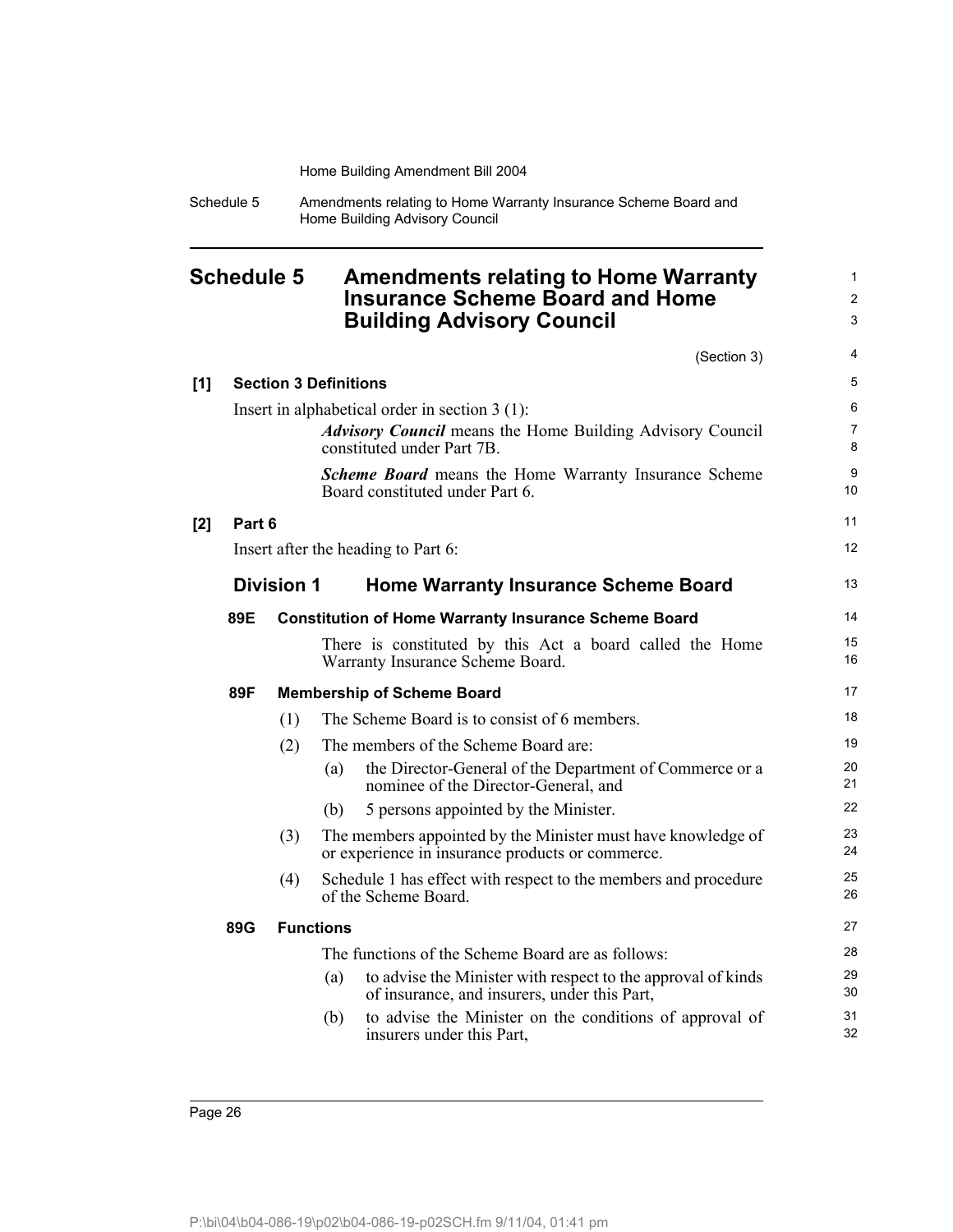Schedule 5 Amendments relating to Home Warranty Insurance Scheme Board and Home Building Advisory Council

# <span id="page-39-0"></span>**Schedule 5 Amendments relating to Home Warranty Insurance Scheme Board and Home Building Advisory Council**

(Section 3)

1 2 3

4

| [1]   |        |                   | <b>Section 3 Definitions</b>                                                                                        | 5                   |
|-------|--------|-------------------|---------------------------------------------------------------------------------------------------------------------|---------------------|
|       |        |                   | Insert in alphabetical order in section $3(1)$ :                                                                    | 6                   |
|       |        |                   | Advisory Council means the Home Building Advisory Council<br>constituted under Part 7B.                             | $\overline{7}$<br>8 |
|       |        |                   | <b>Scheme Board</b> means the Home Warranty Insurance Scheme<br>Board constituted under Part 6.                     | 9<br>10             |
| $[2]$ | Part 6 |                   |                                                                                                                     | 11                  |
|       |        |                   | Insert after the heading to Part 6:                                                                                 | 12                  |
|       |        | <b>Division 1</b> | <b>Home Warranty Insurance Scheme Board</b>                                                                         | 13                  |
|       | 89E    |                   | <b>Constitution of Home Warranty Insurance Scheme Board</b>                                                         | 14                  |
|       |        |                   | There is constituted by this Act a board called the Home<br>Warranty Insurance Scheme Board.                        | 15<br>16            |
|       | 89F    |                   | <b>Membership of Scheme Board</b>                                                                                   | 17                  |
|       |        | (1)               | The Scheme Board is to consist of 6 members.                                                                        | 18                  |
|       |        | (2)               | The members of the Scheme Board are:                                                                                | 19                  |
|       |        |                   | the Director-General of the Department of Commerce or a<br>(a)<br>nominee of the Director-General, and              | 20<br>21            |
|       |        |                   | 5 persons appointed by the Minister.<br>(b)                                                                         | 22                  |
|       |        | (3)               | The members appointed by the Minister must have knowledge of<br>or experience in insurance products or commerce.    | 23<br>24            |
|       |        | (4)               | Schedule 1 has effect with respect to the members and procedure<br>of the Scheme Board.                             | 25<br>26            |
|       | 89G    |                   | <b>Functions</b>                                                                                                    | 27                  |
|       |        |                   | The functions of the Scheme Board are as follows:                                                                   | 28                  |
|       |        |                   | to advise the Minister with respect to the approval of kinds<br>(a)<br>of insurance, and insurers, under this Part, | 29<br>30            |
|       |        |                   | to advise the Minister on the conditions of approval of<br>(b)<br>insurers under this Part,                         | 31<br>32            |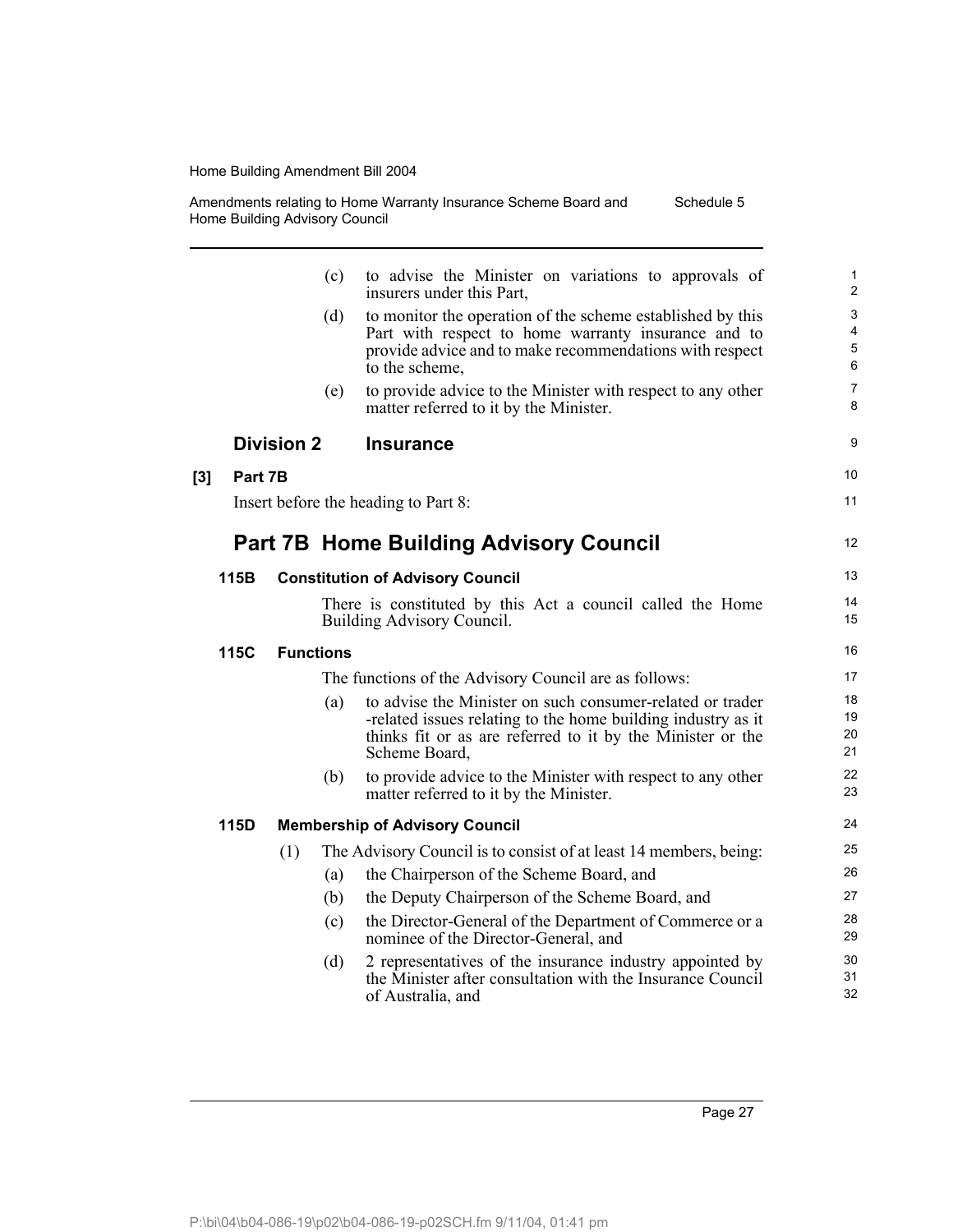[3]

Amendments relating to Home Warranty Insurance Scheme Board and Home Building Advisory Council Schedule 5

|         |                   | (c)              | to advise the Minister on variations to approvals of<br>insurers under this Part,                                                                                                                        | $\mathbf{1}$<br>2                          |
|---------|-------------------|------------------|----------------------------------------------------------------------------------------------------------------------------------------------------------------------------------------------------------|--------------------------------------------|
|         |                   | (d)              | to monitor the operation of the scheme established by this<br>Part with respect to home warranty insurance and to<br>provide advice and to make recommendations with respect<br>to the scheme,           | 3<br>$\overline{4}$<br>$\overline{5}$<br>6 |
|         |                   | (e)              | to provide advice to the Minister with respect to any other<br>matter referred to it by the Minister.                                                                                                    | $\overline{7}$<br>8                        |
|         | <b>Division 2</b> |                  | <b>Insurance</b>                                                                                                                                                                                         | 9                                          |
| Part 7B |                   |                  |                                                                                                                                                                                                          | 10                                         |
|         |                   |                  | Insert before the heading to Part 8:                                                                                                                                                                     | 11                                         |
|         |                   |                  | <b>Part 7B Home Building Advisory Council</b>                                                                                                                                                            | 12                                         |
| 115B    |                   |                  | <b>Constitution of Advisory Council</b>                                                                                                                                                                  | 13                                         |
|         |                   |                  | There is constituted by this Act a council called the Home<br>Building Advisory Council.                                                                                                                 | 14<br>15                                   |
| 115C    |                   | <b>Functions</b> |                                                                                                                                                                                                          | 16                                         |
|         |                   |                  | The functions of the Advisory Council are as follows:                                                                                                                                                    | 17                                         |
|         |                   | (a)              | to advise the Minister on such consumer-related or trader<br>-related issues relating to the home building industry as it<br>thinks fit or as are referred to it by the Minister or the<br>Scheme Board, | 18<br>19<br>20<br>21                       |
|         |                   | (b)              | to provide advice to the Minister with respect to any other<br>matter referred to it by the Minister.                                                                                                    | 22<br>23                                   |
| 115D    |                   |                  | <b>Membership of Advisory Council</b>                                                                                                                                                                    | 24                                         |
|         | (1)               |                  | The Advisory Council is to consist of at least 14 members, being:                                                                                                                                        | 25                                         |
|         |                   | (a)              | the Chairperson of the Scheme Board, and                                                                                                                                                                 | 26                                         |
|         |                   | (b)              | the Deputy Chairperson of the Scheme Board, and                                                                                                                                                          | 27                                         |
|         |                   | (c)              | the Director-General of the Department of Commerce or a<br>nominee of the Director-General, and                                                                                                          | 28<br>29                                   |
|         |                   | (d)              | 2 representatives of the insurance industry appointed by<br>the Minister after consultation with the Insurance Council<br>of Australia, and                                                              | 30<br>31<br>32                             |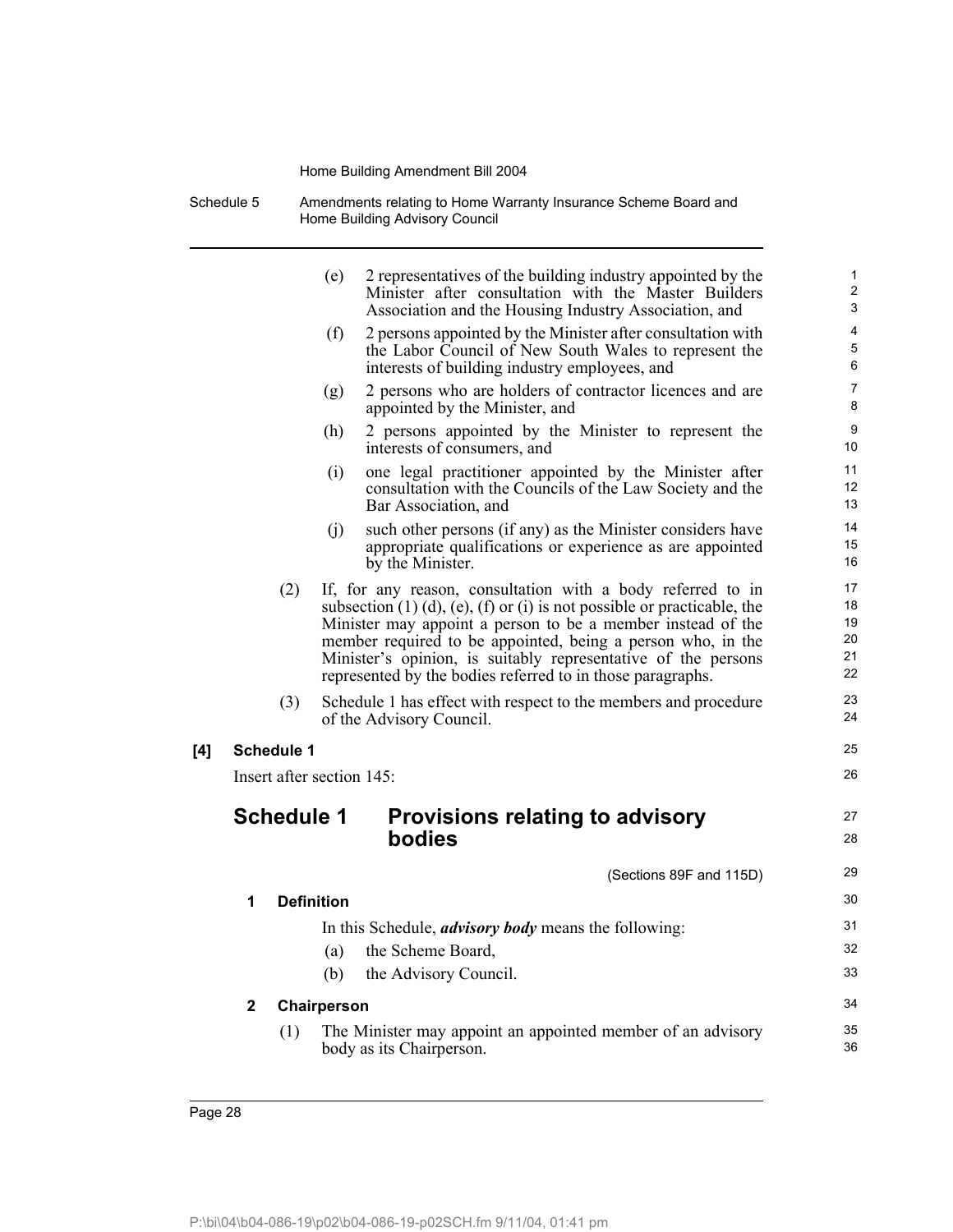| <b>Schedule 1</b><br><b>Provisions relating to advisory</b><br>bodies<br>(Sections 89F and 115D)<br><b>Definition</b><br>In this Schedule, <i>advisory body</i> means the following:<br>the Scheme Board,<br>(a)<br>the Advisory Council.<br>(b)                                                                                                  | 31<br>32<br>33                                                                                                                                                  |
|---------------------------------------------------------------------------------------------------------------------------------------------------------------------------------------------------------------------------------------------------------------------------------------------------------------------------------------------------|-----------------------------------------------------------------------------------------------------------------------------------------------------------------|
|                                                                                                                                                                                                                                                                                                                                                   | 29<br>$30\,$                                                                                                                                                    |
|                                                                                                                                                                                                                                                                                                                                                   | 27<br>28                                                                                                                                                        |
|                                                                                                                                                                                                                                                                                                                                                   |                                                                                                                                                                 |
| Insert after section 145:                                                                                                                                                                                                                                                                                                                         | 26                                                                                                                                                              |
| Schedule 1                                                                                                                                                                                                                                                                                                                                        | 25                                                                                                                                                              |
| Schedule 1 has effect with respect to the members and procedure<br>of the Advisory Council.                                                                                                                                                                                                                                                       | 23<br>24                                                                                                                                                        |
| If, for any reason, consultation with a body referred to in<br>subsection $(1)$ $(d)$ , $(e)$ , $(f)$ or $(i)$ is not possible or practicable, the<br>Minister may appoint a person to be a member instead of the<br>member required to be appointed, being a person who, in the<br>Minister's opinion, is suitably representative of the persons | 17<br>18<br>19<br>20<br>21<br>22                                                                                                                                |
| such other persons (if any) as the Minister considers have<br>(j)<br>appropriate qualifications or experience as are appointed<br>by the Minister.                                                                                                                                                                                                | 14<br>15<br>16                                                                                                                                                  |
| one legal practitioner appointed by the Minister after<br>(i)<br>consultation with the Councils of the Law Society and the<br>Bar Association, and                                                                                                                                                                                                | 11<br>12<br>13                                                                                                                                                  |
| (h)<br>2 persons appointed by the Minister to represent the<br>interests of consumers, and                                                                                                                                                                                                                                                        | 9<br>10                                                                                                                                                         |
| 2 persons who are holders of contractor licences and are<br>(g)<br>appointed by the Minister, and                                                                                                                                                                                                                                                 | $\overline{7}$<br>8                                                                                                                                             |
| 2 persons appointed by the Minister after consultation with<br>(f)<br>the Labor Council of New South Wales to represent the<br>interests of building industry employees, and                                                                                                                                                                      | 4<br>$\mathbf 5$<br>6                                                                                                                                           |
| (e)<br>2 representatives of the building industry appointed by the<br>Minister after consultation with the Master Builders<br>Association and the Housing Industry Association, and                                                                                                                                                               | $\mathbf{1}$<br>$\overline{a}$<br>3                                                                                                                             |
|                                                                                                                                                                                                                                                                                                                                                   | Amenaments relating to Home warranty insurance Scheme Board and<br>Home Building Advisory Council<br>represented by the bodies referred to in those paragraphs. |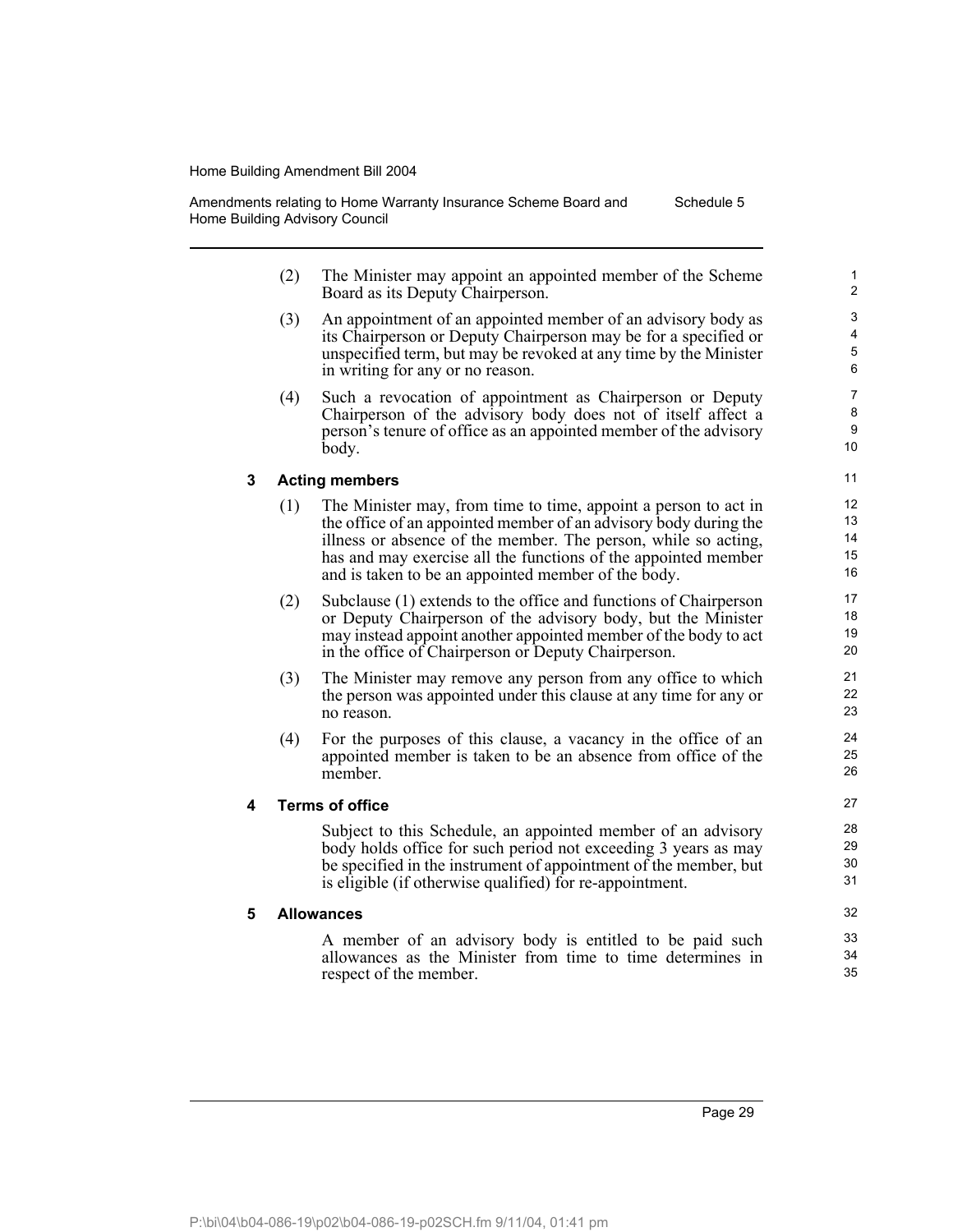Amendments relating to Home Warranty Insurance Scheme Board and Home Building Advisory Council Schedule 5

- (2) The Minister may appoint an appointed member of the Scheme Board as its Deputy Chairperson.
- (3) An appointment of an appointed member of an advisory body as its Chairperson or Deputy Chairperson may be for a specified or unspecified term, but may be revoked at any time by the Minister in writing for any or no reason.
- (4) Such a revocation of appointment as Chairperson or Deputy Chairperson of the advisory body does not of itself affect a person's tenure of office as an appointed member of the advisory body.

#### **3 Acting members**

- (1) The Minister may, from time to time, appoint a person to act in the office of an appointed member of an advisory body during the illness or absence of the member. The person, while so acting, has and may exercise all the functions of the appointed member and is taken to be an appointed member of the body.
- (2) Subclause (1) extends to the office and functions of Chairperson or Deputy Chairperson of the advisory body, but the Minister may instead appoint another appointed member of the body to act in the office of Chairperson or Deputy Chairperson.
- (3) The Minister may remove any person from any office to which the person was appointed under this clause at any time for any or no reason.
- (4) For the purposes of this clause, a vacancy in the office of an appointed member is taken to be an absence from office of the member.

#### **4 Terms of office**

Subject to this Schedule, an appointed member of an advisory body holds office for such period not exceeding 3 years as may be specified in the instrument of appointment of the member, but is eligible (if otherwise qualified) for re-appointment.

#### **5 Allowances**

A member of an advisory body is entitled to be paid such allowances as the Minister from time to time determines in respect of the member.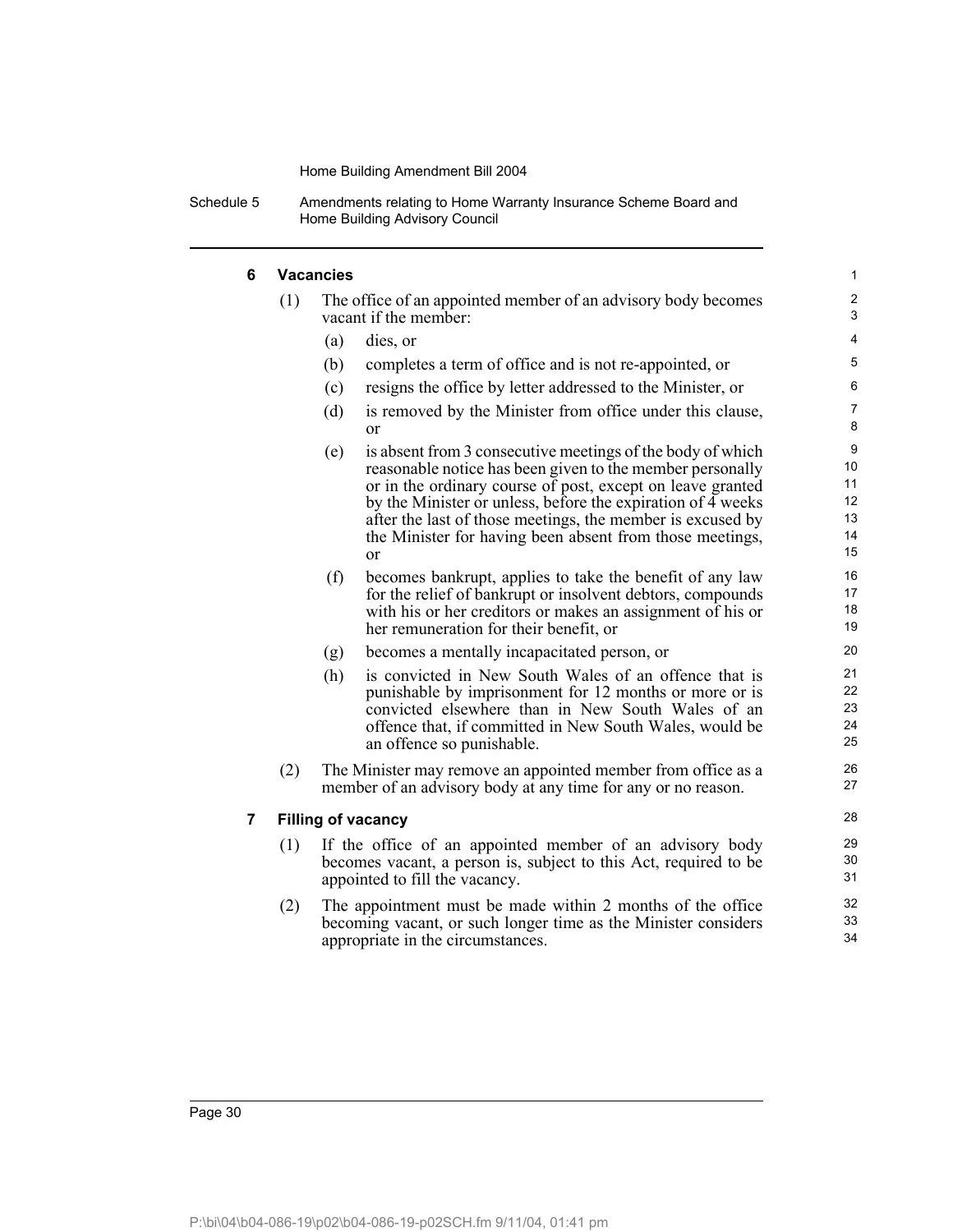Schedule 5 Amendments relating to Home Warranty Insurance Scheme Board and Home Building Advisory Council

### **6 Vacancies**

| 6 |     | <b>Vacancies</b> |                                                                                                                                                                                                                                                                                                                                                                                                 | $\mathbf{1}$                          |
|---|-----|------------------|-------------------------------------------------------------------------------------------------------------------------------------------------------------------------------------------------------------------------------------------------------------------------------------------------------------------------------------------------------------------------------------------------|---------------------------------------|
|   | (1) |                  | The office of an appointed member of an advisory body becomes<br>vacant if the member:                                                                                                                                                                                                                                                                                                          | $\overline{c}$<br>3                   |
|   |     | (a)              | dies, or                                                                                                                                                                                                                                                                                                                                                                                        | 4                                     |
|   |     | (b)              | completes a term of office and is not re-appointed, or                                                                                                                                                                                                                                                                                                                                          | 5                                     |
|   |     | (c)              | resigns the office by letter addressed to the Minister, or                                                                                                                                                                                                                                                                                                                                      | 6                                     |
|   |     | (d)              | is removed by the Minister from office under this clause,<br>or                                                                                                                                                                                                                                                                                                                                 | $\overline{7}$<br>8                   |
|   |     | (e)              | is absent from 3 consecutive meetings of the body of which<br>reasonable notice has been given to the member personally<br>or in the ordinary course of post, except on leave granted<br>by the Minister or unless, before the expiration of 4 weeks<br>after the last of those meetings, the member is excused by<br>the Minister for having been absent from those meetings,<br><sub>or</sub> | 9<br>10<br>11<br>12<br>13<br>14<br>15 |
|   |     | (f)              | becomes bankrupt, applies to take the benefit of any law<br>for the relief of bankrupt or insolvent debtors, compounds<br>with his or her creditors or makes an assignment of his or<br>her remuneration for their benefit, or                                                                                                                                                                  | 16<br>17<br>18<br>19                  |
|   |     | (g)              | becomes a mentally incapacitated person, or                                                                                                                                                                                                                                                                                                                                                     | 20                                    |
|   |     | (h)              | is convicted in New South Wales of an offence that is<br>punishable by imprisonment for 12 months or more or is<br>convicted elsewhere than in New South Wales of an<br>offence that, if committed in New South Wales, would be<br>an offence so punishable.                                                                                                                                    | 21<br>22<br>23<br>24<br>25            |
|   | (2) |                  | The Minister may remove an appointed member from office as a<br>member of an advisory body at any time for any or no reason.                                                                                                                                                                                                                                                                    | 26<br>27                              |
| 7 |     |                  | <b>Filling of vacancy</b>                                                                                                                                                                                                                                                                                                                                                                       | 28                                    |
|   | (1) |                  | If the office of an appointed member of an advisory body<br>becomes vacant, a person is, subject to this Act, required to be<br>appointed to fill the vacancy.                                                                                                                                                                                                                                  | 29<br>30<br>31                        |
|   | (2) |                  | The appointment must be made within 2 months of the office<br>becoming vacant, or such longer time as the Minister considers<br>appropriate in the circumstances.                                                                                                                                                                                                                               | 32<br>33<br>34                        |
|   |     |                  |                                                                                                                                                                                                                                                                                                                                                                                                 |                                       |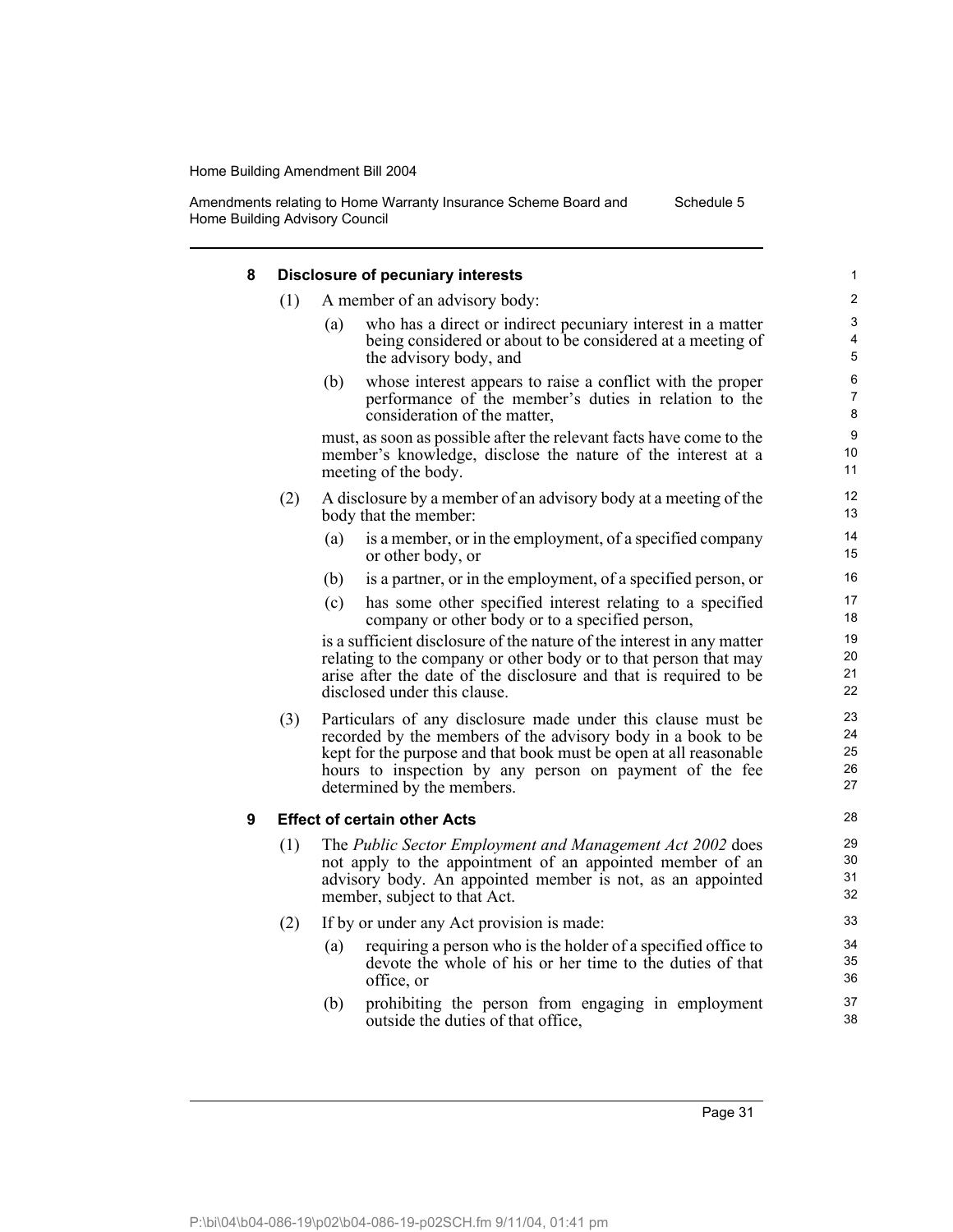| 8 |     |     | <b>Disclosure of pecuniary interests</b>                                                                                                                                                                                                                                                   | 1                                 |
|---|-----|-----|--------------------------------------------------------------------------------------------------------------------------------------------------------------------------------------------------------------------------------------------------------------------------------------------|-----------------------------------|
|   | (1) |     | A member of an advisory body:                                                                                                                                                                                                                                                              | $\overline{\mathbf{c}}$           |
|   |     | (a) | who has a direct or indirect pecuniary interest in a matter<br>being considered or about to be considered at a meeting of<br>the advisory body, and                                                                                                                                        | 3<br>$\overline{\mathbf{4}}$<br>5 |
|   |     | (b) | whose interest appears to raise a conflict with the proper<br>performance of the member's duties in relation to the<br>consideration of the matter,                                                                                                                                        | 6<br>7<br>8                       |
|   |     |     | must, as soon as possible after the relevant facts have come to the<br>member's knowledge, disclose the nature of the interest at a<br>meeting of the body.                                                                                                                                | 9<br>10<br>11                     |
|   | (2) |     | A disclosure by a member of an advisory body at a meeting of the<br>body that the member:                                                                                                                                                                                                  | 12<br>13                          |
|   |     | (a) | is a member, or in the employment, of a specified company<br>or other body, or                                                                                                                                                                                                             | 14<br>15                          |
|   |     | (b) | is a partner, or in the employment, of a specified person, or                                                                                                                                                                                                                              | 16                                |
|   |     | (c) | has some other specified interest relating to a specified<br>company or other body or to a specified person,                                                                                                                                                                               | 17<br>18                          |
|   |     |     | is a sufficient disclosure of the nature of the interest in any matter<br>relating to the company or other body or to that person that may<br>arise after the date of the disclosure and that is required to be<br>disclosed under this clause.                                            | 19<br>20<br>21<br>22              |
|   | (3) |     | Particulars of any disclosure made under this clause must be<br>recorded by the members of the advisory body in a book to be<br>kept for the purpose and that book must be open at all reasonable<br>hours to inspection by any person on payment of the fee<br>determined by the members. | 23<br>24<br>25<br>26<br>27        |
| 9 |     |     | <b>Effect of certain other Acts</b>                                                                                                                                                                                                                                                        | 28                                |
|   | (1) |     | The Public Sector Employment and Management Act 2002 does<br>not apply to the appointment of an appointed member of an<br>advisory body. An appointed member is not, as an appointed<br>member, subject to that Act.                                                                       | 29<br>30<br>31<br>32              |
|   | (2) |     | If by or under any Act provision is made:                                                                                                                                                                                                                                                  | 33                                |
|   |     | (a) | requiring a person who is the holder of a specified office to<br>devote the whole of his or her time to the duties of that<br>office, or                                                                                                                                                   | 34<br>35<br>36                    |
|   |     | (b) | prohibiting the person from engaging in employment<br>outside the duties of that office,                                                                                                                                                                                                   | 37<br>38                          |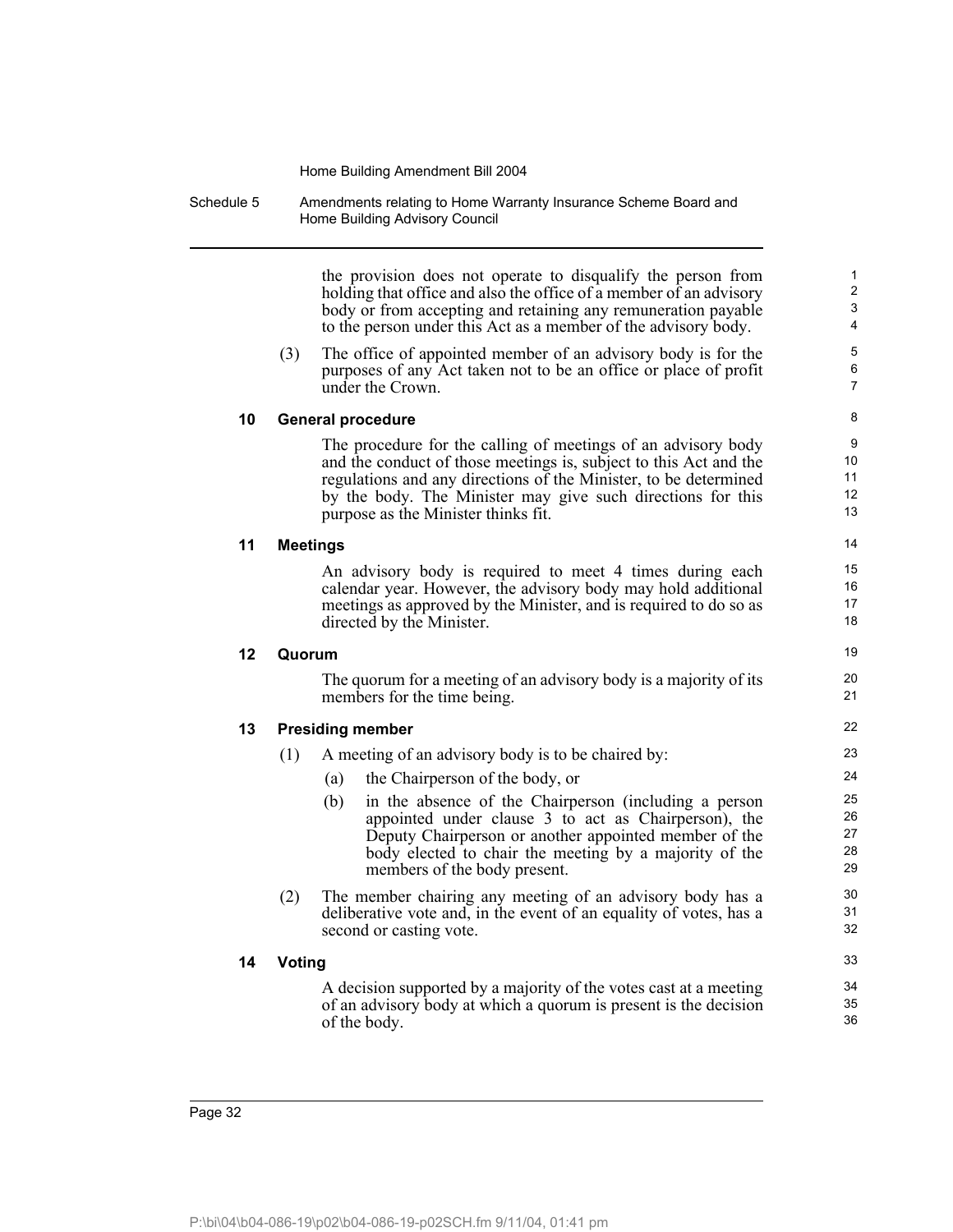| Schedule 5 | Amendments relating to Home Warranty Insurance Scheme Board and |
|------------|-----------------------------------------------------------------|
|            | Home Building Advisory Council                                  |

the provision does not operate to disqualify the person from holding that office and also the office of a member of an advisory body or from accepting and retaining any remuneration payable to the person under this Act as a member of the advisory body.

19 20 21

(3) The office of appointed member of an advisory body is for the purposes of any Act taken not to be an office or place of profit under the Crown.

#### **10 General procedure**

The procedure for the calling of meetings of an advisory body and the conduct of those meetings is, subject to this Act and the regulations and any directions of the Minister, to be determined by the body. The Minister may give such directions for this purpose as the Minister thinks fit.

#### **11 Meetings**

An advisory body is required to meet 4 times during each calendar year. However, the advisory body may hold additional meetings as approved by the Minister, and is required to do so as directed by the Minister.

#### **12 Quorum**

The quorum for a meeting of an advisory body is a majority of its members for the time being.

#### **13 Presiding member**

- (1) A meeting of an advisory body is to be chaired by:
	- (a) the Chairperson of the body, or
	- (b) in the absence of the Chairperson (including a person appointed under clause 3 to act as Chairperson), the Deputy Chairperson or another appointed member of the body elected to chair the meeting by a majority of the members of the body present.
- (2) The member chairing any meeting of an advisory body has a deliberative vote and, in the event of an equality of votes, has a second or casting vote.

#### **14 Voting**

A decision supported by a majority of the votes cast at a meeting of an advisory body at which a quorum is present is the decision of the body.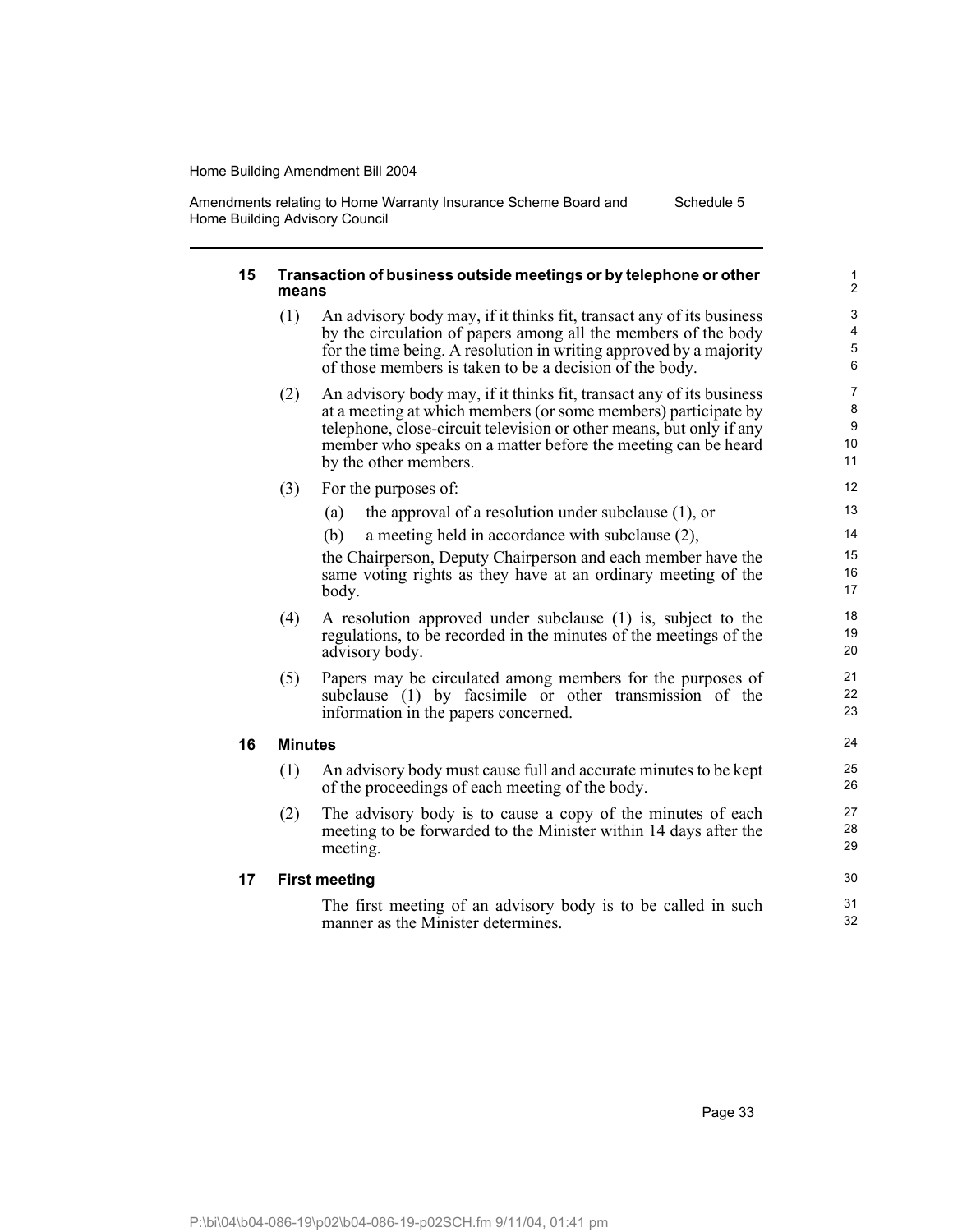Amendments relating to Home Warranty Insurance Scheme Board and Home Building Advisory Council Schedule 5

#### **15 Transaction of business outside meetings or by telephone or other means**

- (1) An advisory body may, if it thinks fit, transact any of its business by the circulation of papers among all the members of the body for the time being. A resolution in writing approved by a majority of those members is taken to be a decision of the body.
- (2) An advisory body may, if it thinks fit, transact any of its business at a meeting at which members (or some members) participate by telephone, close-circuit television or other means, but only if any member who speaks on a matter before the meeting can be heard by the other members.
- (3) For the purposes of:
	- (a) the approval of a resolution under subclause (1), or
	- (b) a meeting held in accordance with subclause (2),

the Chairperson, Deputy Chairperson and each member have the same voting rights as they have at an ordinary meeting of the body.

- (4) A resolution approved under subclause (1) is, subject to the regulations, to be recorded in the minutes of the meetings of the advisory body.
- (5) Papers may be circulated among members for the purposes of subclause (1) by facsimile or other transmission of the information in the papers concerned.

#### **16 Minutes**

- (1) An advisory body must cause full and accurate minutes to be kept of the proceedings of each meeting of the body.
- (2) The advisory body is to cause a copy of the minutes of each meeting to be forwarded to the Minister within 14 days after the meeting.

### **17 First meeting**

The first meeting of an advisory body is to be called in such manner as the Minister determines.

30 31 32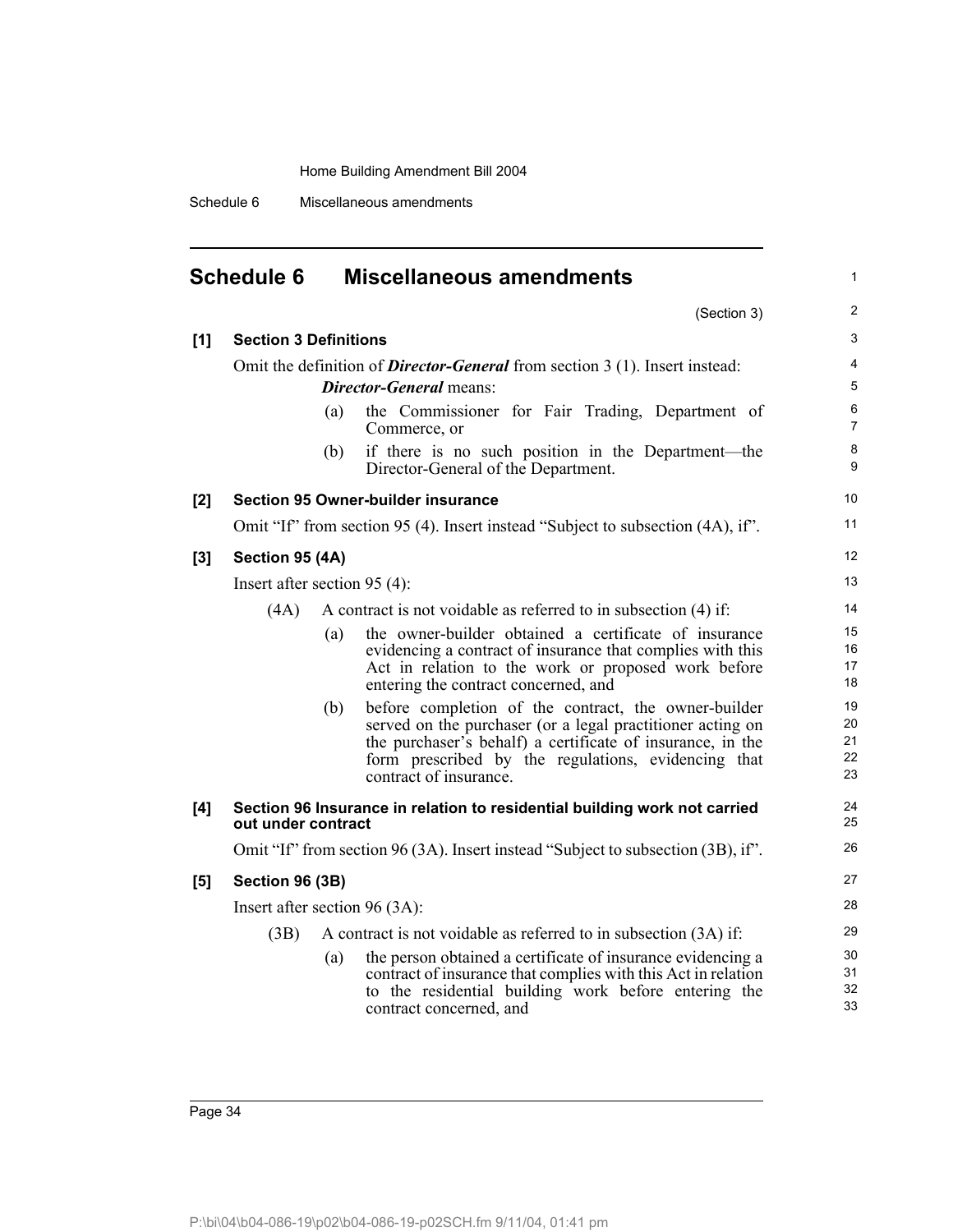Schedule 6 Miscellaneous amendments

<span id="page-47-0"></span>

| <b>Schedule 6</b> |                                |     | <b>Miscellaneous amendments</b>                                                                                                                                                                                                                                   |                            |  |
|-------------------|--------------------------------|-----|-------------------------------------------------------------------------------------------------------------------------------------------------------------------------------------------------------------------------------------------------------------------|----------------------------|--|
|                   |                                |     | (Section 3)                                                                                                                                                                                                                                                       | $\overline{2}$             |  |
| [1]               | <b>Section 3 Definitions</b>   |     |                                                                                                                                                                                                                                                                   | 3                          |  |
|                   |                                |     | Omit the definition of <i>Director-General</i> from section 3 (1). Insert instead:<br><b>Director-General</b> means:                                                                                                                                              | $\overline{4}$<br>5        |  |
|                   |                                | (a) | the Commissioner for Fair Trading, Department of<br>Commerce, or                                                                                                                                                                                                  | 6<br>$\overline{7}$        |  |
|                   |                                | (b) | if there is no such position in the Department—the<br>Director-General of the Department.                                                                                                                                                                         | 8<br>9                     |  |
| [2]               |                                |     | <b>Section 95 Owner-builder insurance</b>                                                                                                                                                                                                                         | 10 <sup>°</sup>            |  |
|                   |                                |     | Omit "If" from section 95 (4). Insert instead "Subject to subsection (4A), if".                                                                                                                                                                                   | 11                         |  |
| $[3]$             | Section 95 (4A)                |     |                                                                                                                                                                                                                                                                   | $12 \overline{ }$          |  |
|                   | Insert after section $95(4)$ : |     |                                                                                                                                                                                                                                                                   | 13                         |  |
|                   | (4A)                           |     | A contract is not voidable as referred to in subsection (4) if:                                                                                                                                                                                                   | 14                         |  |
|                   |                                | (a) | the owner-builder obtained a certificate of insurance<br>evidencing a contract of insurance that complies with this<br>Act in relation to the work or proposed work before<br>entering the contract concerned, and                                                | 15<br>16<br>17<br>18       |  |
|                   |                                | (b) | before completion of the contract, the owner-builder<br>served on the purchaser (or a legal practitioner acting on<br>the purchaser's behalf) a certificate of insurance, in the<br>form prescribed by the regulations, evidencing that<br>contract of insurance. | 19<br>20<br>21<br>22<br>23 |  |
| [4]               | out under contract             |     | Section 96 Insurance in relation to residential building work not carried                                                                                                                                                                                         | 24<br>25                   |  |
|                   |                                |     | Omit "If" from section 96 (3A). Insert instead "Subject to subsection (3B), if".                                                                                                                                                                                  | 26                         |  |
| [5]               | Section 96 (3B)                |     |                                                                                                                                                                                                                                                                   | 27                         |  |
|                   | Insert after section 96 (3A):  |     |                                                                                                                                                                                                                                                                   | 28                         |  |
|                   | (3B)                           |     | A contract is not voidable as referred to in subsection (3A) if:                                                                                                                                                                                                  | 29                         |  |
|                   |                                | (a) | the person obtained a certificate of insurance evidencing a<br>contract of insurance that complies with this Act in relation<br>to the residential building work before entering the<br>contract concerned, and                                                   | 30<br>31<br>32<br>33       |  |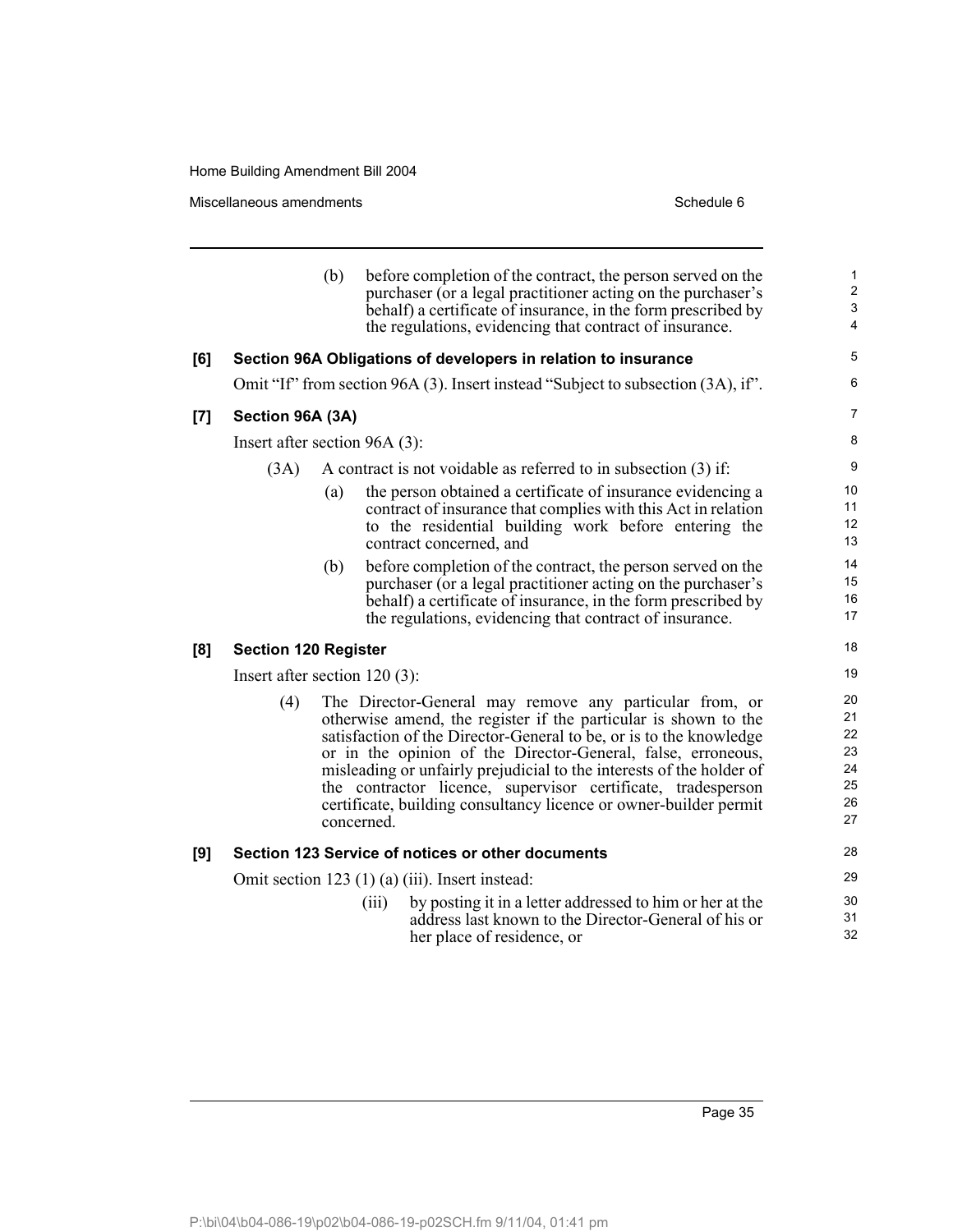Miscellaneous amendments **Schedule 6** Schedule 6

|     |                                 | (b) | before completion of the contract, the person served on the<br>purchaser (or a legal practitioner acting on the purchaser's<br>behalf) a certificate of insurance, in the form prescribed by<br>the regulations, evidencing that contract of insurance.                                                                                                                                                                                                                                     | 1<br>$\overline{2}$<br>3<br>4                |
|-----|---------------------------------|-----|---------------------------------------------------------------------------------------------------------------------------------------------------------------------------------------------------------------------------------------------------------------------------------------------------------------------------------------------------------------------------------------------------------------------------------------------------------------------------------------------|----------------------------------------------|
| [6] |                                 |     | Section 96A Obligations of developers in relation to insurance                                                                                                                                                                                                                                                                                                                                                                                                                              | 5                                            |
|     |                                 |     | Omit "If" from section 96A (3). Insert instead "Subject to subsection (3A), if".                                                                                                                                                                                                                                                                                                                                                                                                            | 6                                            |
| [7] | Section 96A (3A)                |     |                                                                                                                                                                                                                                                                                                                                                                                                                                                                                             | $\overline{7}$                               |
|     | Insert after section $96A(3)$ : |     |                                                                                                                                                                                                                                                                                                                                                                                                                                                                                             | 8                                            |
|     | (3A)                            |     | A contract is not voidable as referred to in subsection $(3)$ if:                                                                                                                                                                                                                                                                                                                                                                                                                           | 9                                            |
|     |                                 | (a) | the person obtained a certificate of insurance evidencing a<br>contract of insurance that complies with this Act in relation<br>to the residential building work before entering the<br>contract concerned, and                                                                                                                                                                                                                                                                             | 10<br>11<br>$12 \overline{ }$<br>13          |
|     |                                 | (b) | before completion of the contract, the person served on the<br>purchaser (or a legal practitioner acting on the purchaser's<br>behalf) a certificate of insurance, in the form prescribed by<br>the regulations, evidencing that contract of insurance.                                                                                                                                                                                                                                     | 14<br>15<br>16<br>17                         |
| [8] | <b>Section 120 Register</b>     |     |                                                                                                                                                                                                                                                                                                                                                                                                                                                                                             | 18                                           |
|     | Insert after section $120(3)$ : |     |                                                                                                                                                                                                                                                                                                                                                                                                                                                                                             | 19                                           |
|     | (4)                             |     | The Director-General may remove any particular from, or<br>otherwise amend, the register if the particular is shown to the<br>satisfaction of the Director-General to be, or is to the knowledge<br>or in the opinion of the Director-General, false, erroneous,<br>misleading or unfairly prejudicial to the interests of the holder of<br>the contractor licence, supervisor certificate, tradesperson<br>certificate, building consultancy licence or owner-builder permit<br>concerned. | 20<br>21<br>22<br>23<br>24<br>25<br>26<br>27 |
| [9] |                                 |     | Section 123 Service of notices or other documents                                                                                                                                                                                                                                                                                                                                                                                                                                           | 28                                           |
|     |                                 |     | Omit section 123 (1) (a) (iii). Insert instead:                                                                                                                                                                                                                                                                                                                                                                                                                                             | 29                                           |
|     |                                 |     | by posting it in a letter addressed to him or her at the<br>(iii)<br>address last known to the Director-General of his or<br>her place of residence, or                                                                                                                                                                                                                                                                                                                                     | 30<br>31<br>32                               |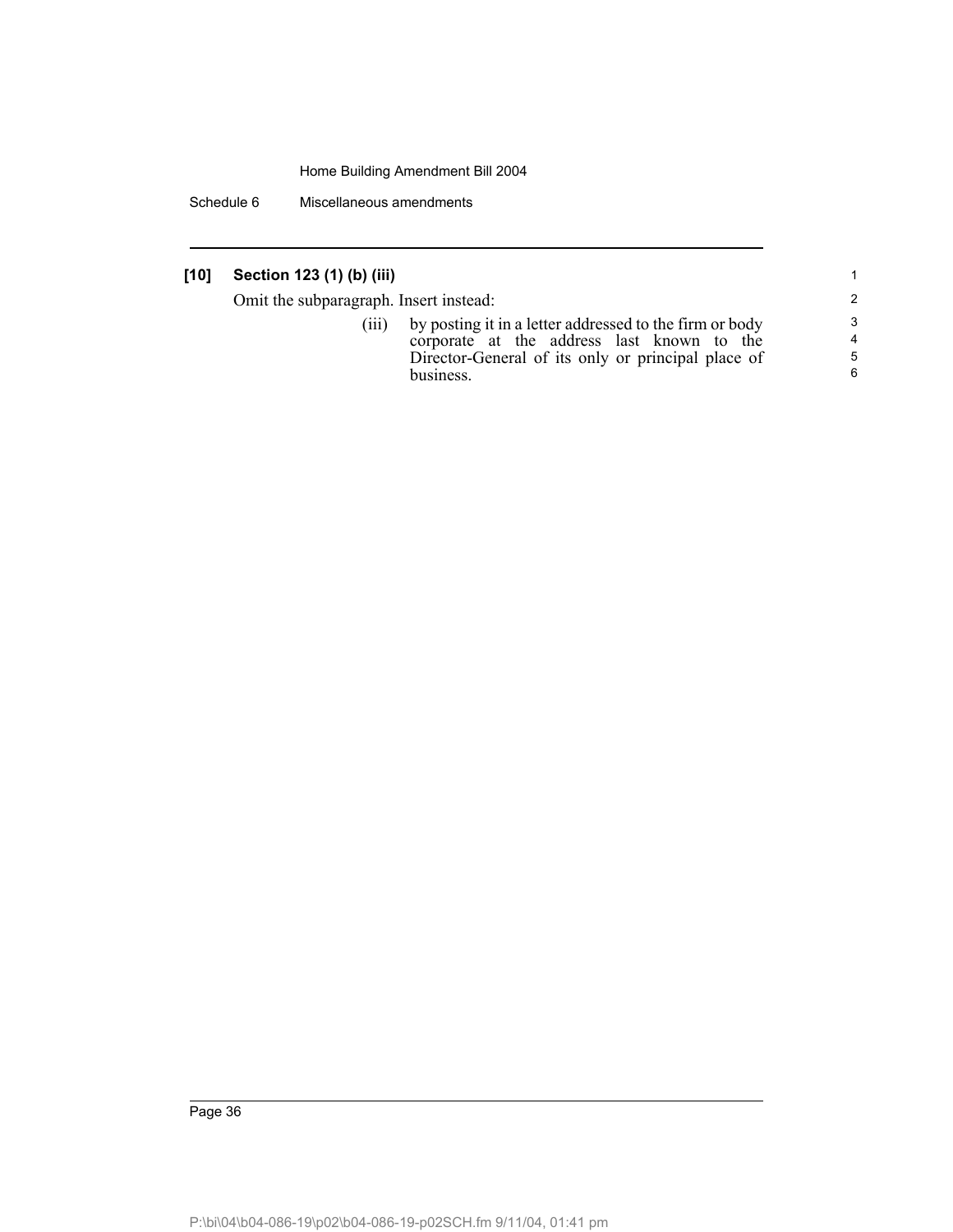Schedule 6 Miscellaneous amendments

### **[10] Section 123 (1) (b) (iii)**

Omit the subparagraph. Insert instead:

(iii) by posting it in a letter addressed to the firm or body corporate at the address last known to the Director-General of its only or principal place of business.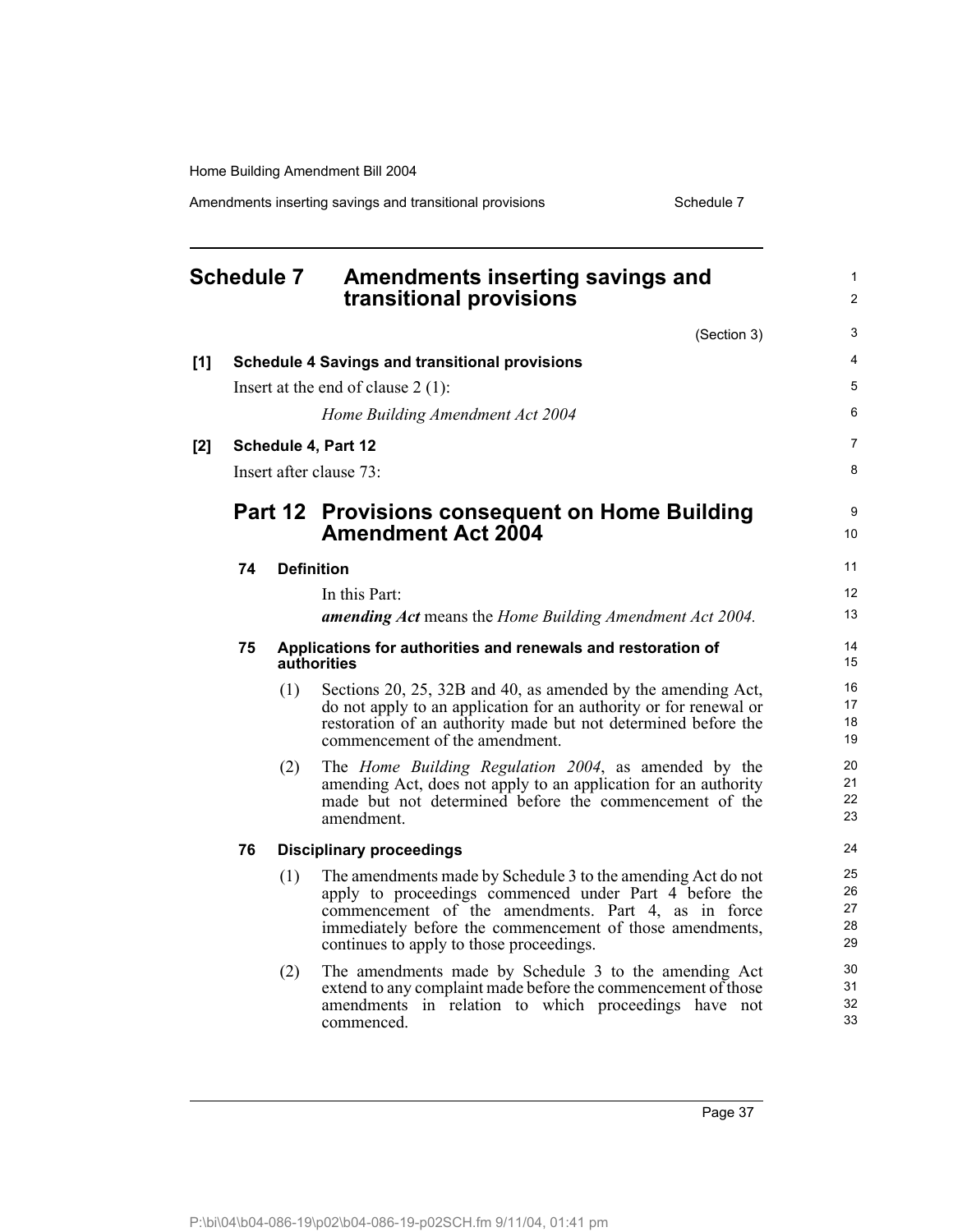Amendments inserting savings and transitional provisions Schedule 7

<span id="page-50-0"></span>

|     | <b>Schedule 7</b> |     | Amendments inserting savings and<br>transitional provisions                                                                                                                                                                                                                           | $\mathbf{1}$<br>2          |
|-----|-------------------|-----|---------------------------------------------------------------------------------------------------------------------------------------------------------------------------------------------------------------------------------------------------------------------------------------|----------------------------|
|     |                   |     | (Section 3)                                                                                                                                                                                                                                                                           | 3                          |
| [1] |                   |     | <b>Schedule 4 Savings and transitional provisions</b>                                                                                                                                                                                                                                 | 4                          |
|     |                   |     | Insert at the end of clause $2(1)$ :                                                                                                                                                                                                                                                  | 5                          |
|     |                   |     | Home Building Amendment Act 2004                                                                                                                                                                                                                                                      | 6                          |
| [2] |                   |     | Schedule 4, Part 12                                                                                                                                                                                                                                                                   | 7                          |
|     |                   |     | Insert after clause 73:                                                                                                                                                                                                                                                               | 8                          |
|     |                   |     | Part 12 Provisions consequent on Home Building<br><b>Amendment Act 2004</b>                                                                                                                                                                                                           | 9<br>10                    |
|     | 74                |     | <b>Definition</b>                                                                                                                                                                                                                                                                     | 11                         |
|     |                   |     | In this Part:                                                                                                                                                                                                                                                                         | 12                         |
|     |                   |     | <b>amending Act</b> means the Home Building Amendment Act 2004.                                                                                                                                                                                                                       | 13                         |
|     | 75                |     | Applications for authorities and renewals and restoration of<br>authorities                                                                                                                                                                                                           | 14<br>15                   |
|     |                   | (1) | Sections 20, 25, 32B and 40, as amended by the amending Act,<br>do not apply to an application for an authority or for renewal or<br>restoration of an authority made but not determined before the<br>commencement of the amendment.                                                 | 16<br>17<br>18<br>19       |
|     |                   | (2) | The Home Building Regulation 2004, as amended by the<br>amending Act, does not apply to an application for an authority<br>made but not determined before the commencement of the<br>amendment.                                                                                       | 20<br>21<br>22<br>23       |
|     | 76                |     | <b>Disciplinary proceedings</b>                                                                                                                                                                                                                                                       | 24                         |
|     |                   | (1) | The amendments made by Schedule 3 to the amending Act do not<br>apply to proceedings commenced under Part 4 before the<br>commencement of the amendments. Part 4, as in force<br>immediately before the commencement of those amendments,<br>continues to apply to those proceedings. | 25<br>26<br>27<br>28<br>29 |
|     |                   | (2) | The amendments made by Schedule 3 to the amending Act<br>extend to any complaint made before the commencement of those<br>amendments in relation to which proceedings have not<br>commenced.                                                                                          | 30<br>31<br>32<br>33       |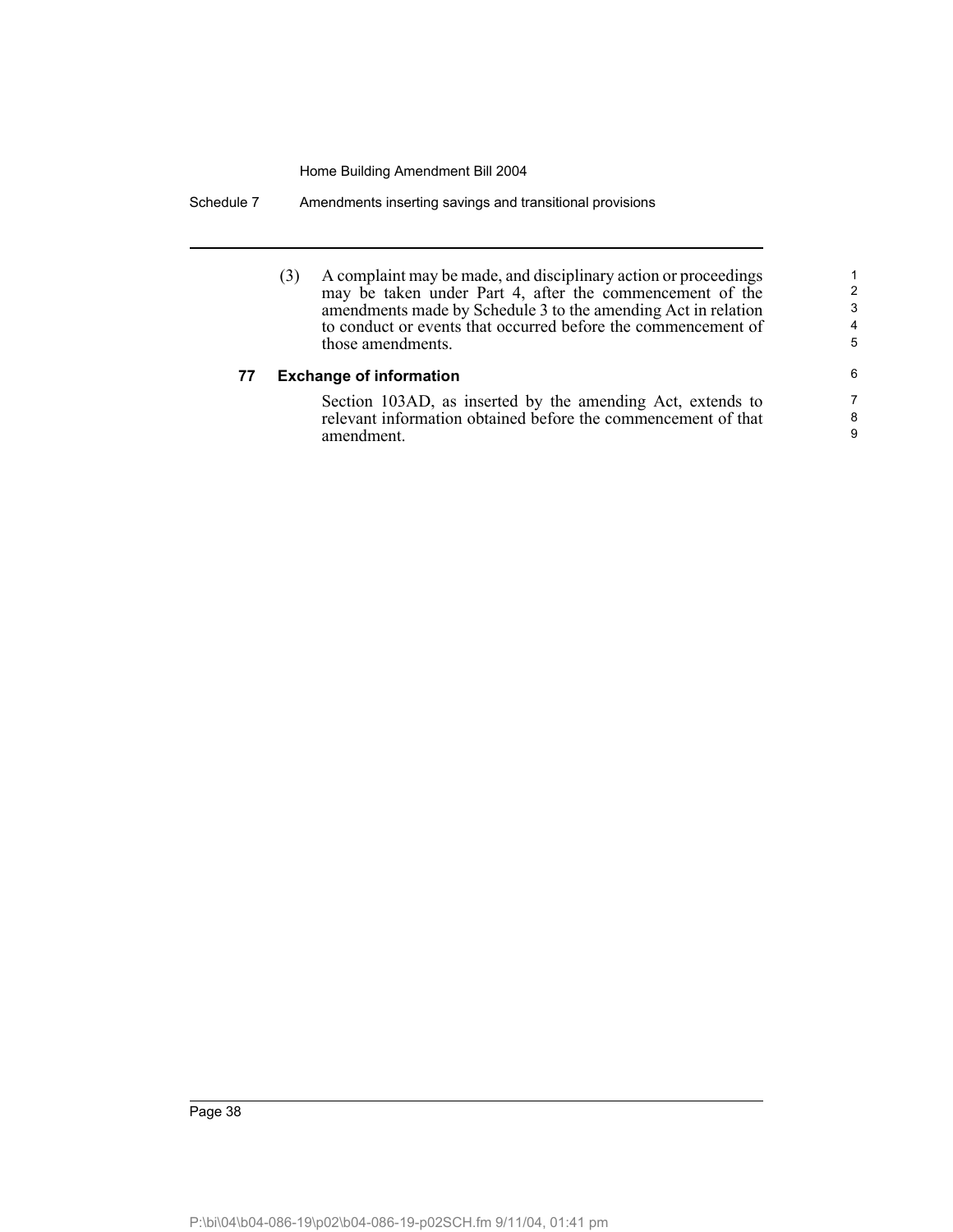(3) A complaint may be made, and disciplinary action or proceedings may be taken under Part 4, after the commencement of the amendments made by Schedule 3 to the amending Act in relation to conduct or events that occurred before the commencement of those amendments.

### **77 Exchange of information**

Section 103AD, as inserted by the amending Act, extends to relevant information obtained before the commencement of that amendment.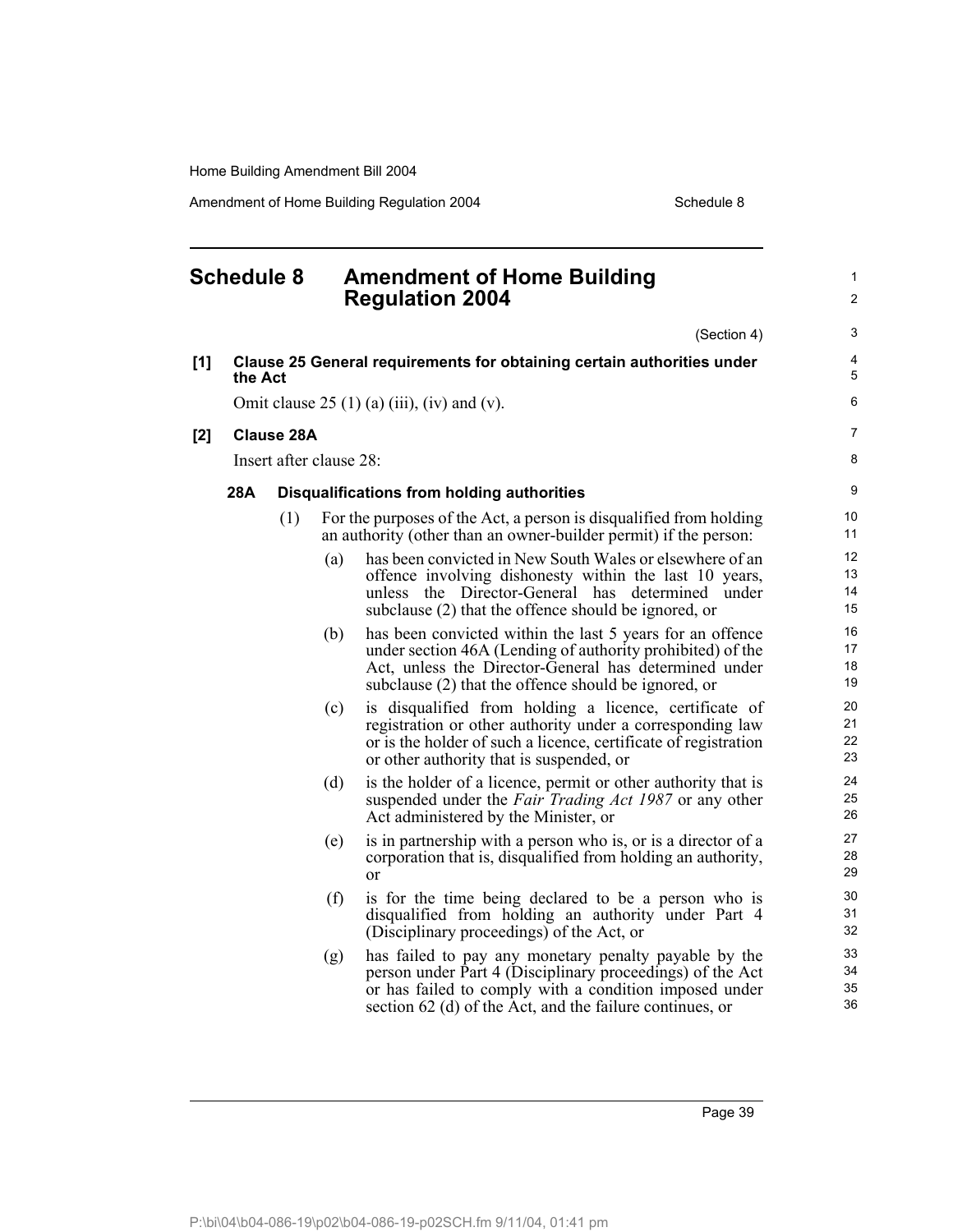Amendment of Home Building Regulation 2004 Schedule 8

<span id="page-52-0"></span>

|       | <b>Schedule 8</b> |                   |                         | <b>Amendment of Home Building</b><br><b>Regulation 2004</b>                                                                                                                                                                              | 1<br>$\overline{c}$  |
|-------|-------------------|-------------------|-------------------------|------------------------------------------------------------------------------------------------------------------------------------------------------------------------------------------------------------------------------------------|----------------------|
|       |                   |                   |                         | (Section 4)                                                                                                                                                                                                                              | 3                    |
| [1]   | the Act           |                   |                         | Clause 25 General requirements for obtaining certain authorities under                                                                                                                                                                   | 4<br>5               |
|       |                   |                   |                         | Omit clause 25 $(1)$ (a) $(iii)$ , $(iv)$ and $(v)$ .                                                                                                                                                                                    | 6                    |
| $[2]$ |                   | <b>Clause 28A</b> |                         |                                                                                                                                                                                                                                          | 7                    |
|       |                   |                   | Insert after clause 28: |                                                                                                                                                                                                                                          | 8                    |
|       | 28A               |                   |                         | Disqualifications from holding authorities                                                                                                                                                                                               | 9                    |
|       |                   | (1)               |                         | For the purposes of the Act, a person is disqualified from holding<br>an authority (other than an owner-builder permit) if the person:                                                                                                   | 10<br>11             |
|       |                   |                   | (a)                     | has been convicted in New South Wales or elsewhere of an<br>offence involving dishonesty within the last 10 years,<br>unless the Director-General has determined under<br>subclause (2) that the offence should be ignored, or           | 12<br>13<br>14<br>15 |
|       |                   |                   | (b)                     | has been convicted within the last 5 years for an offence<br>under section 46A (Lending of authority prohibited) of the<br>Act, unless the Director-General has determined under<br>subclause (2) that the offence should be ignored, or | 16<br>17<br>18<br>19 |
|       |                   |                   | (c)                     | is disqualified from holding a licence, certificate of<br>registration or other authority under a corresponding law<br>or is the holder of such a licence, certificate of registration<br>or other authority that is suspended, or       | 20<br>21<br>22<br>23 |
|       |                   |                   | (d)                     | is the holder of a licence, permit or other authority that is<br>suspended under the Fair Trading Act 1987 or any other<br>Act administered by the Minister, or                                                                          | 24<br>25<br>26       |
|       |                   |                   | (e)                     | is in partnership with a person who is, or is a director of a<br>corporation that is, disqualified from holding an authority,<br><sub>or</sub>                                                                                           | 27<br>28<br>29       |
|       |                   |                   | (f)                     | is for the time being declared to be a person who is<br>disqualified from holding an authority under Part 4<br>(Disciplinary proceedings) of the Act, or                                                                                 | 30<br>31<br>32       |
|       |                   |                   | (g)                     | has failed to pay any monetary penalty payable by the<br>person under Part 4 (Disciplinary proceedings) of the Act<br>or has failed to comply with a condition imposed under<br>section 62 (d) of the Act, and the failure continues, or | 33<br>34<br>35<br>36 |

Page 39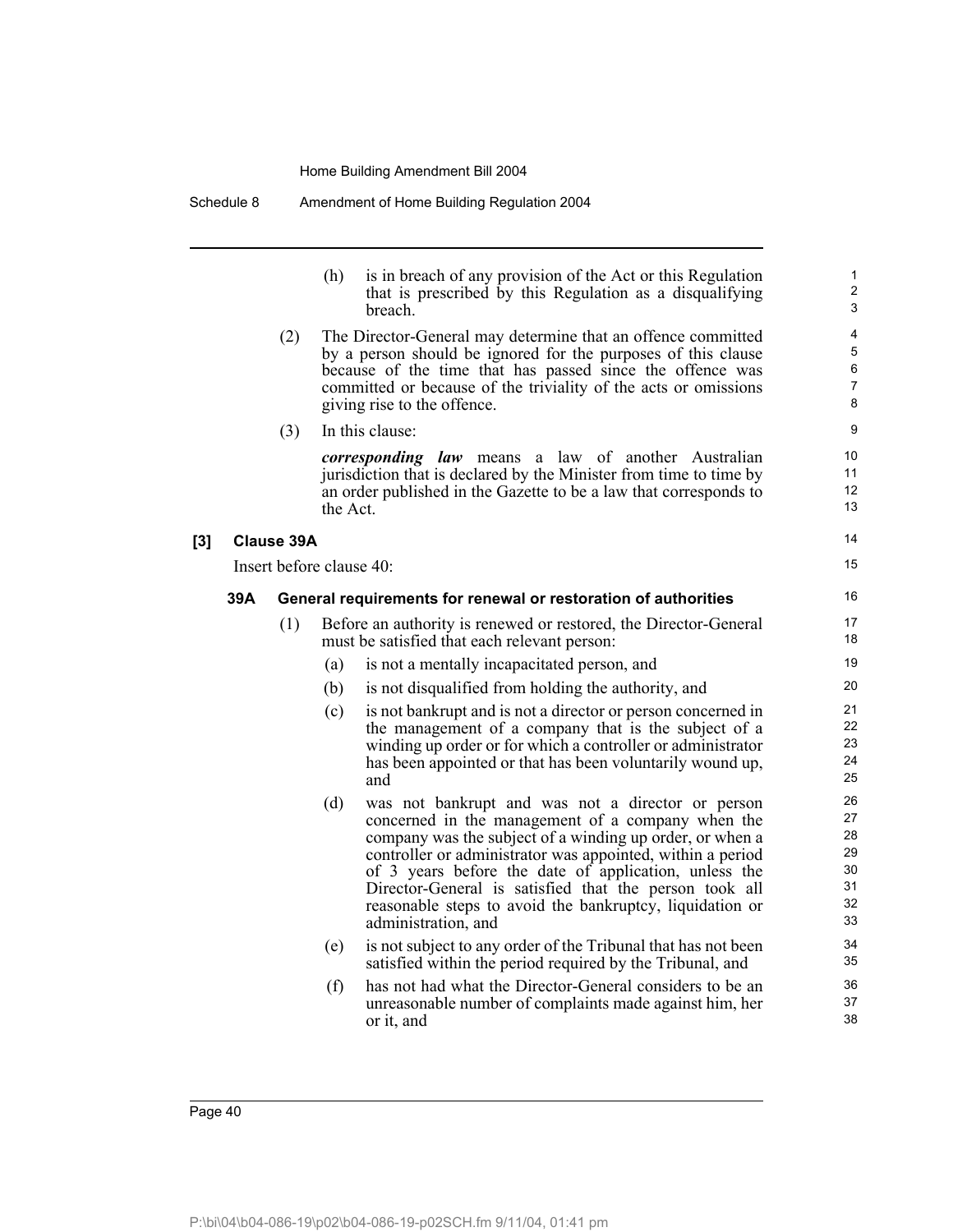|     | (h) | is in breach of any provision of the Act or this Regulation<br>that is prescribed by this Regulation as a disqualifying<br><b>breach</b> |  |
|-----|-----|------------------------------------------------------------------------------------------------------------------------------------------|--|
| (2) |     | The Director-General may determine that an offence committed                                                                             |  |

- by a person should be ignored for the purposes of this clause because of the time that has passed since the offence was committed or because of the triviality of the acts or omissions giving rise to the offence.
- (3) In this clause:

*corresponding law* means a law of another Australian jurisdiction that is declared by the Minister from time to time by an order published in the Gazette to be a law that corresponds to the Act.

#### **[3] Clause 39A**

Insert before clause 40:

#### **39A General requirements for renewal or restoration of authorities**

- (1) Before an authority is renewed or restored, the Director-General must be satisfied that each relevant person:
	- (a) is not a mentally incapacitated person, and
	- (b) is not disqualified from holding the authority, and
	- (c) is not bankrupt and is not a director or person concerned in the management of a company that is the subject of a winding up order or for which a controller or administrator has been appointed or that has been voluntarily wound up, and
	- (d) was not bankrupt and was not a director or person concerned in the management of a company when the company was the subject of a winding up order, or when a controller or administrator was appointed, within a period of 3 years before the date of application, unless the Director-General is satisfied that the person took all reasonable steps to avoid the bankruptcy, liquidation or administration, and
	- (e) is not subject to any order of the Tribunal that has not been satisfied within the period required by the Tribunal, and
	- (f) has not had what the Director-General considers to be an unreasonable number of complaints made against him, her or it, and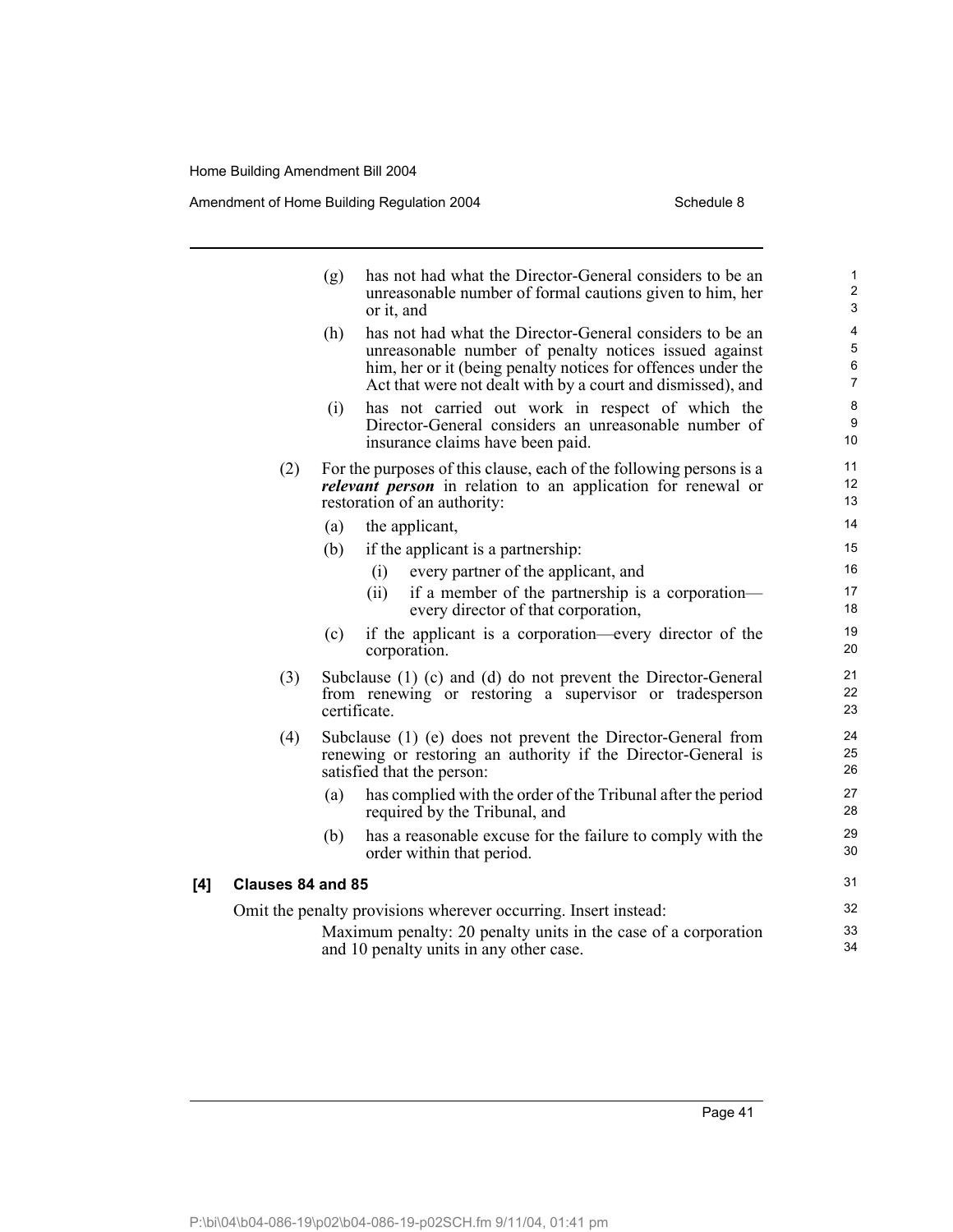Amendment of Home Building Regulation 2004 Schedule 8

|     |                   | has not had what the Director-General considers to be an<br>(g)<br>unreasonable number of formal cautions given to him, her<br>or it, and                                                                                                               | 1<br>$\overline{2}$<br>3 |
|-----|-------------------|---------------------------------------------------------------------------------------------------------------------------------------------------------------------------------------------------------------------------------------------------------|--------------------------|
|     |                   | (h)<br>has not had what the Director-General considers to be an<br>unreasonable number of penalty notices issued against<br>him, her or it (being penalty notices for offences under the<br>Act that were not dealt with by a court and dismissed), and | 4<br>5<br>6<br>7         |
|     |                   | has not carried out work in respect of which the<br>(i)<br>Director-General considers an unreasonable number of<br>insurance claims have been paid.                                                                                                     | 8<br>9<br>10             |
|     | (2)               | For the purposes of this clause, each of the following persons is a<br><i>relevant person</i> in relation to an application for renewal or<br>restoration of an authority:                                                                              | 11<br>12<br>13           |
|     |                   | the applicant,<br>(a)                                                                                                                                                                                                                                   | 14                       |
|     |                   | (b)<br>if the applicant is a partnership:                                                                                                                                                                                                               | 15                       |
|     |                   | every partner of the applicant, and<br>(i)                                                                                                                                                                                                              | 16                       |
|     |                   | if a member of the partnership is a corporation—<br>(ii)<br>every director of that corporation,                                                                                                                                                         | 17<br>18                 |
|     |                   | if the applicant is a corporation—every director of the<br>(c)<br>corporation.                                                                                                                                                                          | 19<br>20                 |
|     | (3)               | Subclause (1) (c) and (d) do not prevent the Director-General<br>from renewing or restoring a supervisor or tradesperson<br>certificate.                                                                                                                | 21<br>22<br>23           |
|     | (4)               | Subclause (1) (e) does not prevent the Director-General from<br>renewing or restoring an authority if the Director-General is<br>satisfied that the person:                                                                                             | 24<br>25<br>26           |
|     |                   | has complied with the order of the Tribunal after the period<br>(a)<br>required by the Tribunal, and                                                                                                                                                    | 27<br>28                 |
|     |                   | (b)<br>has a reasonable excuse for the failure to comply with the<br>order within that period.                                                                                                                                                          | 29<br>30                 |
| [4] | Clauses 84 and 85 |                                                                                                                                                                                                                                                         | 31                       |
|     |                   | Omit the penalty provisions wherever occurring. Insert instead:                                                                                                                                                                                         | 32                       |
|     |                   | Maximum penalty: 20 penalty units in the case of a corporation<br>and 10 penalty units in any other case.                                                                                                                                               | 33<br>34                 |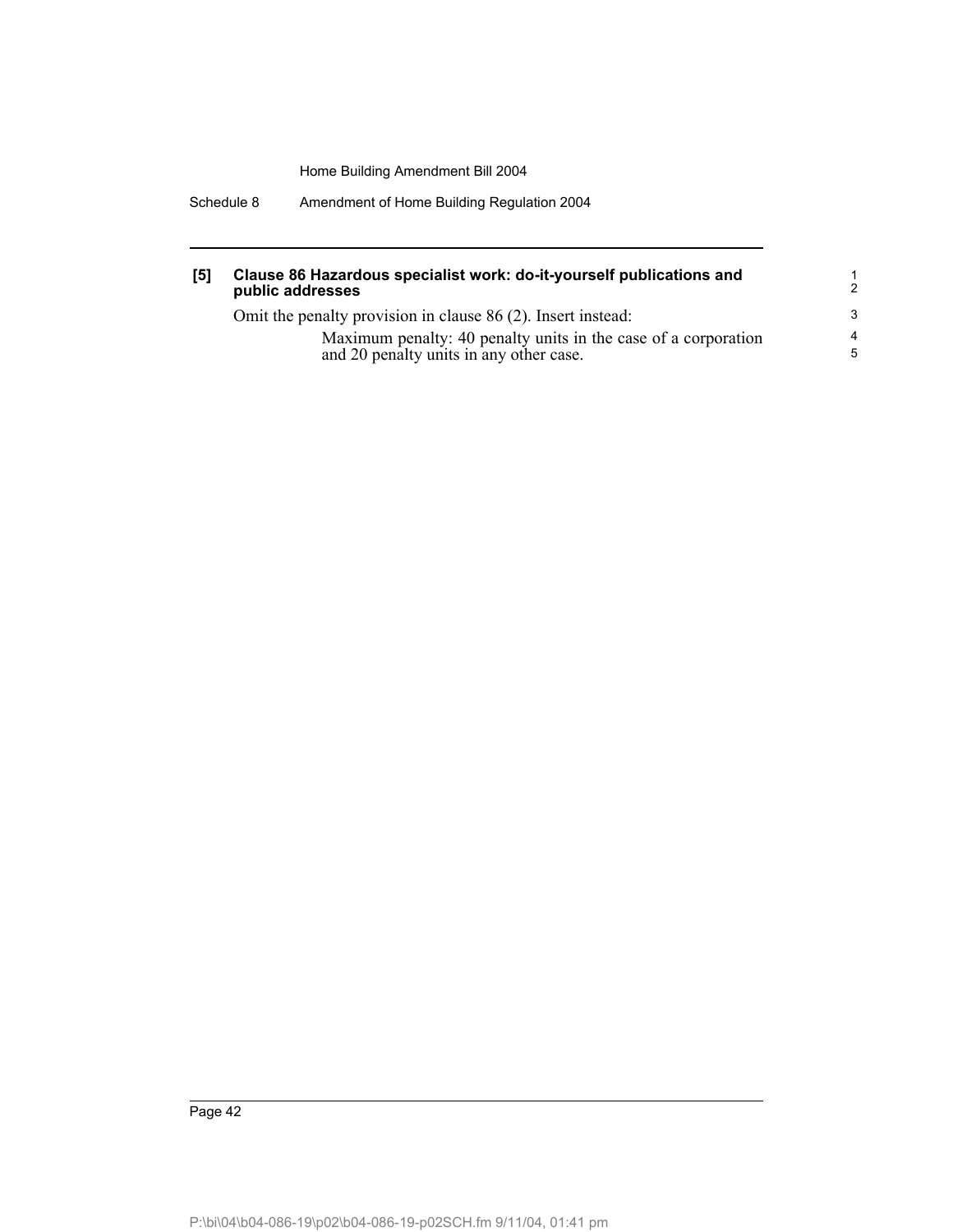Schedule 8 Amendment of Home Building Regulation 2004

| [5] | Clause 86 Hazardous specialist work: do-it-yourself publications and<br>public addresses                  |
|-----|-----------------------------------------------------------------------------------------------------------|
|     | Omit the penalty provision in clause 86 (2). Insert instead:                                              |
|     | Maximum penalty: 40 penalty units in the case of a corporation<br>and 20 penalty units in any other case. |

P:\bi\04\b04-086-19\p02\b04-086-19-p02SCH.fm 9/11/04, 01:41 pm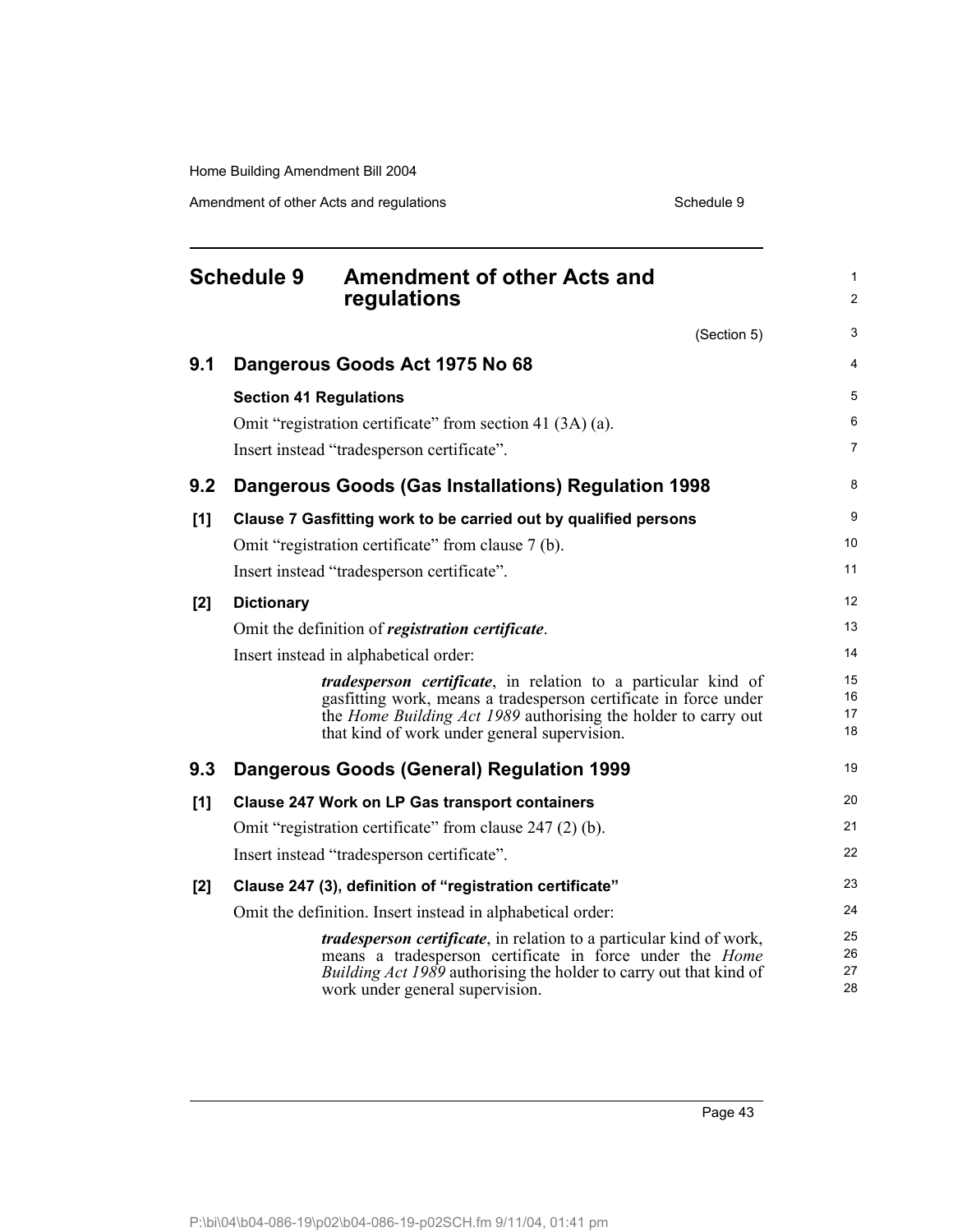Amendment of other Acts and regulations **Schedule 9** Schedule 9

<span id="page-56-0"></span>

| <b>Schedule 9</b><br><b>Amendment of other Acts and</b><br>regulations |                                                                                                                                                                                                                                                             |                      |
|------------------------------------------------------------------------|-------------------------------------------------------------------------------------------------------------------------------------------------------------------------------------------------------------------------------------------------------------|----------------------|
|                                                                        | (Section 5)                                                                                                                                                                                                                                                 | 3                    |
| 9.1                                                                    | Dangerous Goods Act 1975 No 68                                                                                                                                                                                                                              | 4                    |
|                                                                        | <b>Section 41 Regulations</b>                                                                                                                                                                                                                               | 5                    |
|                                                                        | Omit "registration certificate" from section 41 (3A) (a).                                                                                                                                                                                                   | 6                    |
|                                                                        | Insert instead "tradesperson certificate".                                                                                                                                                                                                                  | 7                    |
| 9.2                                                                    | Dangerous Goods (Gas Installations) Regulation 1998                                                                                                                                                                                                         | 8                    |
| [1]                                                                    | Clause 7 Gasfitting work to be carried out by qualified persons                                                                                                                                                                                             | 9                    |
|                                                                        | Omit "registration certificate" from clause 7 (b).                                                                                                                                                                                                          | 10                   |
|                                                                        | Insert instead "tradesperson certificate".                                                                                                                                                                                                                  | 11                   |
| [2]                                                                    | <b>Dictionary</b>                                                                                                                                                                                                                                           | 12                   |
|                                                                        | Omit the definition of <i>registration</i> certificate.                                                                                                                                                                                                     | 13                   |
|                                                                        | Insert instead in alphabetical order:                                                                                                                                                                                                                       | 14                   |
|                                                                        | <i>tradesperson certificate</i> , in relation to a particular kind of<br>gasfitting work, means a tradesperson certificate in force under<br>the Home Building Act 1989 authorising the holder to carry out<br>that kind of work under general supervision. | 15<br>16<br>17<br>18 |
| 9.3                                                                    | <b>Dangerous Goods (General) Regulation 1999</b>                                                                                                                                                                                                            | 19                   |
| [1]                                                                    | <b>Clause 247 Work on LP Gas transport containers</b>                                                                                                                                                                                                       | 20                   |
|                                                                        | Omit "registration certificate" from clause 247 (2) (b).                                                                                                                                                                                                    | 21                   |
|                                                                        | Insert instead "tradesperson certificate".                                                                                                                                                                                                                  | 22                   |
| $[2]$                                                                  | Clause 247 (3), definition of "registration certificate"                                                                                                                                                                                                    | 23                   |
|                                                                        | Omit the definition. Insert instead in alphabetical order:                                                                                                                                                                                                  | 24                   |
|                                                                        | <i>tradesperson certificate</i> , in relation to a particular kind of work,<br>means a tradesperson certificate in force under the <i>Home</i><br>Building Act 1989 authorising the holder to carry out that kind of<br>work under general supervision.     | 25<br>26<br>27<br>28 |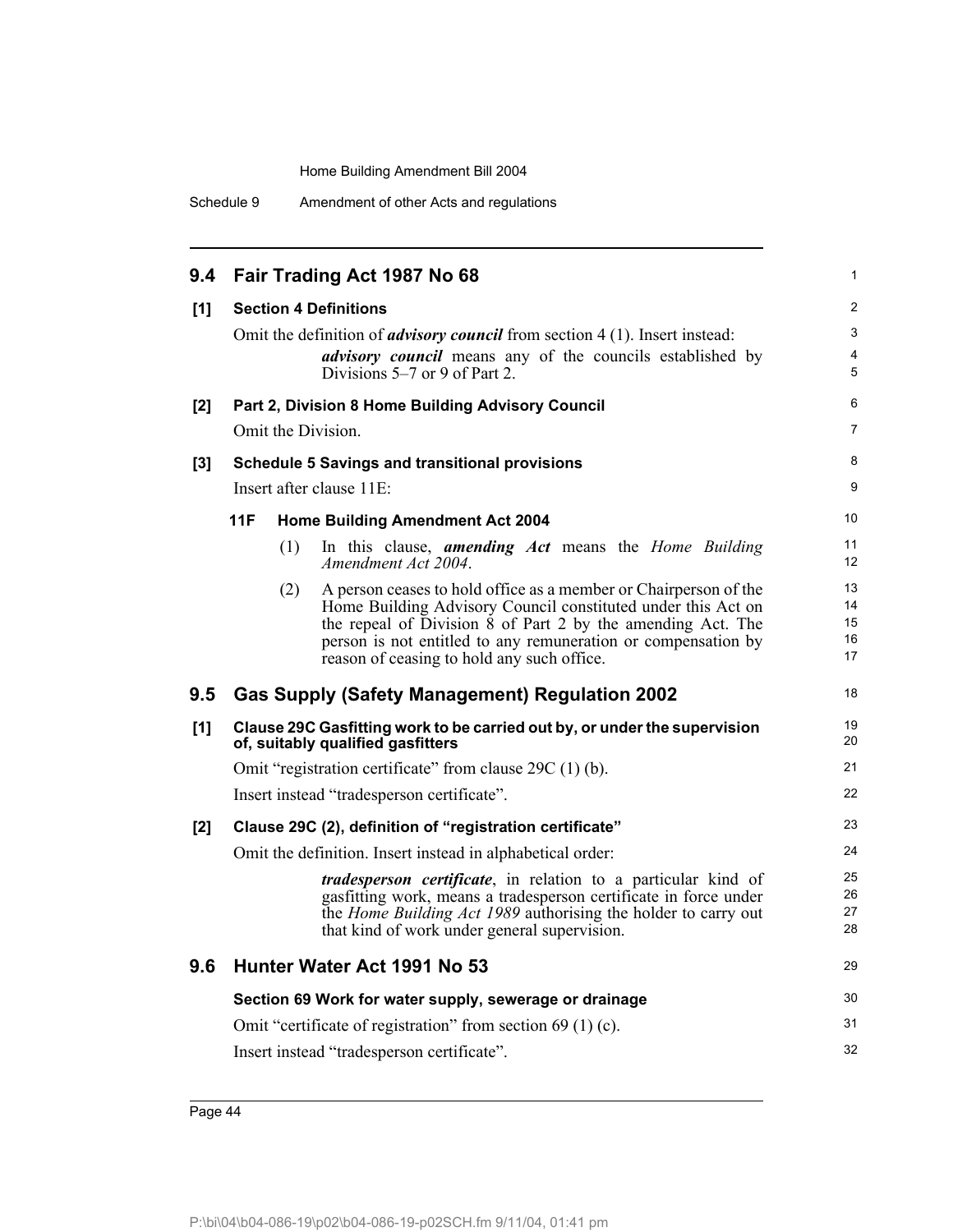Schedule 9 Amendment of other Acts and regulations

| 9.4   | Fair Trading Act 1987 No 68                           |     |                                                                                                                                    |          |  |
|-------|-------------------------------------------------------|-----|------------------------------------------------------------------------------------------------------------------------------------|----------|--|
| [1]   | <b>Section 4 Definitions</b>                          |     |                                                                                                                                    |          |  |
|       |                                                       |     | Omit the definition of <i>advisory council</i> from section 4 (1). Insert instead:                                                 | 3        |  |
|       |                                                       |     | <i>advisory council</i> means any of the councils established by<br>Divisions 5–7 or 9 of Part 2.                                  | 4<br>5   |  |
| [2]   |                                                       |     | Part 2, Division 8 Home Building Advisory Council                                                                                  | 6        |  |
|       |                                                       |     | Omit the Division.                                                                                                                 | 7        |  |
| $[3]$ | <b>Schedule 5 Savings and transitional provisions</b> |     |                                                                                                                                    |          |  |
|       | Insert after clause 11E:                              |     |                                                                                                                                    |          |  |
|       | <b>11F</b>                                            |     | <b>Home Building Amendment Act 2004</b>                                                                                            | 10       |  |
|       |                                                       | (1) | In this clause, <i>amending Act</i> means the <i>Home Building</i><br>Amendment Act 2004.                                          | 11<br>12 |  |
|       |                                                       | (2) | A person ceases to hold office as a member or Chairperson of the                                                                   | 13<br>14 |  |
|       |                                                       |     | Home Building Advisory Council constituted under this Act on<br>the repeal of Division 8 of Part 2 by the amending Act. The        | 15       |  |
|       |                                                       |     | person is not entitled to any remuneration or compensation by<br>reason of ceasing to hold any such office.                        | 16<br>17 |  |
|       |                                                       |     |                                                                                                                                    |          |  |
| 9.5   |                                                       |     | <b>Gas Supply (Safety Management) Regulation 2002</b>                                                                              | 18       |  |
| [1]   |                                                       |     | Clause 29C Gasfitting work to be carried out by, or under the supervision<br>of, suitably qualified gasfitters                     | 19<br>20 |  |
|       |                                                       |     | Omit "registration certificate" from clause 29C (1) (b).                                                                           | 21       |  |
|       |                                                       |     | Insert instead "tradesperson certificate".                                                                                         | 22       |  |
| [2]   |                                                       |     | Clause 29C (2), definition of "registration certificate"                                                                           | 23       |  |
|       |                                                       |     | Omit the definition. Insert instead in alphabetical order:                                                                         | 24       |  |
|       |                                                       |     | <i>tradesperson certificate</i> , in relation to a particular kind of                                                              | 25       |  |
|       |                                                       |     | gasfitting work, means a tradesperson certificate in force under<br>the Home Building Act 1989 authorising the holder to carry out | 26<br>27 |  |
|       |                                                       |     | that kind of work under general supervision.                                                                                       | 28       |  |
| 9.6   |                                                       |     | Hunter Water Act 1991 No 53                                                                                                        | 29       |  |
|       |                                                       |     | Section 69 Work for water supply, sewerage or drainage                                                                             | 30       |  |
|       |                                                       |     | Omit "certificate of registration" from section $69(1)(c)$ .                                                                       | 31       |  |

Page 44